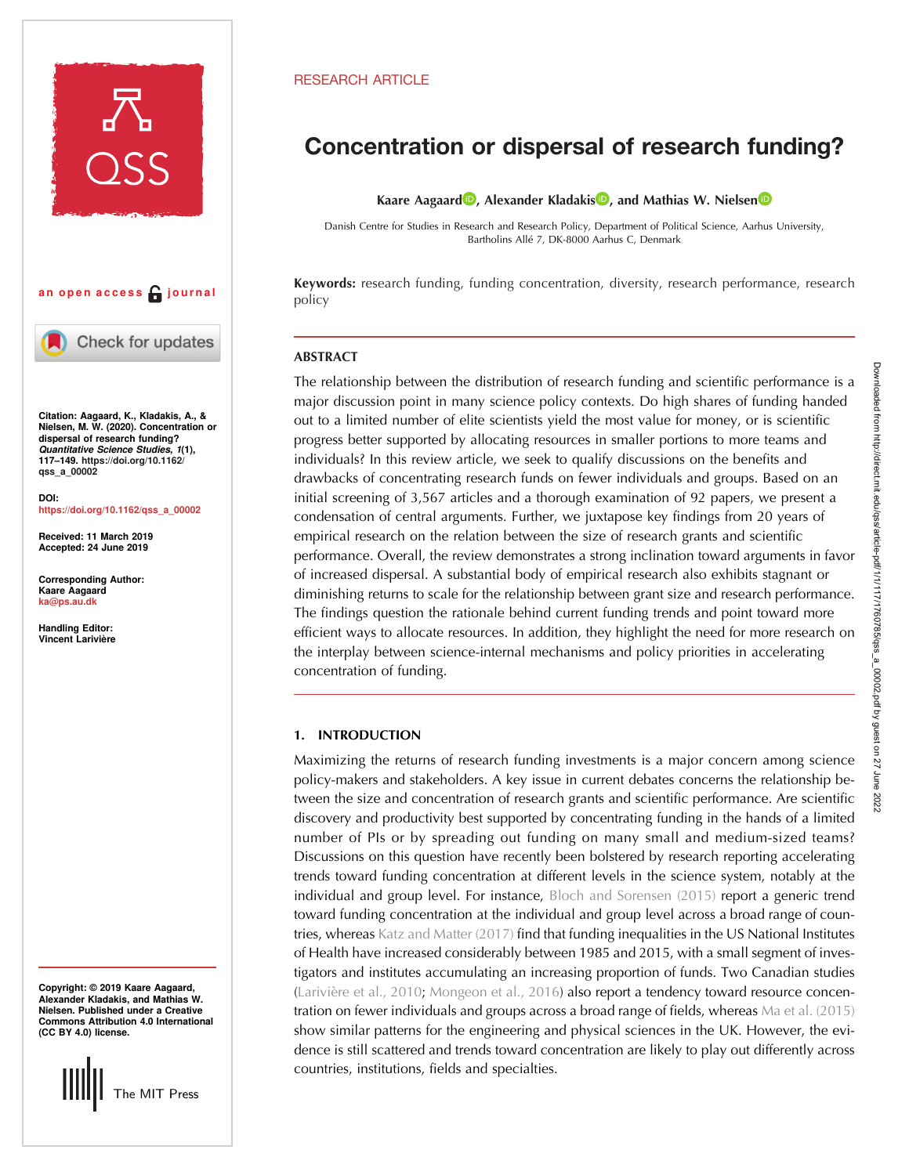

# an open access  $\bigcap$  journal



Check for updates

Citation: Aagaard, K., Kladakis, A., & Nielsen, M. W. (2020). Concentration or dispersal of research funding? Quantitative Science Studies, 1(1), 117–149. [https://doi.org/10.1162/](https://doi.org/10.1162/qss_a_00002) [qss\\_a\\_00002](https://doi.org/10.1162/qss_a_00002)

DOI: [https://doi.org/10.1162/qss\\_a\\_00002](https://doi.org/10.1162/qss_a_00002)

Received: 11 March 2019 Accepted: 24 June 2019

Corresponding Author: Kaare Aagaard [ka@ps.au.dk](mailto:ka@ps.au.dk)

Handling Editor: Vincent Larivière

Copyright: © 2019 Kaare Aagaard, Alexander Kladakis, and Mathias W. Nielsen. Published under a Creative Commons Attribution 4.0 International (CC BY 4.0) license.



# RESEARCH ARTICLE

# Concentration or dispersal of research funding?

Kaare Aagaard<sup>in</sup>[,](https://orcid.org/0000-0002-0668-6379) Alexander Kladakis<sup>n</sup>, and Mathias W. Nielsen<sup>n</sup>

Danish Centre for Studies in Research and Research Policy, Department of Political Science, Aarhus University, Bartholins Allé 7, DK-8000 Aarhus C, Denmark

Keywords: research funding, funding concentration, diversity, research performance, research policy

# **ABSTRACT**

The relationship between the distribution of research funding and scientific performance is a major discussion point in many science policy contexts. Do high shares of funding handed out to a limited number of elite scientists yield the most value for money, or is scientific progress better supported by allocating resources in smaller portions to more teams and individuals? In this review article, we seek to qualify discussions on the benefits and drawbacks of concentrating research funds on fewer individuals and groups. Based on an initial screening of 3,567 articles and a thorough examination of 92 papers, we present a condensation of central arguments. Further, we juxtapose key findings from 20 years of empirical research on the relation between the size of research grants and scientific performance. Overall, the review demonstrates a strong inclination toward arguments in favor of increased dispersal. A substantial body of empirical research also exhibits stagnant or diminishing returns to scale for the relationship between grant size and research performance. The findings question the rationale behind current funding trends and point toward more efficient ways to allocate resources. In addition, they highlight the need for more research on the interplay between science-internal mechanisms and policy priorities in accelerating concentration of funding.

# 1. INTRODUCTION

Maximizing the returns of research funding investments is a major concern among science policy-makers and stakeholders. A key issue in current debates concerns the relationship between the size and concentration of research grants and scientific performance. Are scientific discovery and productivity best supported by concentrating funding in the hands of a limited number of PIs or by spreading out funding on many small and medium-sized teams? Discussions on this question have recently been bolstered by research reporting accelerating trends toward funding concentration at different levels in the science system, notably at the individual and group level. For instance, [Bloch and Sorensen \(2015\)](#page-23-0) report a generic trend toward funding concentration at the individual and group level across a broad range of countries, whereas [Katz and Matter \(2017\)](#page-23-0) find that funding inequalities in the US National Institutes of Health have increased considerably between 1985 and 2015, with a small segment of investigators and institutes accumulating an increasing proportion of funds. Two Canadian studies ([Larivière et al., 2010](#page-23-0); [Mongeon et al., 2016](#page-24-0)) also report a tendency toward resource concentration on fewer individuals and groups across a broad range of fields, whereas [Ma et al. \(2015\)](#page-24-0) show similar patterns for the engineering and physical sciences in the UK. However, the evidence is still scattered and trends toward concentration are likely to play out differently across countries, institutions, fields and specialties.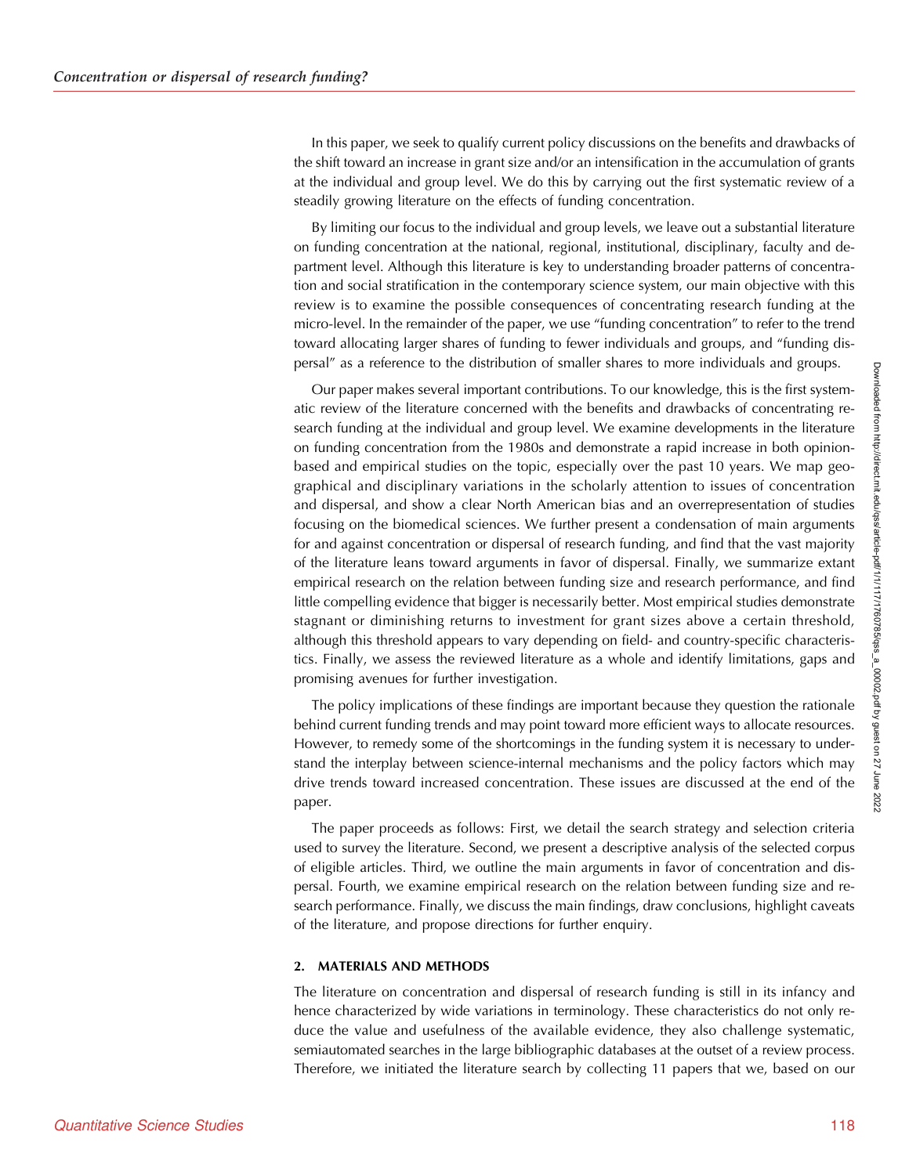In this paper, we seek to qualify current policy discussions on the benefits and drawbacks of the shift toward an increase in grant size and/or an intensification in the accumulation of grants at the individual and group level. We do this by carrying out the first systematic review of a steadily growing literature on the effects of funding concentration.

By limiting our focus to the individual and group levels, we leave out a substantial literature on funding concentration at the national, regional, institutional, disciplinary, faculty and department level. Although this literature is key to understanding broader patterns of concentration and social stratification in the contemporary science system, our main objective with this review is to examine the possible consequences of concentrating research funding at the micro-level. In the remainder of the paper, we use "funding concentration" to refer to the trend toward allocating larger shares of funding to fewer individuals and groups, and "funding dispersal" as a reference to the distribution of smaller shares to more individuals and groups.

Our paper makes several important contributions. To our knowledge, this is the first systematic review of the literature concerned with the benefits and drawbacks of concentrating research funding at the individual and group level. We examine developments in the literature on funding concentration from the 1980s and demonstrate a rapid increase in both opinionbased and empirical studies on the topic, especially over the past 10 years. We map geographical and disciplinary variations in the scholarly attention to issues of concentration and dispersal, and show a clear North American bias and an overrepresentation of studies focusing on the biomedical sciences. We further present a condensation of main arguments for and against concentration or dispersal of research funding, and find that the vast majority of the literature leans toward arguments in favor of dispersal. Finally, we summarize extant empirical research on the relation between funding size and research performance, and find little compelling evidence that bigger is necessarily better. Most empirical studies demonstrate stagnant or diminishing returns to investment for grant sizes above a certain threshold, although this threshold appears to vary depending on field- and country-specific characteristics. Finally, we assess the reviewed literature as a whole and identify limitations, gaps and promising avenues for further investigation.

The policy implications of these findings are important because they question the rationale behind current funding trends and may point toward more efficient ways to allocate resources. However, to remedy some of the shortcomings in the funding system it is necessary to understand the interplay between science-internal mechanisms and the policy factors which may drive trends toward increased concentration. These issues are discussed at the end of the paper.

The paper proceeds as follows: First, we detail the search strategy and selection criteria used to survey the literature. Second, we present a descriptive analysis of the selected corpus of eligible articles. Third, we outline the main arguments in favor of concentration and dispersal. Fourth, we examine empirical research on the relation between funding size and research performance. Finally, we discuss the main findings, draw conclusions, highlight caveats of the literature, and propose directions for further enquiry.

#### 2. MATERIALS AND METHODS

The literature on concentration and dispersal of research funding is still in its infancy and hence characterized by wide variations in terminology. These characteristics do not only reduce the value and usefulness of the available evidence, they also challenge systematic, semiautomated searches in the large bibliographic databases at the outset of a review process. Therefore, we initiated the literature search by collecting 11 papers that we, based on our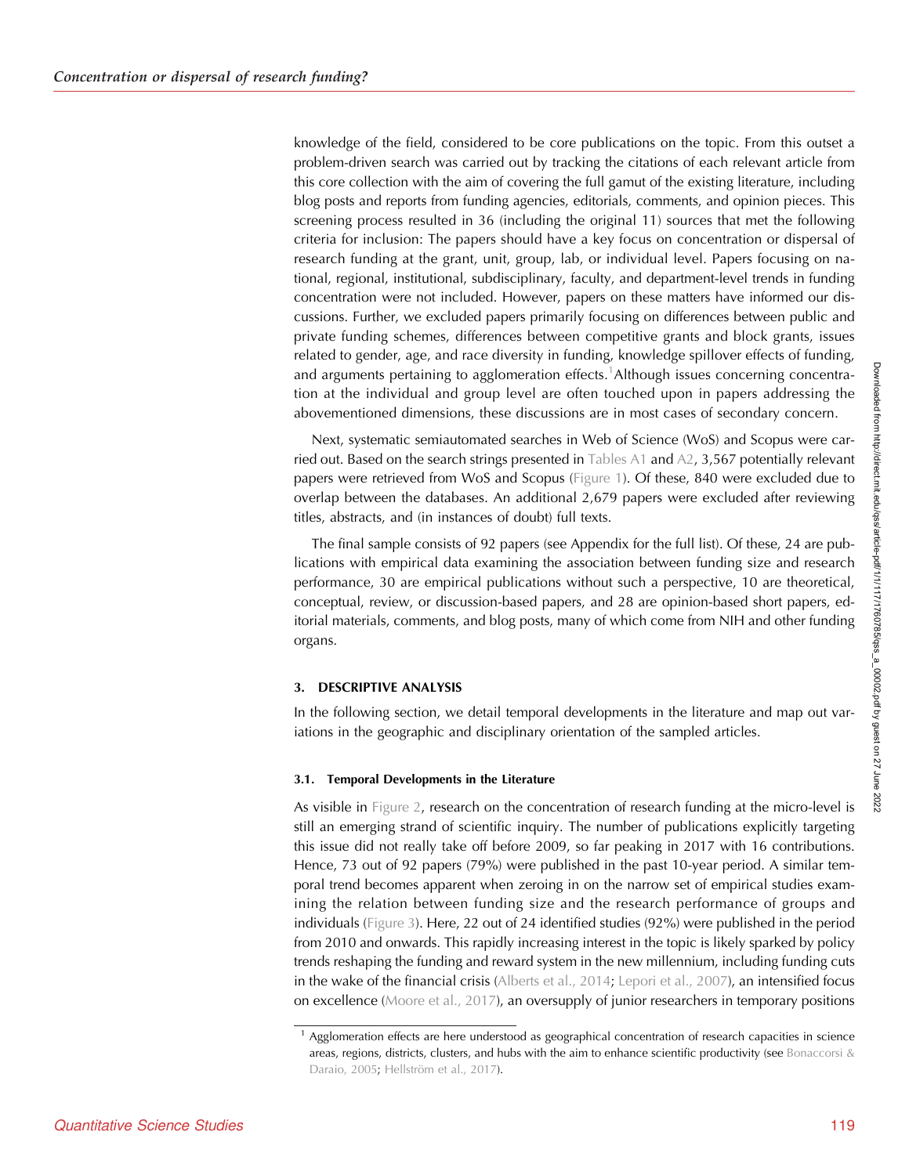knowledge of the field, considered to be core publications on the topic. From this outset a problem-driven search was carried out by tracking the citations of each relevant article from this core collection with the aim of covering the full gamut of the existing literature, including blog posts and reports from funding agencies, editorials, comments, and opinion pieces. This screening process resulted in 36 (including the original 11) sources that met the following criteria for inclusion: The papers should have a key focus on concentration or dispersal of research funding at the grant, unit, group, lab, or individual level. Papers focusing on national, regional, institutional, subdisciplinary, faculty, and department-level trends in funding concentration were not included. However, papers on these matters have informed our discussions. Further, we excluded papers primarily focusing on differences between public and private funding schemes, differences between competitive grants and block grants, issues related to gender, age, and race diversity in funding, knowledge spillover effects of funding, and arguments pertaining to agglomeration effects.<sup>1</sup>Although issues concerning concentration at the individual and group level are often touched upon in papers addressing the abovementioned dimensions, these discussions are in most cases of secondary concern.

Next, systematic semiautomated searches in Web of Science (WoS) and Scopus were car-ried out. Based on the search strings presented in [Tables A1](#page-25-0) and [A2,](#page-26-0) 3,567 potentially relevant papers were retrieved from WoS and Scopus [\(Figure 1\)](#page-3-0). Of these, 840 were excluded due to overlap between the databases. An additional 2,679 papers were excluded after reviewing titles, abstracts, and (in instances of doubt) full texts.

The final sample consists of 92 papers (see Appendix for the full list). Of these, 24 are publications with empirical data examining the association between funding size and research performance, 30 are empirical publications without such a perspective, 10 are theoretical, conceptual, review, or discussion-based papers, and 28 are opinion-based short papers, editorial materials, comments, and blog posts, many of which come from NIH and other funding organs.

## 3. DESCRIPTIVE ANALYSIS

In the following section, we detail temporal developments in the literature and map out variations in the geographic and disciplinary orientation of the sampled articles.

## 3.1. Temporal Developments in the Literature

As visible in [Figure 2,](#page-4-0) research on the concentration of research funding at the micro-level is still an emerging strand of scientific inquiry. The number of publications explicitly targeting this issue did not really take off before 2009, so far peaking in 2017 with 16 contributions. Hence, 73 out of 92 papers (79%) were published in the past 10-year period. A similar temporal trend becomes apparent when zeroing in on the narrow set of empirical studies examining the relation between funding size and the research performance of groups and individuals [\(Figure 3\)](#page-4-0). Here, 22 out of 24 identified studies (92%) were published in the period from 2010 and onwards. This rapidly increasing interest in the topic is likely sparked by policy trends reshaping the funding and reward system in the new millennium, including funding cuts in the wake of the financial crisis [\(Alberts et al., 2014;](#page-22-0) [Lepori et al., 2007](#page-24-0)), an intensified focus on excellence ([Moore et al., 2017](#page-24-0)), an oversupply of junior researchers in temporary positions

<sup>&</sup>lt;sup>1</sup> Agglomeration effects are here understood as geographical concentration of research capacities in science areas, regions, districts, clusters, and hubs with the aim to enhance scientific productivity (see [Bonaccorsi &](#page-23-0) [Daraio, 2005](#page-23-0); [Hellström et al., 2017\)](#page-23-0).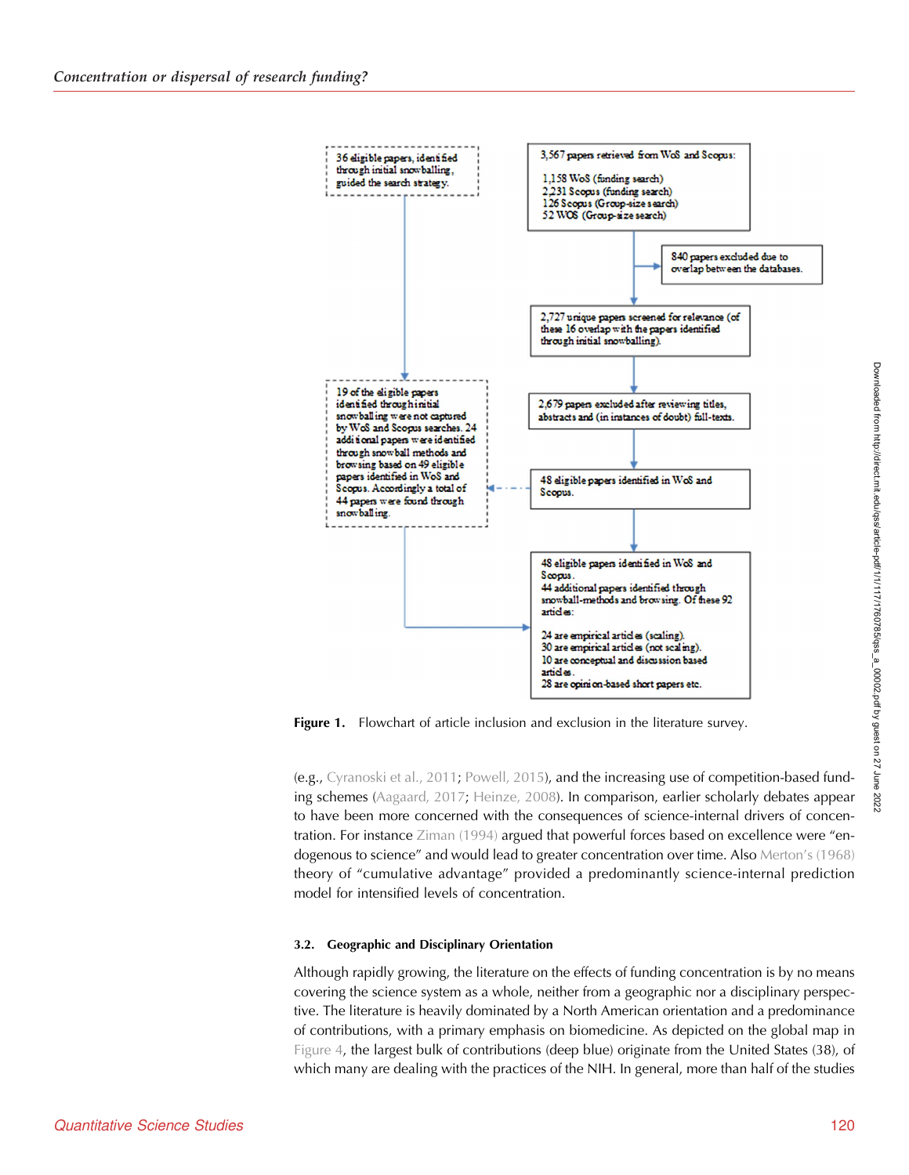<span id="page-3-0"></span>

**Figure 1.** Flowchart of article inclusion and exclusion in the literature survey.

(e.g., [Cyranoski et al., 2011](#page-23-0); [Powell, 2015\)](#page-24-0), and the increasing use of competition-based funding schemes ([Aagaard, 2017;](#page-22-0) [Heinze, 2008\)](#page-23-0). In comparison, earlier scholarly debates appear to have been more concerned with the consequences of science-internal drivers of concentration. For instance [Ziman \(1994\)](#page-24-0) argued that powerful forces based on excellence were "endogenous to science" and would lead to greater concentration over time. Also Merton'[s \(1968\)](#page-24-0) theory of "cumulative advantage" provided a predominantly science-internal prediction model for intensified levels of concentration.

## 3.2. Geographic and Disciplinary Orientation

Although rapidly growing, the literature on the effects of funding concentration is by no means covering the science system as a whole, neither from a geographic nor a disciplinary perspective. The literature is heavily dominated by a North American orientation and a predominance of contributions, with a primary emphasis on biomedicine. As depicted on the global map in [Figure 4](#page-5-0), the largest bulk of contributions (deep blue) originate from the United States (38), of which many are dealing with the practices of the NIH. In general, more than half of the studies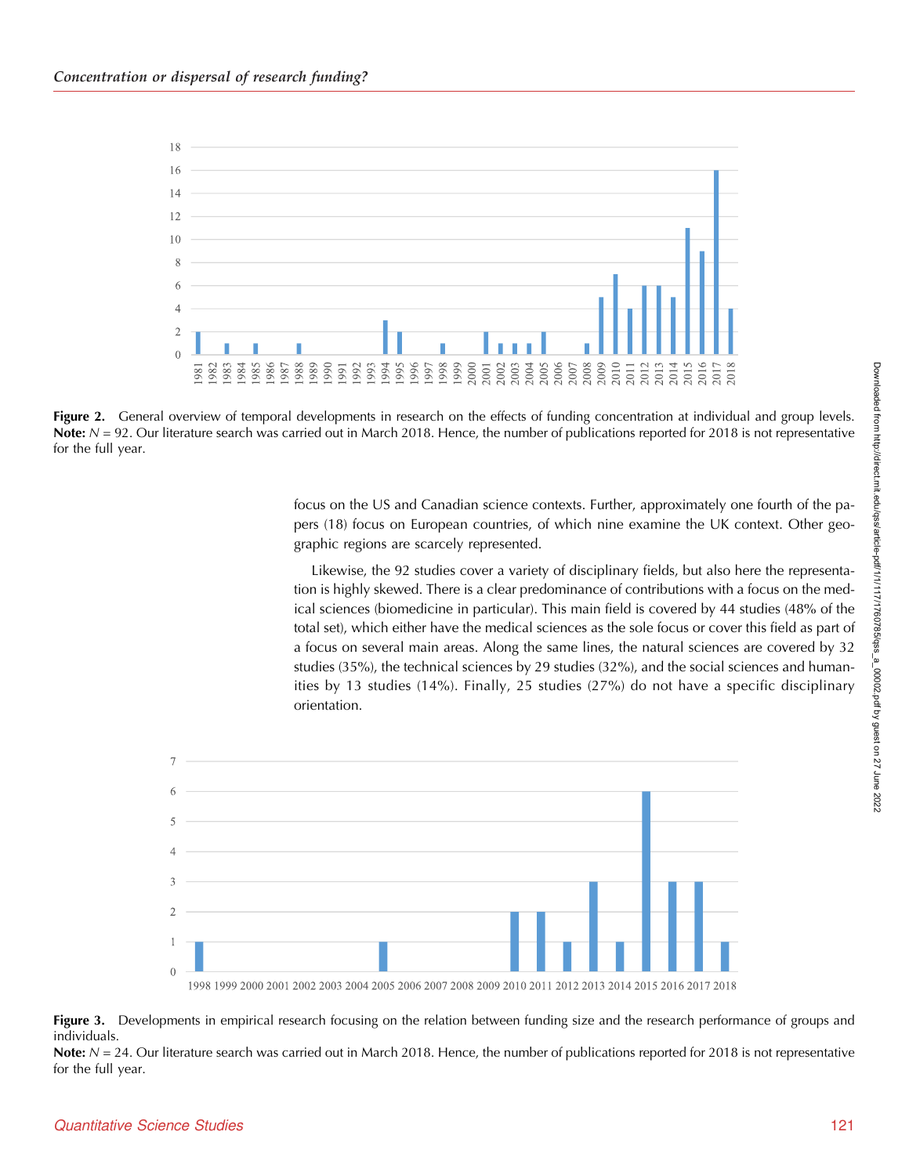<span id="page-4-0"></span>

Figure 2. General overview of temporal developments in research on the effects of funding concentration at individual and group levels. Note:  $N = 92$ . Our literature search was carried out in March 2018. Hence, the number of publications reported for 2018 is not representative for the full year.

focus on the US and Canadian science contexts. Further, approximately one fourth of the papers (18) focus on European countries, of which nine examine the UK context. Other geographic regions are scarcely represented.

Likewise, the 92 studies cover a variety of disciplinary fields, but also here the representation is highly skewed. There is a clear predominance of contributions with a focus on the medical sciences (biomedicine in particular). This main field is covered by 44 studies (48% of the total set), which either have the medical sciences as the sole focus or cover this field as part of a focus on several main areas. Along the same lines, the natural sciences are covered by 32 studies (35%), the technical sciences by 29 studies (32%), and the social sciences and humanities by 13 studies (14%). Finally, 25 studies (27%) do not have a specific disciplinary orientation.



Figure 3. Developments in empirical research focusing on the relation between funding size and the research performance of groups and individuals.

Note:  $N = 24$ . Our literature search was carried out in March 2018. Hence, the number of publications reported for 2018 is not representative for the full year.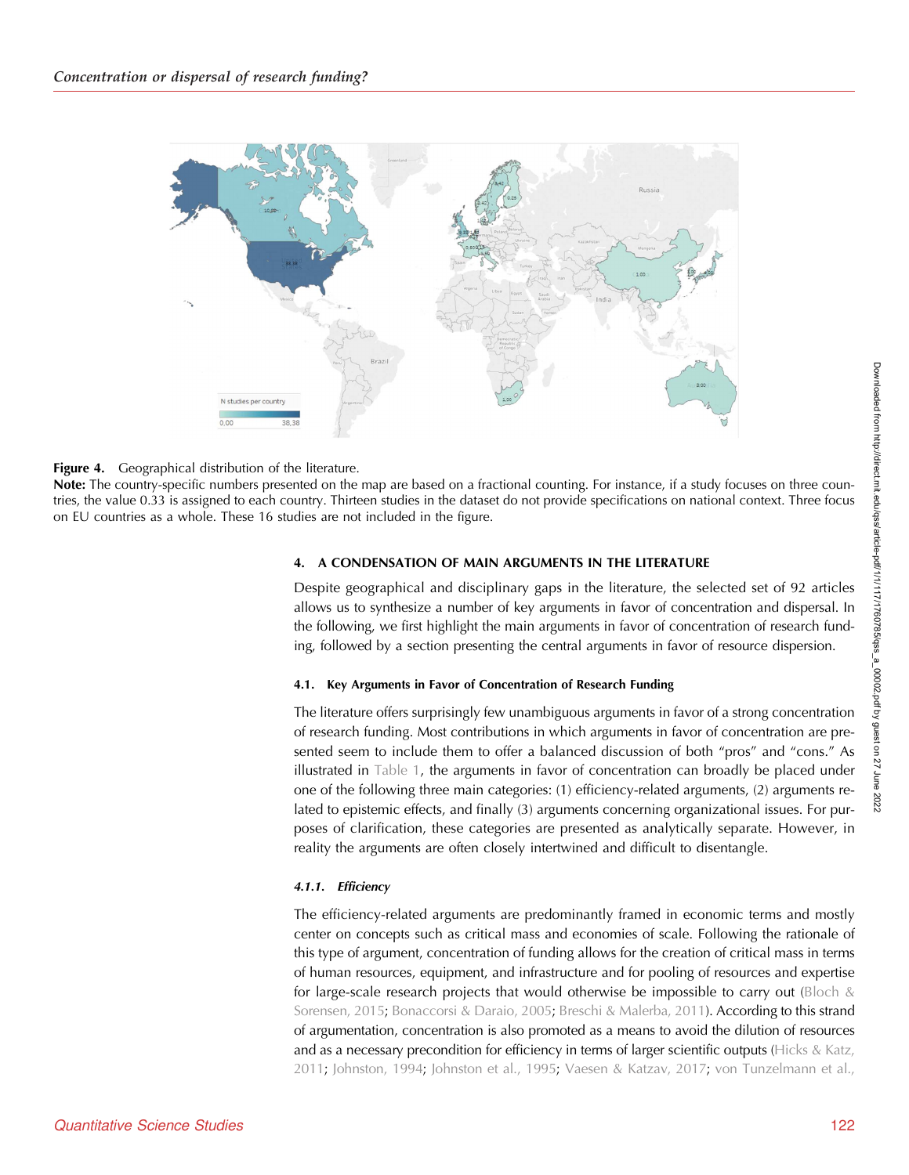<span id="page-5-0"></span>

## **Figure 4.** Geographical distribution of the literature.

Note: The country-specific numbers presented on the map are based on a fractional counting. For instance, if a study focuses on three countries, the value 0.33 is assigned to each country. Thirteen studies in the dataset do not provide specifications on national context. Three focus on EU countries as a whole. These 16 studies are not included in the figure.

# 4. A CONDENSATION OF MAIN ARGUMENTS IN THE LITERATURE

Despite geographical and disciplinary gaps in the literature, the selected set of 92 articles allows us to synthesize a number of key arguments in favor of concentration and dispersal. In the following, we first highlight the main arguments in favor of concentration of research funding, followed by a section presenting the central arguments in favor of resource dispersion.

# 4.1. Key Arguments in Favor of Concentration of Research Funding

The literature offers surprisingly few unambiguous arguments in favor of a strong concentration of research funding. Most contributions in which arguments in favor of concentration are presented seem to include them to offer a balanced discussion of both "pros" and "cons." As illustrated in [Table 1](#page-6-0), the arguments in favor of concentration can broadly be placed under one of the following three main categories: (1) efficiency-related arguments, (2) arguments related to epistemic effects, and finally (3) arguments concerning organizational issues. For purposes of clarification, these categories are presented as analytically separate. However, in reality the arguments are often closely intertwined and difficult to disentangle.

# 4.1.1. Efficiency

The efficiency-related arguments are predominantly framed in economic terms and mostly center on concepts such as critical mass and economies of scale. Following the rationale of this type of argument, concentration of funding allows for the creation of critical mass in terms of human resources, equipment, and infrastructure and for pooling of resources and expertise for large-scale research projects that would otherwise be impossible to carry out (Bloch  $\&$ [Sorensen, 2015](#page-23-0); [Bonaccorsi & Daraio, 2005;](#page-23-0) [Breschi & Malerba, 2011](#page-23-0)). According to this strand of argumentation, concentration is also promoted as a means to avoid the dilution of resources and as a necessary precondition for efficiency in terms of larger scientific outputs ([Hicks & Katz,](#page-23-0) [2011;](#page-23-0) [Johnston, 1994;](#page-23-0) [Johnston et al., 1995;](#page-23-0) [Vaesen & Katzav, 2017](#page-24-0); [von Tunzelmann et al.,](#page-24-0)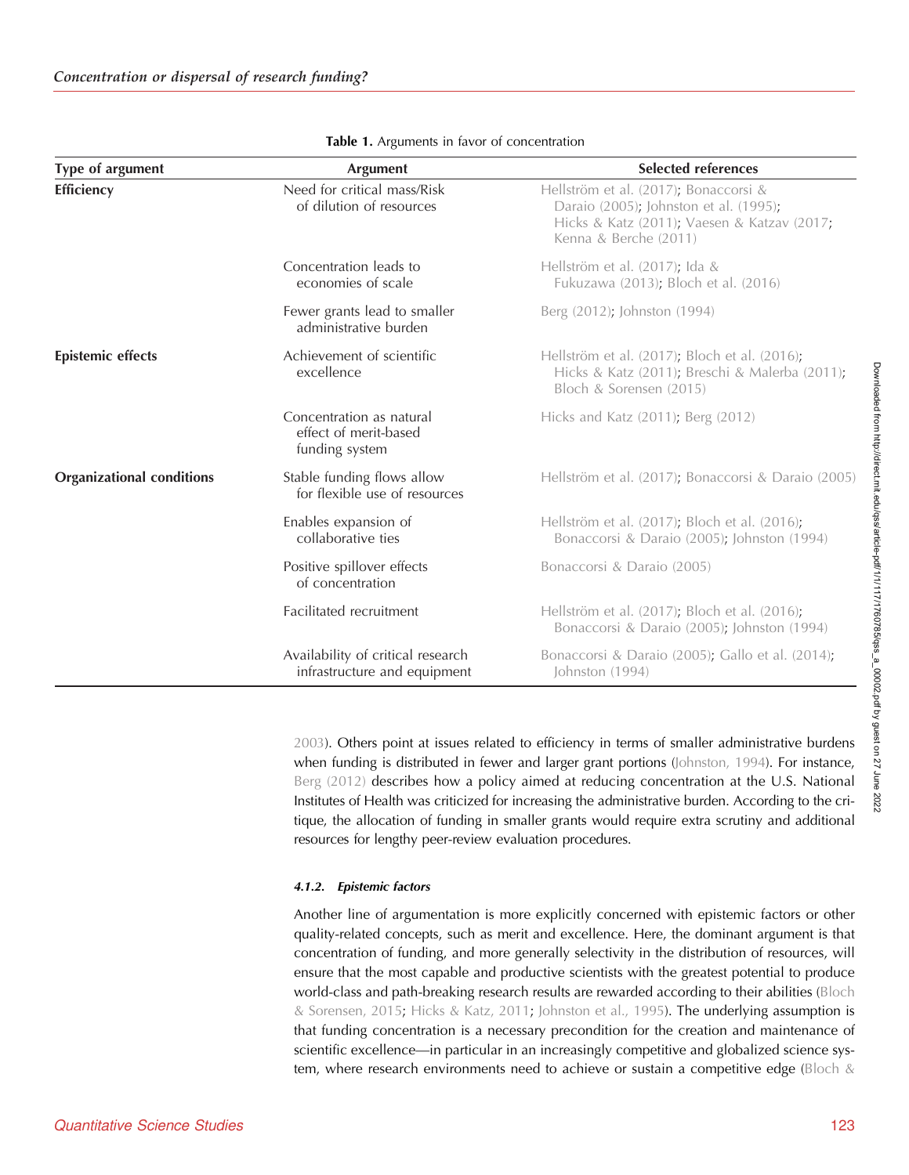<span id="page-6-0"></span>

| Type of argument                 | <b>Argument</b>                                                     | <b>Selected references</b>                                                                                                                              |
|----------------------------------|---------------------------------------------------------------------|---------------------------------------------------------------------------------------------------------------------------------------------------------|
| Efficiency                       | Need for critical mass/Risk<br>of dilution of resources             | Hellström et al. (2017); Bonaccorsi &<br>Daraio (2005); Johnston et al. (1995);<br>Hicks & Katz (2011); Vaesen & Katzav (2017;<br>Kenna & Berche (2011) |
|                                  | Concentration leads to<br>economies of scale                        | Hellström et al. (2017); Ida &<br>Fukuzawa (2013); Bloch et al. (2016)                                                                                  |
|                                  | Fewer grants lead to smaller<br>administrative burden               | Berg (2012); Johnston (1994)                                                                                                                            |
| <b>Epistemic effects</b>         | Achievement of scientific<br>excellence                             | Hellström et al. (2017); Bloch et al. (2016);<br>Hicks & Katz (2011); Breschi & Malerba (2011);<br>Bloch & Sorensen (2015)                              |
|                                  | Concentration as natural<br>effect of merit-based<br>funding system | Hicks and Katz (2011); Berg (2012)                                                                                                                      |
| <b>Organizational conditions</b> | Stable funding flows allow<br>for flexible use of resources         | Hellström et al. (2017); Bonaccorsi & Daraio (2005)                                                                                                     |
|                                  | Enables expansion of<br>collaborative ties                          | Hellström et al. (2017); Bloch et al. (2016);<br>Bonaccorsi & Daraio (2005); Johnston (1994)                                                            |
|                                  | Positive spillover effects<br>of concentration                      | Bonaccorsi & Daraio (2005)                                                                                                                              |
|                                  | Facilitated recruitment                                             | Hellström et al. (2017); Bloch et al. (2016);<br>Bonaccorsi & Daraio (2005); Johnston (1994)                                                            |
|                                  | Availability of critical research<br>infrastructure and equipment   | Bonaccorsi & Daraio (2005); Gallo et al. (2014);<br>Johnston (1994)                                                                                     |

| Table 1. Arguments in favor of concentration |  |
|----------------------------------------------|--|
|----------------------------------------------|--|

[2003\)](#page-24-0). Others point at issues related to efficiency in terms of smaller administrative burdens when funding is distributed in fewer and larger grant portions ([Johnston, 1994\)](#page-23-0). For instance, [Berg \(2012\)](#page-23-0) describes how a policy aimed at reducing concentration at the U.S. National Institutes of Health was criticized for increasing the administrative burden. According to the critique, the allocation of funding in smaller grants would require extra scrutiny and additional resources for lengthy peer-review evaluation procedures.

# 4.1.2. Epistemic factors

Another line of argumentation is more explicitly concerned with epistemic factors or other quality-related concepts, such as merit and excellence. Here, the dominant argument is that concentration of funding, and more generally selectivity in the distribution of resources, will ensure that the most capable and productive scientists with the greatest potential to produce world-class and path-breaking research results are rewarded according to their abilities ([Bloch](#page-23-0) [& Sorensen, 2015](#page-23-0); [Hicks & Katz, 2011](#page-23-0); [Johnston et al., 1995\)](#page-23-0). The underlying assumption is that funding concentration is a necessary precondition for the creation and maintenance of scientific excellence—in particular in an increasingly competitive and globalized science system, where research environments need to achieve or sustain a competitive edge (Bloch  $&$ 

2022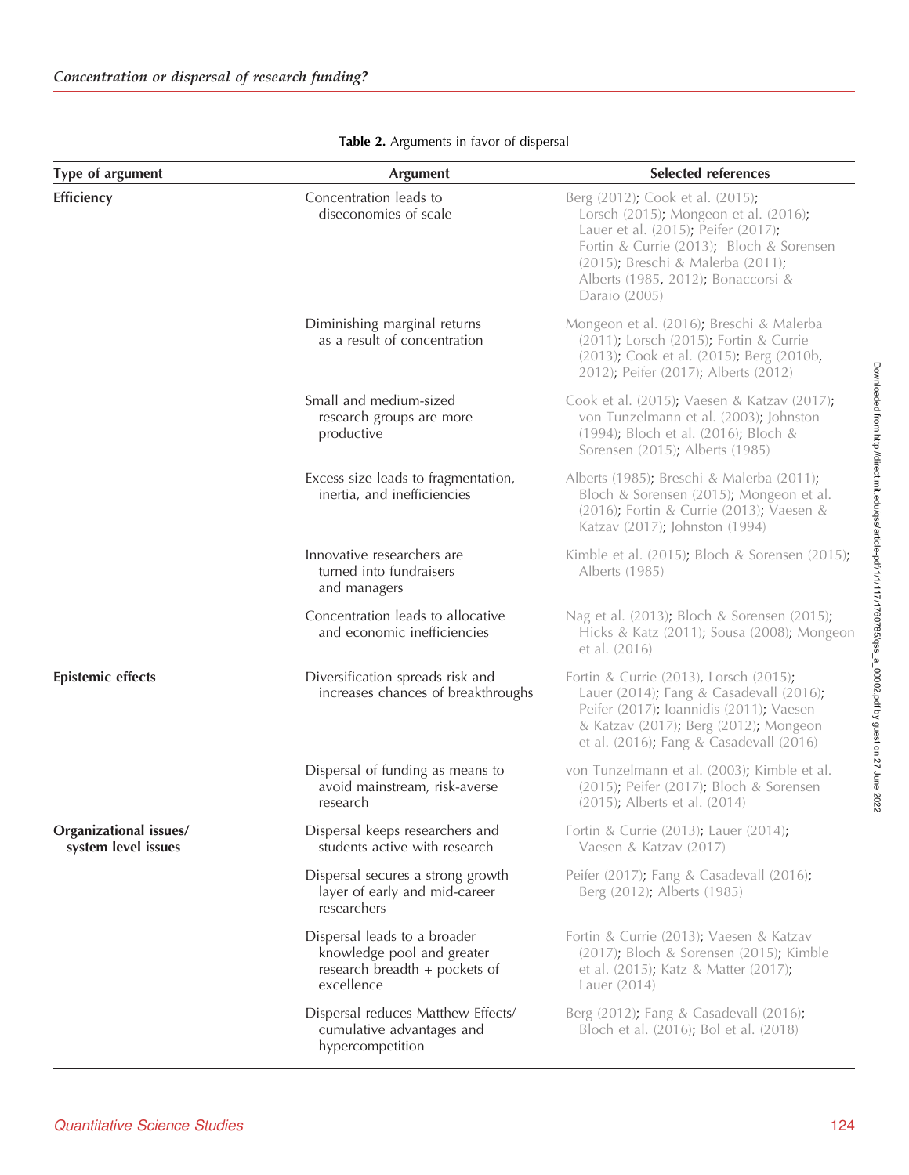<span id="page-7-0"></span>

| Type of argument                              | <b>Argument</b>                                                                                           | <b>Selected references</b>                                                                                                                                                                                                                               |  |  |
|-----------------------------------------------|-----------------------------------------------------------------------------------------------------------|----------------------------------------------------------------------------------------------------------------------------------------------------------------------------------------------------------------------------------------------------------|--|--|
| Efficiency                                    | Concentration leads to<br>diseconomies of scale                                                           | Berg (2012); Cook et al. (2015);<br>Lorsch (2015); Mongeon et al. (2016);<br>Lauer et al. (2015); Peifer (2017);<br>Fortin & Currie (2013); Bloch & Sorensen<br>(2015); Breschi & Malerba (2011);<br>Alberts (1985, 2012); Bonaccorsi &<br>Daraio (2005) |  |  |
|                                               | Diminishing marginal returns<br>as a result of concentration                                              | Mongeon et al. (2016); Breschi & Malerba<br>(2011); Lorsch (2015); Fortin & Currie<br>(2013); Cook et al. (2015); Berg (2010b,<br>2012); Peifer (2017); Alberts (2012)                                                                                   |  |  |
|                                               | Small and medium-sized<br>research groups are more<br>productive                                          | Cook et al. (2015); Vaesen & Katzav (2017);<br>von Tunzelmann et al. (2003); Johnston<br>(1994); Bloch et al. (2016); Bloch &<br>Sorensen (2015); Alberts (1985)                                                                                         |  |  |
|                                               | Excess size leads to fragmentation,<br>inertia, and inefficiencies                                        | Alberts (1985); Breschi & Malerba (2011);<br>Bloch & Sorensen (2015); Mongeon et al.<br>(2016); Fortin & Currie (2013); Vaesen &<br>Katzav (2017); Johnston (1994)                                                                                       |  |  |
|                                               | Innovative researchers are<br>turned into fundraisers<br>and managers                                     | Kimble et al. (2015); Bloch & Sorensen (2015);<br>Alberts (1985)                                                                                                                                                                                         |  |  |
|                                               | Concentration leads to allocative<br>and economic inefficiencies                                          | Nag et al. (2013); Bloch & Sorensen (2015);<br>Hicks & Katz (2011); Sousa (2008); Mongeon<br>et al. (2016)                                                                                                                                               |  |  |
| <b>Epistemic effects</b>                      | Diversification spreads risk and<br>increases chances of breakthroughs                                    | Fortin & Currie (2013), Lorsch (2015);<br>Lauer (2014); Fang & Casadevall (2016);<br>Peifer (2017); loannidis (2011); Vaesen<br>& Katzav (2017); Berg (2012); Mongeon<br>et al. (2016); Fang & Casadevall (2016)                                         |  |  |
|                                               | Dispersal of funding as means to<br>avoid mainstream, risk-averse<br>research                             | von Tunzelmann et al. (2003); Kimble et al.<br>(2015); Peifer (2017); Bloch & Sorensen<br>(2015); Alberts et al. (2014)                                                                                                                                  |  |  |
| Organizational issues/<br>system level issues | Dispersal keeps researchers and<br>students active with research                                          | Fortin & Currie (2013); Lauer (2014);<br>Vaesen & Katzav (2017)                                                                                                                                                                                          |  |  |
|                                               | Dispersal secures a strong growth<br>layer of early and mid-career<br>researchers                         | Peifer (2017); Fang & Casadevall (2016);<br>Berg (2012); Alberts (1985)                                                                                                                                                                                  |  |  |
|                                               | Dispersal leads to a broader<br>knowledge pool and greater<br>research breadth + pockets of<br>excellence | Fortin & Currie (2013); Vaesen & Katzav<br>(2017); Bloch & Sorensen (2015); Kimble<br>et al. (2015); Katz & Matter (2017);<br>Lauer (2014)                                                                                                               |  |  |
|                                               | Dispersal reduces Matthew Effects/<br>cumulative advantages and<br>hypercompetition                       | Berg (2012); Fang & Casadevall (2016);<br>Bloch et al. (2016); Bol et al. (2018)                                                                                                                                                                         |  |  |

| Table 2. Arguments in favor of dispersal |  |  |  |  |
|------------------------------------------|--|--|--|--|
|------------------------------------------|--|--|--|--|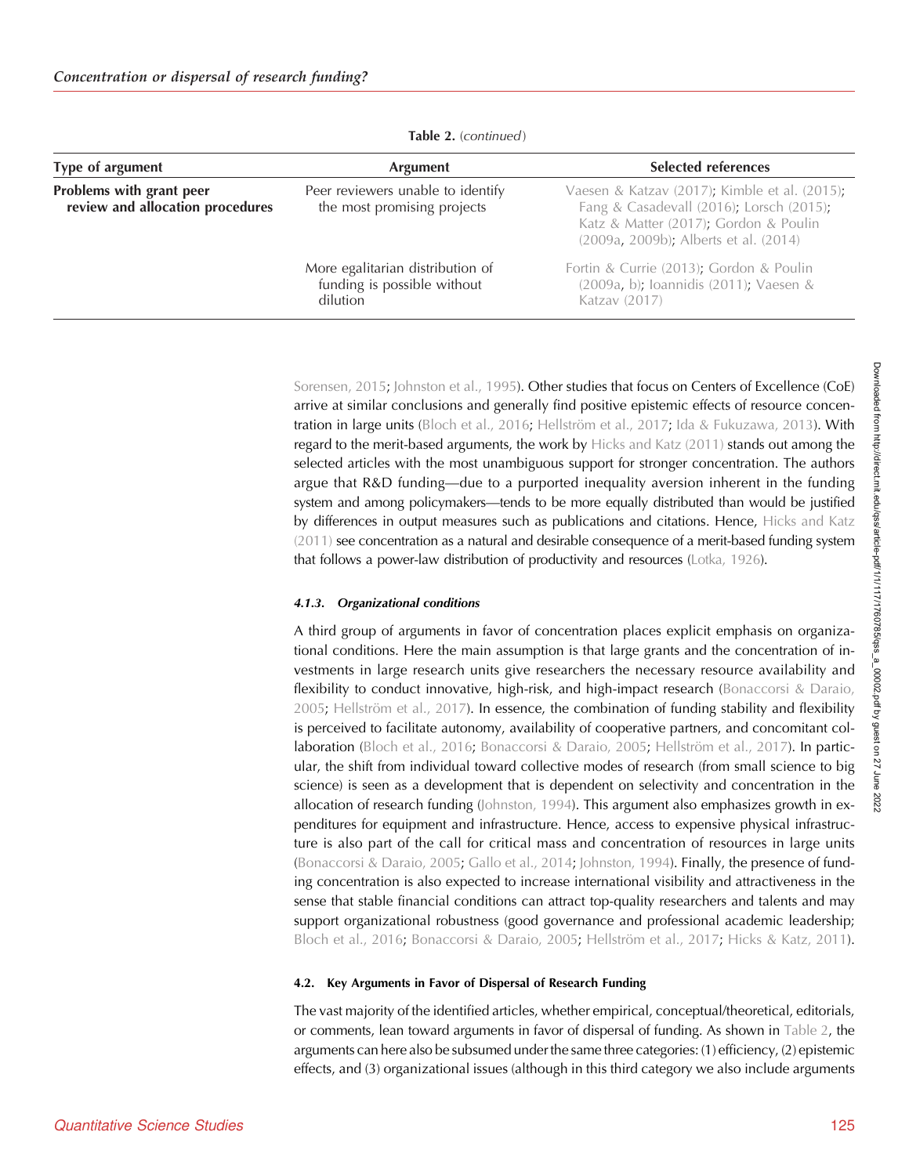| Type of argument                                             | <b>Argument</b>                                                             | <b>Selected references</b>                                                                                                                                                  |
|--------------------------------------------------------------|-----------------------------------------------------------------------------|-----------------------------------------------------------------------------------------------------------------------------------------------------------------------------|
| Problems with grant peer<br>review and allocation procedures | Peer reviewers unable to identify<br>the most promising projects            | Vaesen & Katzav (2017); Kimble et al. (2015);<br>Fang & Casadevall (2016); Lorsch (2015);<br>Katz & Matter (2017); Gordon & Poulin<br>(2009a, 2009b); Alberts et al. (2014) |
|                                                              | More egalitarian distribution of<br>funding is possible without<br>dilution | Fortin & Currie (2013); Gordon & Poulin<br>(2009a, b); loannidis (2011); Vaesen &<br>Katzav (2017)                                                                          |

Table 2. (continued)

[Sorensen, 2015;](#page-23-0) [Johnston et al., 1995](#page-23-0)). Other studies that focus on Centers of Excellence (CoE) arrive at similar conclusions and generally find positive epistemic effects of resource concen-tration in large units [\(Bloch et al., 2016;](#page-23-0) [Hellström et al., 2017](#page-23-0); [Ida & Fukuzawa, 2013](#page-23-0)). With regard to the merit-based arguments, the work by [Hicks and Katz \(2011\)](#page-23-0) stands out among the selected articles with the most unambiguous support for stronger concentration. The authors argue that R&D funding—due to a purported inequality aversion inherent in the funding system and among policymakers—tends to be more equally distributed than would be justified by differences in output measures such as publications and citations. Hence, [Hicks and Katz](#page-23-0) [\(2011\)](#page-23-0) see concentration as a natural and desirable consequence of a merit-based funding system that follows a power-law distribution of productivity and resources ([Lotka, 1926](#page-24-0)).

## 4.1.3. Organizational conditions

A third group of arguments in favor of concentration places explicit emphasis on organizational conditions. Here the main assumption is that large grants and the concentration of investments in large research units give researchers the necessary resource availability and flexibility to conduct innovative, high-risk, and high-impact research ([Bonaccorsi & Daraio,](#page-23-0) [2005;](#page-23-0) [Hellström et al., 2017](#page-23-0)). In essence, the combination of funding stability and flexibility is perceived to facilitate autonomy, availability of cooperative partners, and concomitant collaboration ([Bloch et al., 2016](#page-23-0); [Bonaccorsi & Daraio, 2005;](#page-23-0) [Hellström et al., 2017\)](#page-23-0). In particular, the shift from individual toward collective modes of research (from small science to big science) is seen as a development that is dependent on selectivity and concentration in the allocation of research funding [\(Johnston, 1994](#page-23-0)). This argument also emphasizes growth in expenditures for equipment and infrastructure. Hence, access to expensive physical infrastructure is also part of the call for critical mass and concentration of resources in large units ([Bonaccorsi & Daraio, 2005;](#page-23-0) [Gallo et al., 2014;](#page-23-0) [Johnston, 1994](#page-23-0)). Finally, the presence of funding concentration is also expected to increase international visibility and attractiveness in the sense that stable financial conditions can attract top-quality researchers and talents and may support organizational robustness (good governance and professional academic leadership; [Bloch et al., 2016;](#page-23-0) [Bonaccorsi & Daraio, 2005](#page-23-0); [Hellström et al., 2017;](#page-23-0) [Hicks & Katz, 2011\)](#page-23-0).

## 4.2. Key Arguments in Favor of Dispersal of Research Funding

The vast majority of the identified articles, whether empirical, conceptual/theoretical, editorials, or comments, lean toward arguments in favor of dispersal of funding. As shown in [Table 2](#page-7-0), the arguments can here also be subsumed under the same three categories: (1) efficiency, (2) epistemic effects, and (3) organizational issues (although in this third category we also include arguments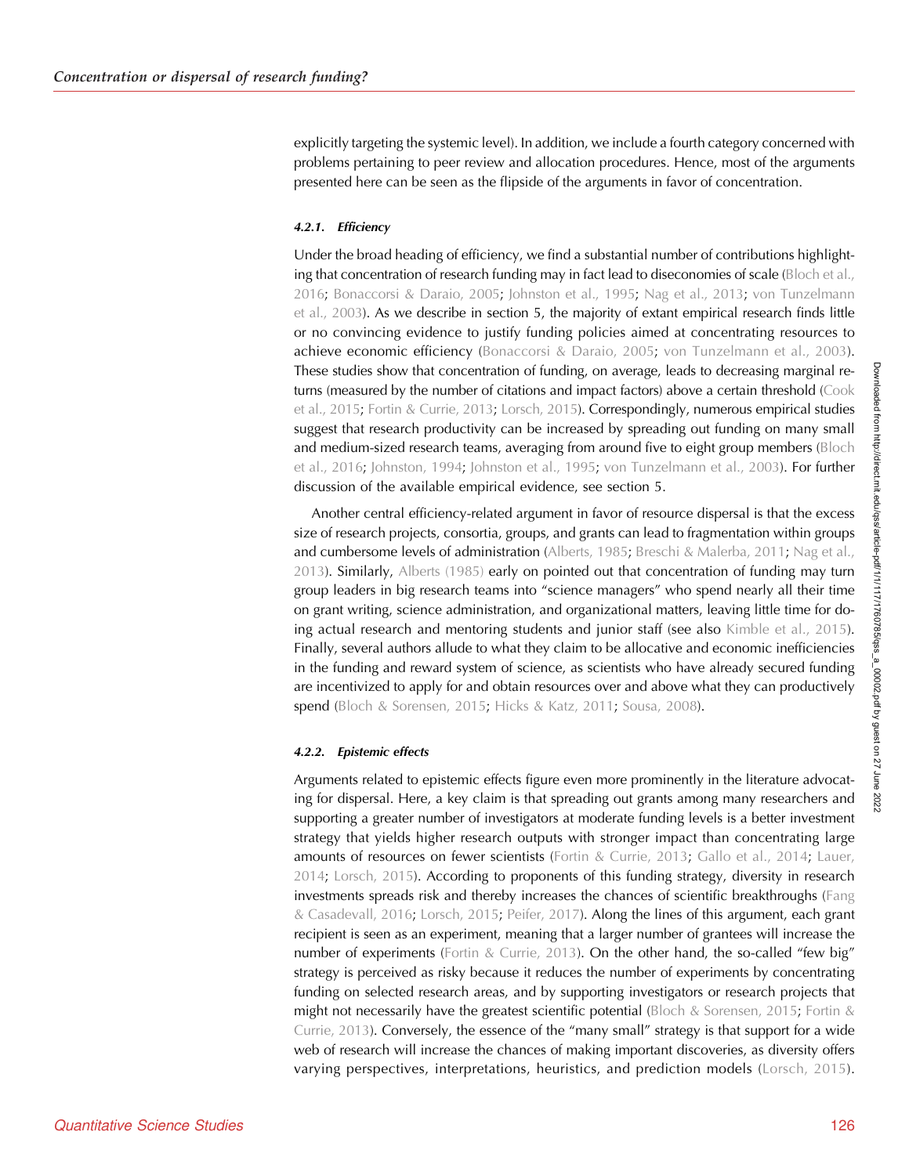explicitly targeting the systemic level). In addition, we include a fourth category concerned with problems pertaining to peer review and allocation procedures. Hence, most of the arguments presented here can be seen as the flipside of the arguments in favor of concentration.

## 4.2.1. Efficiency

Under the broad heading of efficiency, we find a substantial number of contributions highlighting that concentration of research funding may in fact lead to diseconomies of scale [\(Bloch et al.,](#page-23-0) [2016;](#page-23-0) [Bonaccorsi & Daraio, 2005;](#page-23-0) [Johnston et al., 1995;](#page-23-0) [Nag et al., 2013](#page-24-0); [von Tunzelmann](#page-24-0) [et al., 2003](#page-24-0)). As we describe in section 5, the majority of extant empirical research finds little or no convincing evidence to justify funding policies aimed at concentrating resources to achieve economic efficiency ([Bonaccorsi & Daraio, 2005;](#page-23-0) [von Tunzelmann et al., 2003\)](#page-24-0). These studies show that concentration of funding, on average, leads to decreasing marginal returns (measured by the number of citations and impact factors) above a certain threshold ([Cook](#page-23-0) [et al., 2015;](#page-23-0) [Fortin & Currie, 2013;](#page-23-0) [Lorsch, 2015](#page-24-0)). Correspondingly, numerous empirical studies suggest that research productivity can be increased by spreading out funding on many small and medium-sized research teams, averaging from around five to eight group members ([Bloch](#page-23-0) [et al., 2016;](#page-23-0) [Johnston, 1994](#page-23-0); [Johnston et al., 1995](#page-23-0); [von Tunzelmann et al., 2003](#page-24-0)). For further discussion of the available empirical evidence, see section 5.

Another central efficiency-related argument in favor of resource dispersal is that the excess size of research projects, consortia, groups, and grants can lead to fragmentation within groups and cumbersome levels of administration [\(Alberts, 1985](#page-22-0); [Breschi & Malerba, 2011](#page-23-0); [Nag et al.,](#page-24-0) [2013\)](#page-24-0). Similarly, [Alberts \(1985\)](#page-22-0) early on pointed out that concentration of funding may turn group leaders in big research teams into "science managers" who spend nearly all their time on grant writing, science administration, and organizational matters, leaving little time for doing actual research and mentoring students and junior staff (see also [Kimble et al., 2015\)](#page-23-0). Finally, several authors allude to what they claim to be allocative and economic inefficiencies in the funding and reward system of science, as scientists who have already secured funding are incentivized to apply for and obtain resources over and above what they can productively spend ([Bloch & Sorensen, 2015;](#page-23-0) [Hicks & Katz, 2011;](#page-23-0) [Sousa, 2008\)](#page-24-0).

## 4.2.2. Epistemic effects

Arguments related to epistemic effects figure even more prominently in the literature advocating for dispersal. Here, a key claim is that spreading out grants among many researchers and supporting a greater number of investigators at moderate funding levels is a better investment strategy that yields higher research outputs with stronger impact than concentrating large amounts of resources on fewer scientists [\(Fortin & Currie, 2013;](#page-23-0) [Gallo et al., 2014](#page-23-0); [Lauer,](#page-23-0) [2014;](#page-23-0) [Lorsch, 2015\)](#page-24-0). According to proponents of this funding strategy, diversity in research investments spreads risk and thereby increases the chances of scientific breakthroughs ([Fang](#page-23-0) [& Casadevall, 2016;](#page-23-0) [Lorsch, 2015](#page-24-0); [Peifer, 2017\)](#page-24-0). Along the lines of this argument, each grant recipient is seen as an experiment, meaning that a larger number of grantees will increase the number of experiments [\(Fortin & Currie, 2013\)](#page-23-0). On the other hand, the so-called "few big" strategy is perceived as risky because it reduces the number of experiments by concentrating funding on selected research areas, and by supporting investigators or research projects that might not necessarily have the greatest scientific potential [\(Bloch & Sorensen, 2015](#page-23-0); [Fortin &](#page-23-0) [Currie, 2013](#page-23-0)). Conversely, the essence of the "many small" strategy is that support for a wide web of research will increase the chances of making important discoveries, as diversity offers varying perspectives, interpretations, heuristics, and prediction models ([Lorsch, 2015\)](#page-24-0).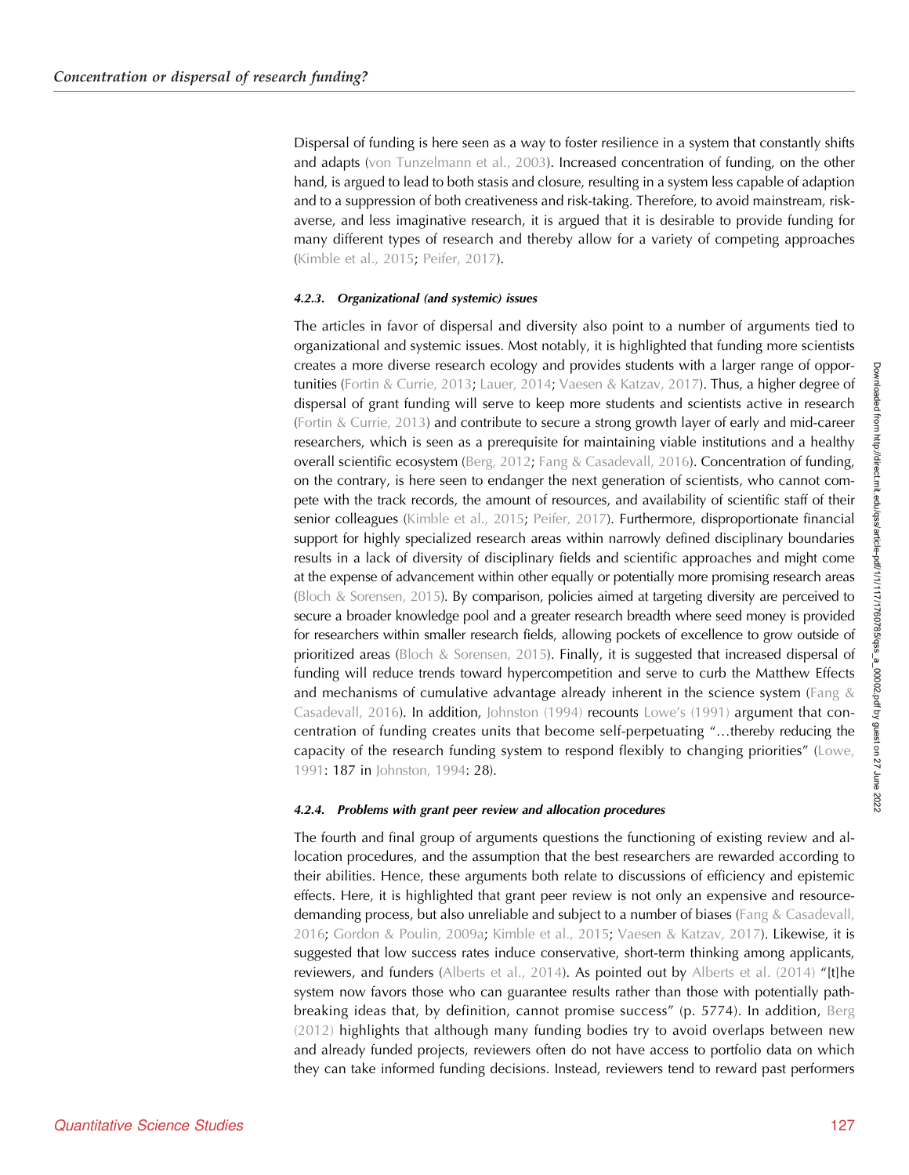Dispersal of funding is here seen as a way to foster resilience in a system that constantly shifts and adapts [\(von Tunzelmann et al., 2003](#page-24-0)). Increased concentration of funding, on the other hand, is argued to lead to both stasis and closure, resulting in a system less capable of adaption and to a suppression of both creativeness and risk-taking. Therefore, to avoid mainstream, riskaverse, and less imaginative research, it is argued that it is desirable to provide funding for many different types of research and thereby allow for a variety of competing approaches ([Kimble et al., 2015](#page-23-0); [Peifer, 2017\)](#page-24-0).

## 4.2.3. Organizational (and systemic) issues

The articles in favor of dispersal and diversity also point to a number of arguments tied to organizational and systemic issues. Most notably, it is highlighted that funding more scientists creates a more diverse research ecology and provides students with a larger range of oppor-tunities [\(Fortin & Currie, 2013](#page-23-0); [Lauer, 2014;](#page-23-0) [Vaesen & Katzav, 2017](#page-24-0)). Thus, a higher degree of dispersal of grant funding will serve to keep more students and scientists active in research ([Fortin & Currie, 2013](#page-23-0)) and contribute to secure a strong growth layer of early and mid-career researchers, which is seen as a prerequisite for maintaining viable institutions and a healthy overall scientific ecosystem ([Berg, 2012;](#page-23-0) [Fang & Casadevall, 2016\)](#page-23-0). Concentration of funding, on the contrary, is here seen to endanger the next generation of scientists, who cannot compete with the track records, the amount of resources, and availability of scientific staff of their senior colleagues [\(Kimble et al., 2015](#page-23-0); [Peifer, 2017\)](#page-24-0). Furthermore, disproportionate financial support for highly specialized research areas within narrowly defined disciplinary boundaries results in a lack of diversity of disciplinary fields and scientific approaches and might come at the expense of advancement within other equally or potentially more promising research areas (Bloch  $\&$  Sorensen, 2015). By comparison, policies aimed at targeting diversity are perceived to secure a broader knowledge pool and a greater research breadth where seed money is provided for researchers within smaller research fields, allowing pockets of excellence to grow outside of prioritized areas ([Bloch & Sorensen, 2015\)](#page-23-0). Finally, it is suggested that increased dispersal of funding will reduce trends toward hypercompetition and serve to curb the Matthew Effects and mechanisms of cumulative advantage already inherent in the science system (Fang  $\&$ [Casadevall, 2016\)](#page-23-0). In addition, [Johnston \(1994\)](#page-23-0) recounts Lowe'[s \(1991\)](#page-24-0) argument that concentration of funding creates units that become self-perpetuating "…thereby reducing the capacity of the research funding system to respond flexibly to changing priorities" ([Lowe,](#page-24-0) [1991:](#page-24-0) 187 in [Johnston, 1994:](#page-23-0) 28).

#### 4.2.4. Problems with grant peer review and allocation procedures

The fourth and final group of arguments questions the functioning of existing review and allocation procedures, and the assumption that the best researchers are rewarded according to their abilities. Hence, these arguments both relate to discussions of efficiency and epistemic effects. Here, it is highlighted that grant peer review is not only an expensive and resource-demanding process, but also unreliable and subject to a number of biases [\(Fang & Casadevall,](#page-23-0) [2016;](#page-23-0) [Gordon & Poulin, 2009a](#page-23-0); [Kimble et al., 2015;](#page-23-0) [Vaesen & Katzav, 2017\)](#page-24-0). Likewise, it is suggested that low success rates induce conservative, short-term thinking among applicants, reviewers, and funders [\(Alberts et al., 2014\)](#page-22-0). As pointed out by [Alberts et al. \(2014\)](#page-22-0) "[t]he system now favors those who can guarantee results rather than those with potentially pathbreaking ideas that, by definition, cannot promise success" (p. 5774). In addition, [Berg](#page-23-0) [\(2012\)](#page-23-0) highlights that although many funding bodies try to avoid overlaps between new and already funded projects, reviewers often do not have access to portfolio data on which they can take informed funding decisions. Instead, reviewers tend to reward past performers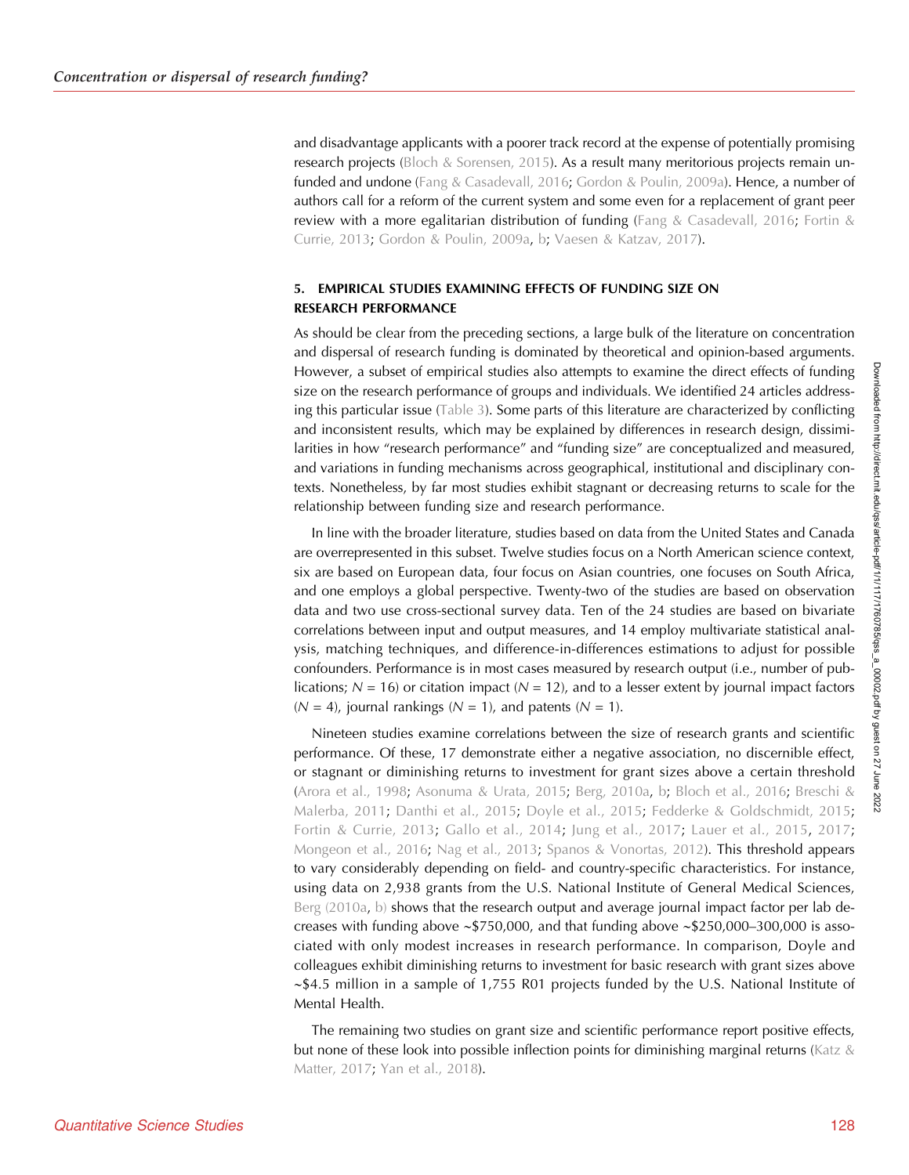and disadvantage applicants with a poorer track record at the expense of potentially promising research projects ([Bloch & Sorensen, 2015\)](#page-23-0). As a result many meritorious projects remain unfunded and undone [\(Fang & Casadevall, 2016](#page-23-0); [Gordon & Poulin, 2009a\)](#page-23-0). Hence, a number of authors call for a reform of the current system and some even for a replacement of grant peer review with a more egalitarian distribution of funding ([Fang & Casadevall, 2016;](#page-23-0) [Fortin &](#page-23-0) [Currie, 2013;](#page-23-0) [Gordon & Poulin, 2009a](#page-23-0), [b](#page-23-0); [Vaesen & Katzav, 2017](#page-24-0)).

## 5. EMPIRICAL STUDIES EXAMINING EFFECTS OF FUNDING SIZE ON RESEARCH PERFORMANCE

As should be clear from the preceding sections, a large bulk of the literature on concentration and dispersal of research funding is dominated by theoretical and opinion-based arguments. However, a subset of empirical studies also attempts to examine the direct effects of funding size on the research performance of groups and individuals. We identified 24 articles addressing this particular issue [\(Table 3\)](#page-12-0). Some parts of this literature are characterized by conflicting and inconsistent results, which may be explained by differences in research design, dissimilarities in how "research performance" and "funding size" are conceptualized and measured, and variations in funding mechanisms across geographical, institutional and disciplinary contexts. Nonetheless, by far most studies exhibit stagnant or decreasing returns to scale for the relationship between funding size and research performance.

In line with the broader literature, studies based on data from the United States and Canada are overrepresented in this subset. Twelve studies focus on a North American science context, six are based on European data, four focus on Asian countries, one focuses on South Africa, and one employs a global perspective. Twenty-two of the studies are based on observation data and two use cross-sectional survey data. Ten of the 24 studies are based on bivariate correlations between input and output measures, and 14 employ multivariate statistical analysis, matching techniques, and difference-in-differences estimations to adjust for possible confounders. Performance is in most cases measured by research output (i.e., number of publications;  $N = 16$ ) or citation impact ( $N = 12$ ), and to a lesser extent by journal impact factors  $(N = 4)$ , journal rankings  $(N = 1)$ , and patents  $(N = 1)$ .

Nineteen studies examine correlations between the size of research grants and scientific performance. Of these, 17 demonstrate either a negative association, no discernible effect, or stagnant or diminishing returns to investment for grant sizes above a certain threshold ([Arora et al., 1998](#page-22-0); [Asonuma & Urata, 2015;](#page-22-0) [Berg, 2010a,](#page-22-0) [b](#page-22-0); [Bloch et al., 2016;](#page-23-0) [Breschi &](#page-23-0) [Malerba, 2011](#page-23-0); [Danthi et al., 2015](#page-23-0); [Doyle et al., 2015;](#page-23-0) [Fedderke & Goldschmidt, 2015](#page-23-0); [Fortin & Currie, 2013](#page-23-0); [Gallo et al., 2014;](#page-23-0) [Jung et al., 2017](#page-23-0); [Lauer et al., 2015,](#page-23-0) [2017](#page-24-0); [Mongeon et al., 2016](#page-24-0); [Nag et al., 2013](#page-24-0); [Spanos & Vonortas, 2012](#page-24-0)). This threshold appears to vary considerably depending on field- and country-specific characteristics. For instance, using data on 2,938 grants from the U.S. National Institute of General Medical Sciences, [Berg \(2010a](#page-22-0), [b\)](#page-22-0) shows that the research output and average journal impact factor per lab decreases with funding above ∼\$750,000, and that funding above ∼\$250,000–300,000 is associated with only modest increases in research performance. In comparison, Doyle and colleagues exhibit diminishing returns to investment for basic research with grant sizes above ∼\$4.5 million in a sample of 1,755 R01 projects funded by the U.S. National Institute of Mental Health.

The remaining two studies on grant size and scientific performance report positive effects, but none of these look into possible inflection points for diminishing marginal returns ([Katz &](#page-23-0) [Matter, 2017;](#page-23-0) [Yan et al., 2018](#page-24-0)).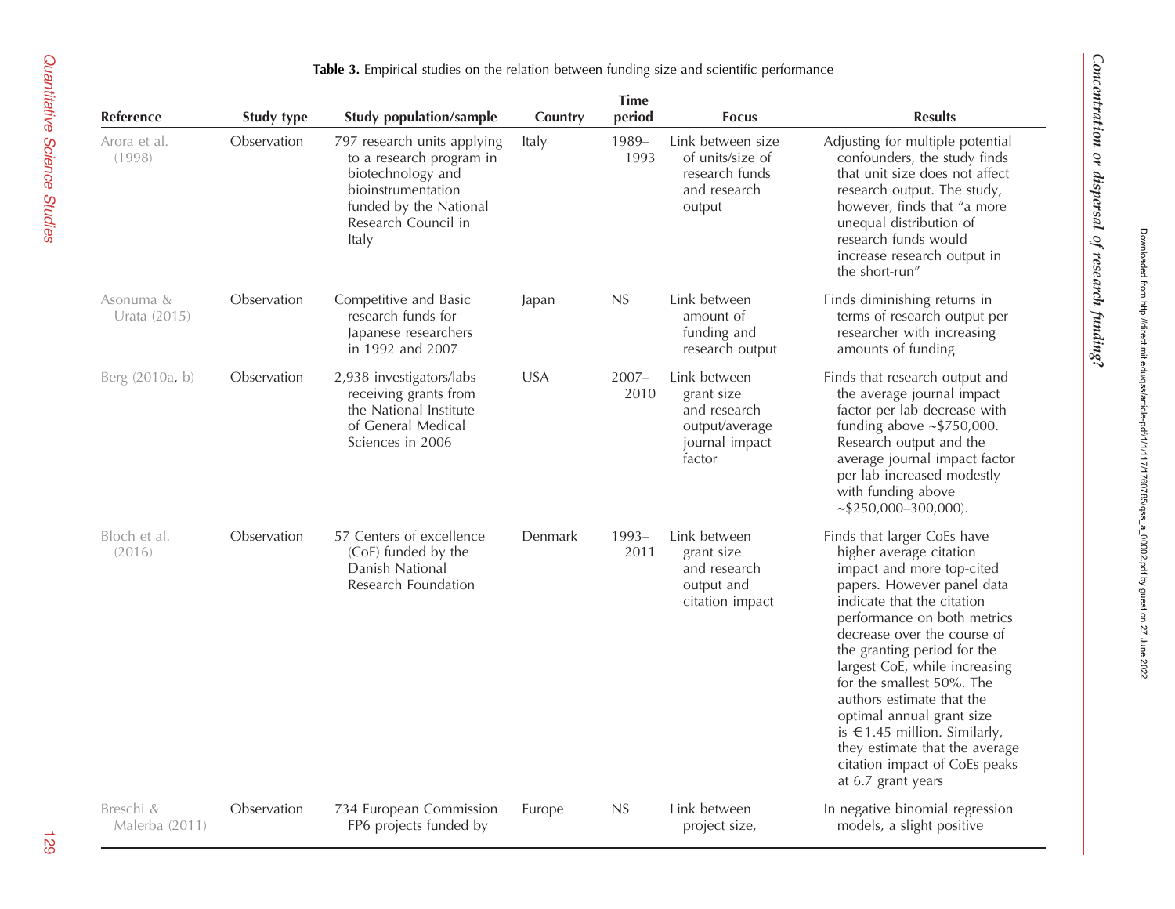Downloaded from http://direct.mit.edu/qss/article-pdf/1/1/117/1760785/qss\_a\_00002.pdf by guest on 27 June 2022

Downloaded from http://direct.mit.edu/qss/article-pdf/1/11171760785/qss\_a\_00002.pdf by guest on 27 June 2022

<span id="page-12-0"></span>

|                             |             |                                                                                                                                                              |            | <b>Time</b>      |                                                                                          |                                                                                                                                                                                                                                                                                                                                                                                                                                                                                                    |
|-----------------------------|-------------|--------------------------------------------------------------------------------------------------------------------------------------------------------------|------------|------------------|------------------------------------------------------------------------------------------|----------------------------------------------------------------------------------------------------------------------------------------------------------------------------------------------------------------------------------------------------------------------------------------------------------------------------------------------------------------------------------------------------------------------------------------------------------------------------------------------------|
| <b>Reference</b>            | Study type  | <b>Study population/sample</b>                                                                                                                               | Country    | period           | <b>Focus</b>                                                                             | <b>Results</b>                                                                                                                                                                                                                                                                                                                                                                                                                                                                                     |
| Arora et al.<br>(1998)      | Observation | 797 research units applying<br>to a research program in<br>biotechnology and<br>bioinstrumentation<br>funded by the National<br>Research Council in<br>Italy | Italy      | 1989-<br>1993    | Link between size<br>of units/size of<br>research funds<br>and research<br>output        | Adjusting for multiple potential<br>confounders, the study finds<br>that unit size does not affect<br>research output. The study,<br>however, finds that "a more<br>unequal distribution of<br>research funds would<br>increase research output in<br>the short-run"                                                                                                                                                                                                                               |
| Asonuma &<br>Urata (2015)   | Observation | Competitive and Basic<br>research funds for<br>Japanese researchers<br>in 1992 and 2007                                                                      | Japan      | NS               | Link between<br>amount of<br>funding and<br>research output                              | Finds diminishing returns in<br>terms of research output per<br>researcher with increasing<br>amounts of funding                                                                                                                                                                                                                                                                                                                                                                                   |
| Berg (2010a, b)             | Observation | 2,938 investigators/labs<br>receiving grants from<br>the National Institute<br>of General Medical<br>Sciences in 2006                                        | <b>USA</b> | $2007 -$<br>2010 | Link between<br>grant size<br>and research<br>output/average<br>journal impact<br>factor | Finds that research output and<br>the average journal impact<br>factor per lab decrease with<br>funding above $\sim$ \$750,000.<br>Research output and the<br>average journal impact factor<br>per lab increased modestly<br>with funding above<br>$\sim$ \$250,000-300,000).                                                                                                                                                                                                                      |
| Bloch et al.<br>(2016)      | Observation | 57 Centers of excellence<br>(CoE) funded by the<br>Danish National<br>Research Foundation                                                                    | Denmark    | $1993-$<br>2011  | Link between<br>grant size<br>and research<br>output and<br>citation impact              | Finds that larger CoEs have<br>higher average citation<br>impact and more top-cited<br>papers. However panel data<br>indicate that the citation<br>performance on both metrics<br>decrease over the course of<br>the granting period for the<br>largest CoE, while increasing<br>for the smallest 50%. The<br>authors estimate that the<br>optimal annual grant size<br>is $\in$ 1.45 million. Similarly,<br>they estimate that the average<br>citation impact of CoEs peaks<br>at 6.7 grant years |
| Breschi &<br>Malerba (2011) | Observation | 734 European Commission<br>FP6 projects funded by                                                                                                            | Europe     | NS               | Link between<br>project size,                                                            | In negative binomial regression<br>models, a slight positive                                                                                                                                                                                                                                                                                                                                                                                                                                       |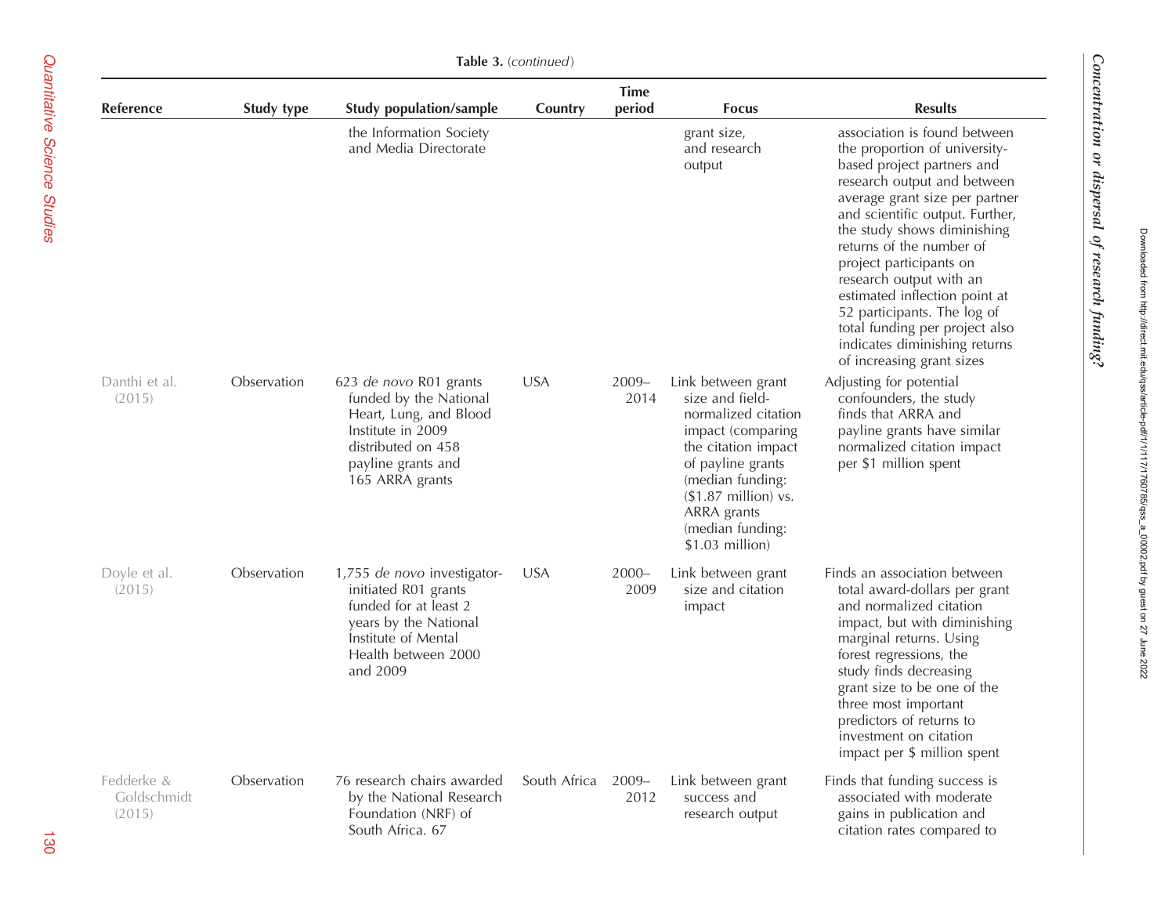|                                     | Table 3. (continued) |                                                                                                                                                                 |              |                       |                                                                                                                                                                                                                                  |                                                                                                                                                                                                                                                                                                                                                                                                                                                                                  |  |  |
|-------------------------------------|----------------------|-----------------------------------------------------------------------------------------------------------------------------------------------------------------|--------------|-----------------------|----------------------------------------------------------------------------------------------------------------------------------------------------------------------------------------------------------------------------------|----------------------------------------------------------------------------------------------------------------------------------------------------------------------------------------------------------------------------------------------------------------------------------------------------------------------------------------------------------------------------------------------------------------------------------------------------------------------------------|--|--|
| Reference                           | Study type           | <b>Study population/sample</b>                                                                                                                                  | Country      | <b>Time</b><br>period | <b>Focus</b>                                                                                                                                                                                                                     | <b>Results</b>                                                                                                                                                                                                                                                                                                                                                                                                                                                                   |  |  |
|                                     |                      | the Information Society<br>and Media Directorate                                                                                                                |              |                       | grant size,<br>and research<br>output                                                                                                                                                                                            | association is found between<br>the proportion of university-<br>based project partners and<br>research output and between<br>average grant size per partner<br>and scientific output. Further,<br>the study shows diminishing<br>returns of the number of<br>project participants on<br>research output with an<br>estimated inflection point at<br>52 participants. The log of<br>total funding per project also<br>indicates diminishing returns<br>of increasing grant sizes |  |  |
| Danthi et al.<br>(2015)             | Observation          | 623 de novo R01 grants<br>funded by the National<br>Heart, Lung, and Blood<br>Institute in 2009<br>distributed on 458<br>payline grants and<br>165 ARRA grants  | <b>USA</b>   | 2009-<br>2014         | Link between grant<br>size and field-<br>normalized citation<br>impact (comparing<br>the citation impact<br>of payline grants<br>(median funding:<br>$($1.87$ million) vs.<br>ARRA grants<br>(median funding:<br>\$1.03 million) | Adjusting for potential<br>confounders, the study<br>finds that ARRA and<br>payline grants have similar<br>normalized citation impact<br>per \$1 million spent                                                                                                                                                                                                                                                                                                                   |  |  |
| Doyle et al.<br>(2015)              | Observation          | 1,755 de novo investigator-<br>initiated R01 grants<br>funded for at least 2<br>years by the National<br>Institute of Mental<br>Health between 2000<br>and 2009 | <b>USA</b>   | $2000 -$<br>2009      | Link between grant<br>size and citation<br>impact                                                                                                                                                                                | Finds an association between<br>total award-dollars per grant<br>and normalized citation<br>impact, but with diminishing<br>marginal returns. Using<br>forest regressions, the<br>study finds decreasing<br>grant size to be one of the<br>three most important<br>predictors of returns to<br>investment on citation<br>impact per \$ million spent                                                                                                                             |  |  |
| Fedderke &<br>Goldschmidt<br>(2015) | Observation          | 76 research chairs awarded<br>by the National Research<br>Foundation (NRF) of<br>South Africa. 67                                                               | South Africa | $2009 -$<br>2012      | Link between grant<br>success and<br>research output                                                                                                                                                                             | Finds that funding success is<br>associated with moderate<br>gains in publication and<br>citation rates compared to                                                                                                                                                                                                                                                                                                                                                              |  |  |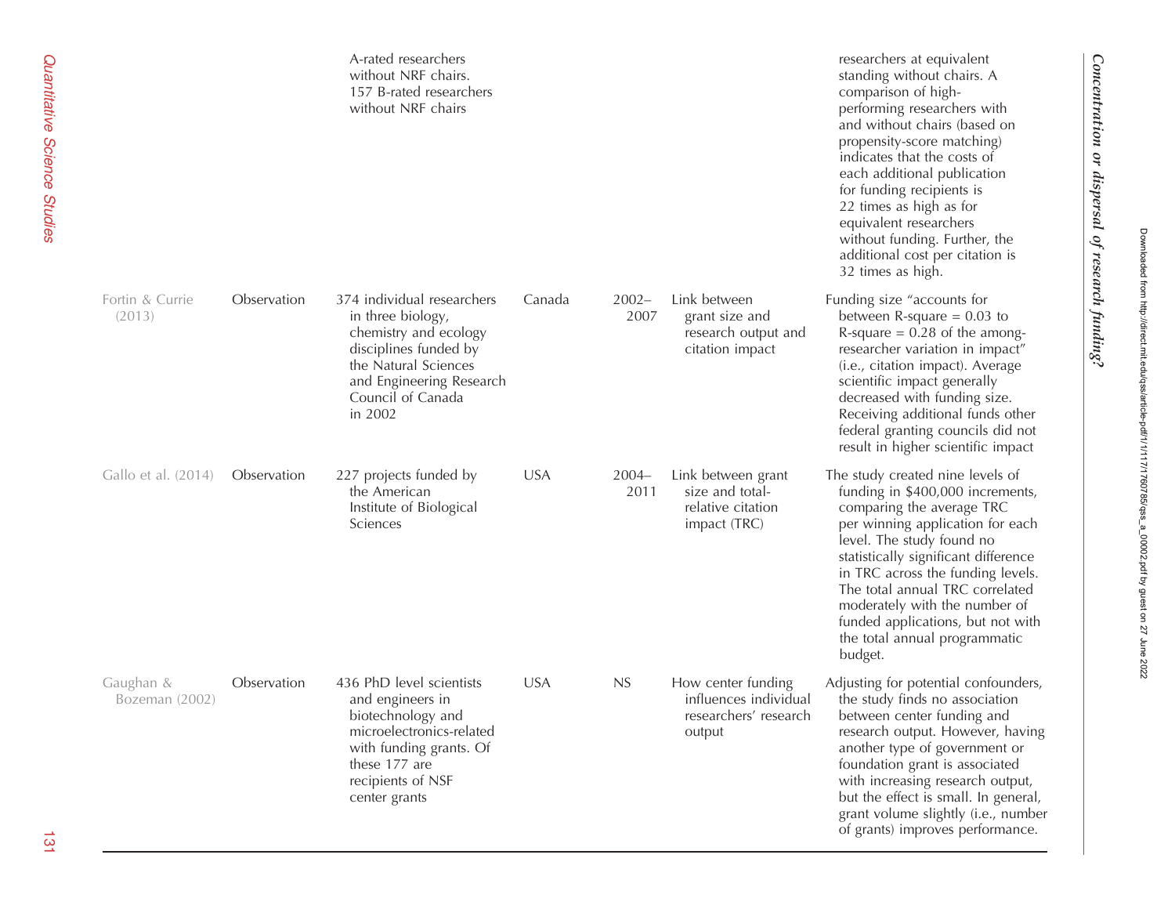|                             |             | A-rated researchers<br>without NRF chairs.<br>157 B-rated researchers<br>without NRF chairs                                                                                           |            |                  |                                                                                | researchers at equivalent<br>standing without chairs. A<br>comparison of high-<br>performing researchers with<br>and without chairs (based on<br>propensity-score matching)<br>indicates that the costs of<br>each additional publication<br>for funding recipients is<br>22 times as high as for<br>equivalent researchers<br>without funding. Further, the<br>additional cost per citation is<br>32 times as high. |
|-----------------------------|-------------|---------------------------------------------------------------------------------------------------------------------------------------------------------------------------------------|------------|------------------|--------------------------------------------------------------------------------|----------------------------------------------------------------------------------------------------------------------------------------------------------------------------------------------------------------------------------------------------------------------------------------------------------------------------------------------------------------------------------------------------------------------|
| Fortin & Currie<br>(2013)   | Observation | 374 individual researchers<br>in three biology,<br>chemistry and ecology<br>disciplines funded by<br>the Natural Sciences<br>and Engineering Research<br>Council of Canada<br>in 2002 | Canada     | $2002 -$<br>2007 | Link between<br>grant size and<br>research output and<br>citation impact       | Funding size "accounts for<br>between R-square $= 0.03$ to<br>R-square $= 0.28$ of the among-<br>researcher variation in impact"<br>(i.e., citation impact). Average<br>scientific impact generally<br>decreased with funding size.<br>Receiving additional funds other<br>federal granting councils did not<br>result in higher scientific impact                                                                   |
| Gallo et al. (2014)         | Observation | 227 projects funded by<br>the American<br>Institute of Biological<br>Sciences                                                                                                         | <b>USA</b> | $2004 -$<br>2011 | Link between grant<br>size and total-<br>relative citation<br>impact (TRC)     | The study created nine levels of<br>funding in \$400,000 increments,<br>comparing the average TRC<br>per winning application for each<br>level. The study found no<br>statistically significant difference<br>in TRC across the funding levels.<br>The total annual TRC correlated<br>moderately with the number of<br>funded applications, but not with<br>the total annual programmatic<br>budget.                 |
| Gaughan &<br>Bozeman (2002) | Observation | 436 PhD level scientists<br>and engineers in<br>biotechnology and<br>microelectronics-related<br>with funding grants. Of<br>these 177 are<br>recipients of NSF<br>center grants       | <b>USA</b> | <b>NS</b>        | How center funding<br>influences individual<br>researchers' research<br>output | Adjusting for potential confounders,<br>the study finds no association<br>between center funding and<br>research output. However, having<br>another type of government or<br>foundation grant is associated<br>with increasing research output,<br>but the effect is small. In general,<br>grant volume slightly (i.e., number<br>of grants) improves performance.                                                   |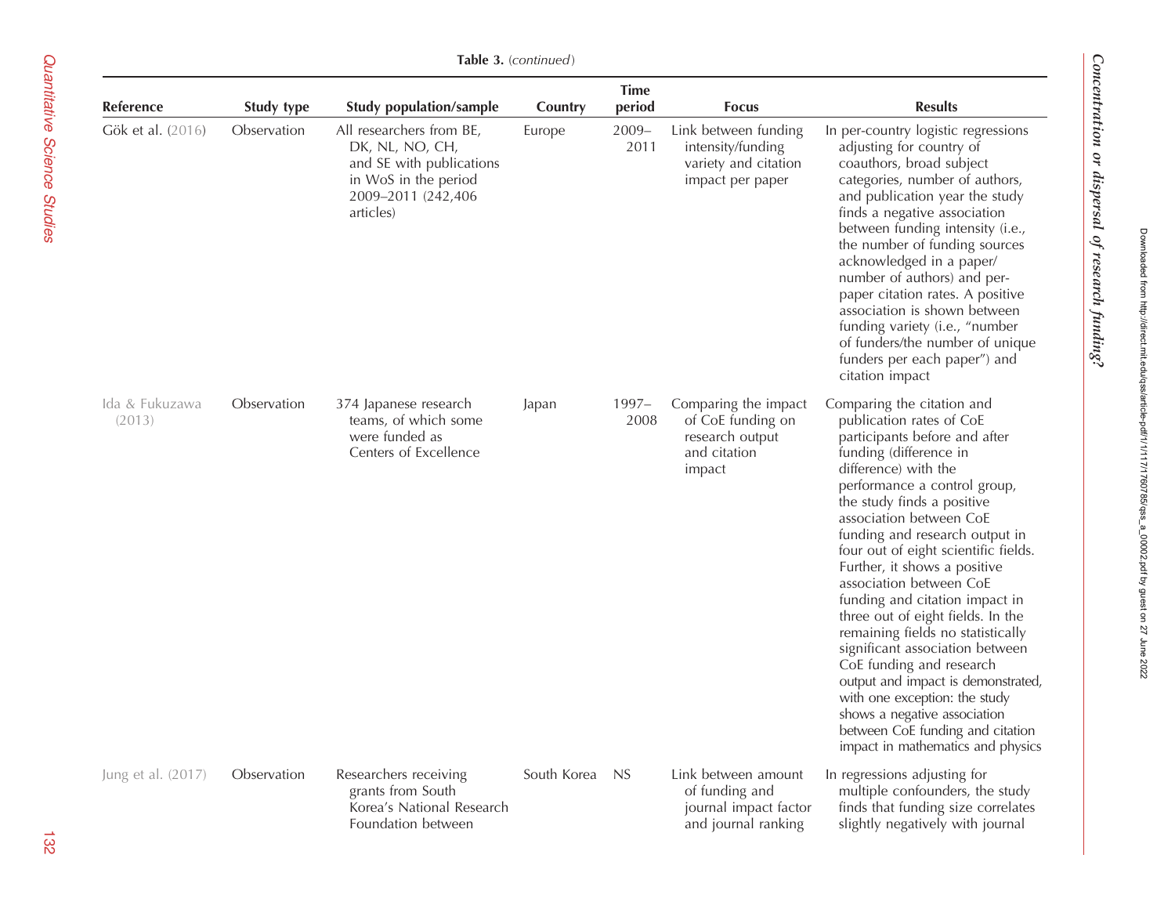| Table 3. (continued)     |             |                                                                                                                                    |             |                       |                                                                                        |                                                                                                                                                                                                                                                                                                                                                                                                                                                                                                                                                                                                                                                                                                                                    |  |
|--------------------------|-------------|------------------------------------------------------------------------------------------------------------------------------------|-------------|-----------------------|----------------------------------------------------------------------------------------|------------------------------------------------------------------------------------------------------------------------------------------------------------------------------------------------------------------------------------------------------------------------------------------------------------------------------------------------------------------------------------------------------------------------------------------------------------------------------------------------------------------------------------------------------------------------------------------------------------------------------------------------------------------------------------------------------------------------------------|--|
| Reference                | Study type  | <b>Study population/sample</b>                                                                                                     | Country     | <b>Time</b><br>period | <b>Focus</b>                                                                           | <b>Results</b>                                                                                                                                                                                                                                                                                                                                                                                                                                                                                                                                                                                                                                                                                                                     |  |
| Gök et al. (2016)        | Observation | All researchers from BE,<br>DK, NL, NO, CH,<br>and SE with publications<br>in WoS in the period<br>2009-2011 (242,406<br>articles) | Europe      | $2009 -$<br>2011      | Link between funding<br>intensity/funding<br>variety and citation<br>impact per paper  | In per-country logistic regressions<br>adjusting for country of<br>coauthors, broad subject<br>categories, number of authors,<br>and publication year the study<br>finds a negative association<br>between funding intensity (i.e.,<br>the number of funding sources<br>acknowledged in a paper/<br>number of authors) and per-<br>paper citation rates. A positive<br>association is shown between<br>funding variety (i.e., "number<br>of funders/the number of unique<br>funders per each paper") and<br>citation impact                                                                                                                                                                                                        |  |
| Ida & Fukuzawa<br>(2013) | Observation | 374 Japanese research<br>teams, of which some<br>were funded as<br>Centers of Excellence                                           | Japan       | 1997-<br>2008         | Comparing the impact<br>of CoE funding on<br>research output<br>and citation<br>impact | Comparing the citation and<br>publication rates of CoE<br>participants before and after<br>funding (difference in<br>difference) with the<br>performance a control group,<br>the study finds a positive<br>association between CoE<br>funding and research output in<br>four out of eight scientific fields.<br>Further, it shows a positive<br>association between CoE<br>funding and citation impact in<br>three out of eight fields. In the<br>remaining fields no statistically<br>significant association between<br>CoE funding and research<br>output and impact is demonstrated,<br>with one exception: the study<br>shows a negative association<br>between CoE funding and citation<br>impact in mathematics and physics |  |
| Jung et al. (2017)       | Observation | Researchers receiving<br>grants from South<br>Korea's National Research<br>Foundation between                                      | South Korea | <b>NS</b>             | Link between amount<br>of funding and<br>journal impact factor<br>and journal ranking  | In regressions adjusting for<br>multiple confounders, the study<br>finds that funding size correlates<br>slightly negatively with journal                                                                                                                                                                                                                                                                                                                                                                                                                                                                                                                                                                                          |  |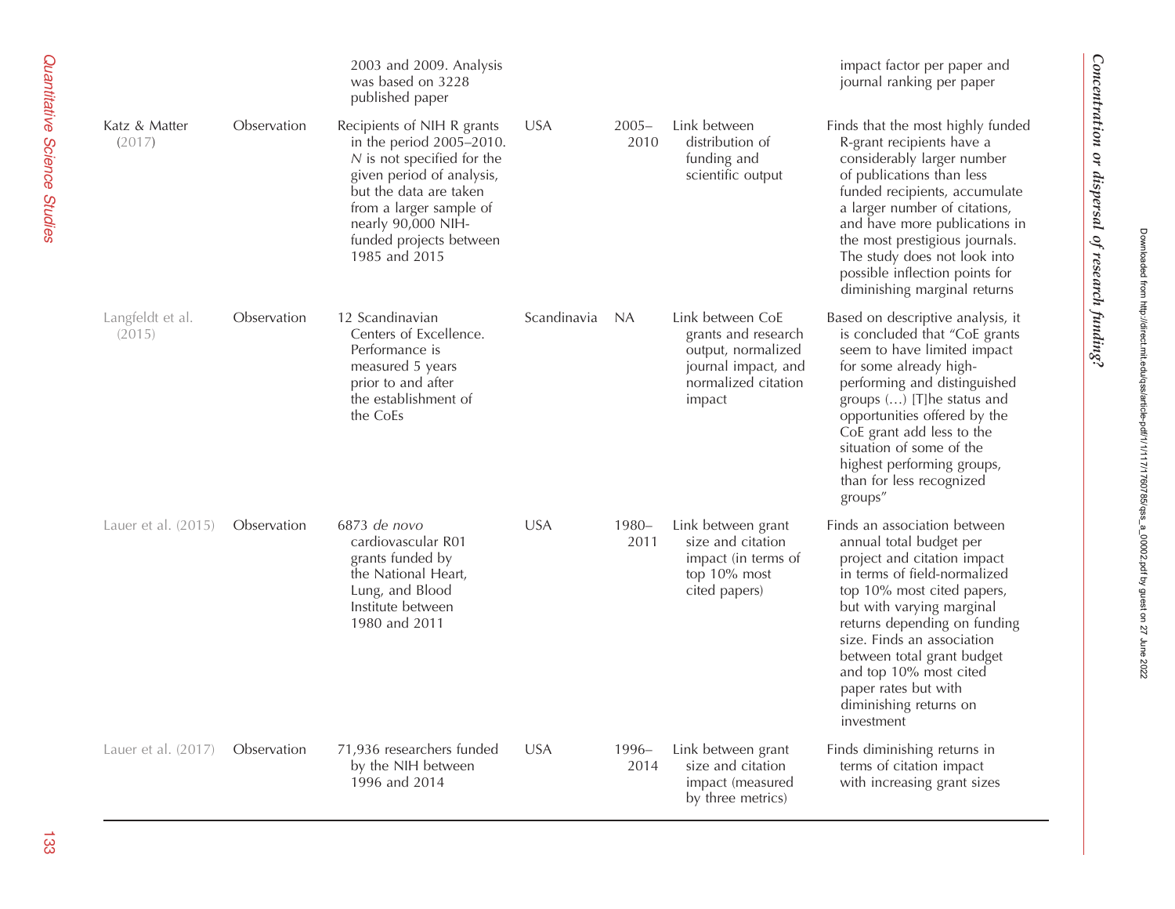|                            |             | 2003 and 2009. Analysis<br>was based on 3228<br>published paper                                                                                                                                                                            |             |                  |                                                                                                                       | impact factor per paper and<br>journal ranking per paper                                                                                                                                                                                                                                                                                                                |
|----------------------------|-------------|--------------------------------------------------------------------------------------------------------------------------------------------------------------------------------------------------------------------------------------------|-------------|------------------|-----------------------------------------------------------------------------------------------------------------------|-------------------------------------------------------------------------------------------------------------------------------------------------------------------------------------------------------------------------------------------------------------------------------------------------------------------------------------------------------------------------|
| Katz & Matter<br>(2017)    | Observation | Recipients of NIH R grants<br>in the period 2005-2010.<br>$N$ is not specified for the<br>given period of analysis,<br>but the data are taken<br>from a larger sample of<br>nearly 90,000 NIH-<br>funded projects between<br>1985 and 2015 | <b>USA</b>  | $2005 -$<br>2010 | Link between<br>distribution of<br>funding and<br>scientific output                                                   | Finds that the most highly funded<br>R-grant recipients have a<br>considerably larger number<br>of publications than less<br>funded recipients, accumulate<br>a larger number of citations,<br>and have more publications in<br>the most prestigious journals.<br>The study does not look into<br>possible inflection points for<br>diminishing marginal returns        |
| Langfeldt et al.<br>(2015) | Observation | 12 Scandinavian<br>Centers of Excellence.<br>Performance is<br>measured 5 years<br>prior to and after<br>the establishment of<br>the CoEs                                                                                                  | Scandinavia | - NA             | Link between CoE<br>grants and research<br>output, normalized<br>journal impact, and<br>normalized citation<br>impact | Based on descriptive analysis, it<br>is concluded that "CoE grants<br>seem to have limited impact<br>for some already high-<br>performing and distinguished<br>groups () [T]he status and<br>opportunities offered by the<br>CoE grant add less to the<br>situation of some of the<br>highest performing groups,<br>than for less recognized<br>groups"                 |
| Lauer et al. (2015)        | Observation | 6873 de novo<br>cardiovascular R01<br>grants funded by<br>the National Heart,<br>Lung, and Blood<br>Institute between<br>1980 and 2011                                                                                                     | <b>USA</b>  | 1980-<br>2011    | Link between grant<br>size and citation<br>impact (in terms of<br>top 10% most<br>cited papers)                       | Finds an association between<br>annual total budget per<br>project and citation impact<br>in terms of field-normalized<br>top 10% most cited papers,<br>but with varying marginal<br>returns depending on funding<br>size. Finds an association<br>between total grant budget<br>and top 10% most cited<br>paper rates but with<br>diminishing returns on<br>investment |
| Lauer et al. (2017)        | Observation | 71,936 researchers funded<br>by the NIH between<br>1996 and 2014                                                                                                                                                                           | <b>USA</b>  | $1996-$<br>2014  | Link between grant<br>size and citation<br>impact (measured<br>by three metrics)                                      | Finds diminishing returns in<br>terms of citation impact<br>with increasing grant sizes                                                                                                                                                                                                                                                                                 |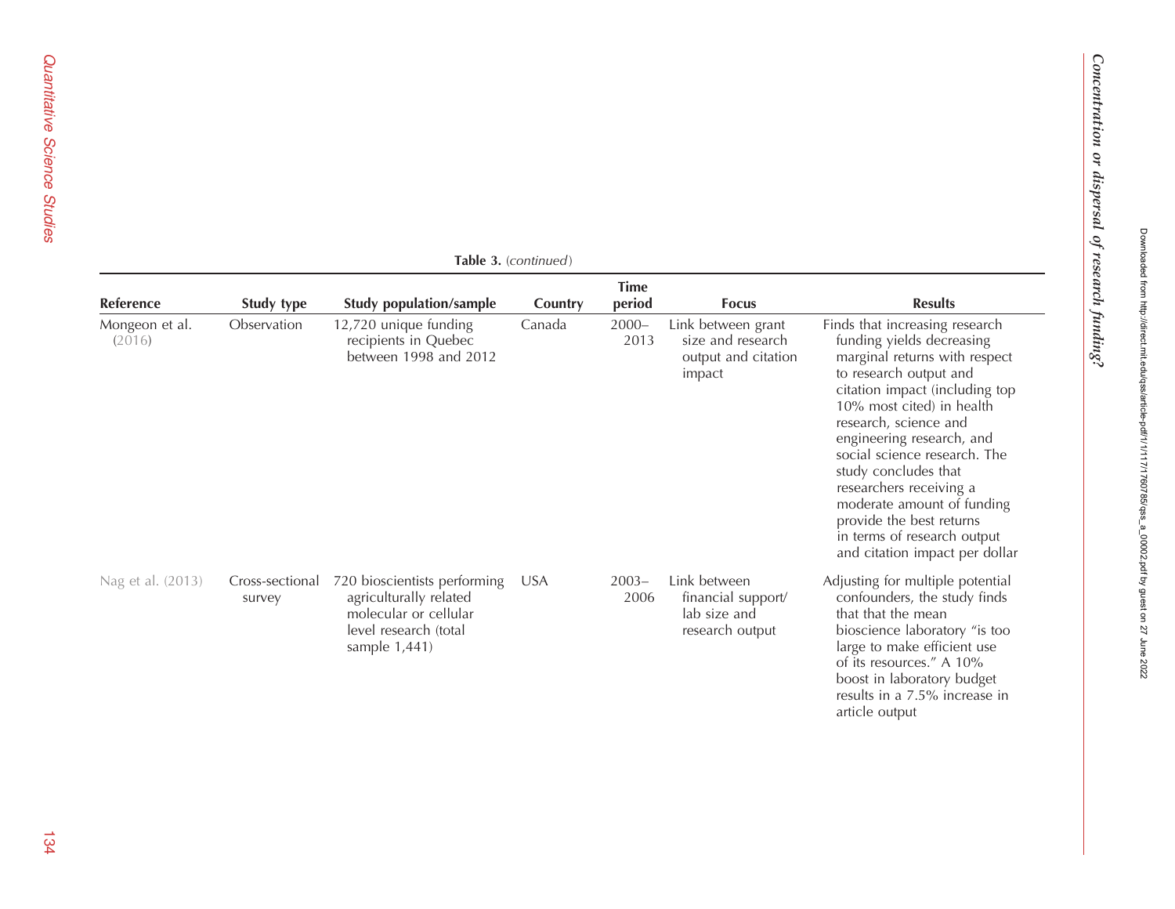|                          | <b>Table 3.</b> (continued) |                                                                                                                           |            |                       |                                                                          |                                                                                                                                                                                                                                                                                                                                                                                                                                                           |  |  |
|--------------------------|-----------------------------|---------------------------------------------------------------------------------------------------------------------------|------------|-----------------------|--------------------------------------------------------------------------|-----------------------------------------------------------------------------------------------------------------------------------------------------------------------------------------------------------------------------------------------------------------------------------------------------------------------------------------------------------------------------------------------------------------------------------------------------------|--|--|
| Reference                | Study type                  | <b>Study population/sample</b>                                                                                            | Country    | <b>Time</b><br>period | <b>Focus</b>                                                             | <b>Results</b>                                                                                                                                                                                                                                                                                                                                                                                                                                            |  |  |
| Mongeon et al.<br>(2016) | Observation                 | 12,720 unique funding<br>recipients in Quebec<br>between 1998 and 2012                                                    | Canada     | $2000 -$<br>2013      | Link between grant<br>size and research<br>output and citation<br>impact | Finds that increasing research<br>funding yields decreasing<br>marginal returns with respect<br>to research output and<br>citation impact (including top<br>10% most cited) in health<br>research, science and<br>engineering research, and<br>social science research. The<br>study concludes that<br>researchers receiving a<br>moderate amount of funding<br>provide the best returns<br>in terms of research output<br>and citation impact per dollar |  |  |
| Nag et al. (2013)        | Cross-sectional<br>survey   | 720 bioscientists performing<br>agriculturally related<br>molecular or cellular<br>level research (total<br>sample 1,441) | <b>USA</b> | $2003 -$<br>2006      | Link between<br>financial support/<br>lab size and<br>research output    | Adjusting for multiple potential<br>confounders, the study finds<br>that that the mean<br>bioscience laboratory "is too<br>large to make efficient use<br>of its resources." A 10%<br>boost in laboratory budget<br>results in a 7.5% increase in<br>article output                                                                                                                                                                                       |  |  |

Table 3. (continued)

Concentration or dispersal of research funding?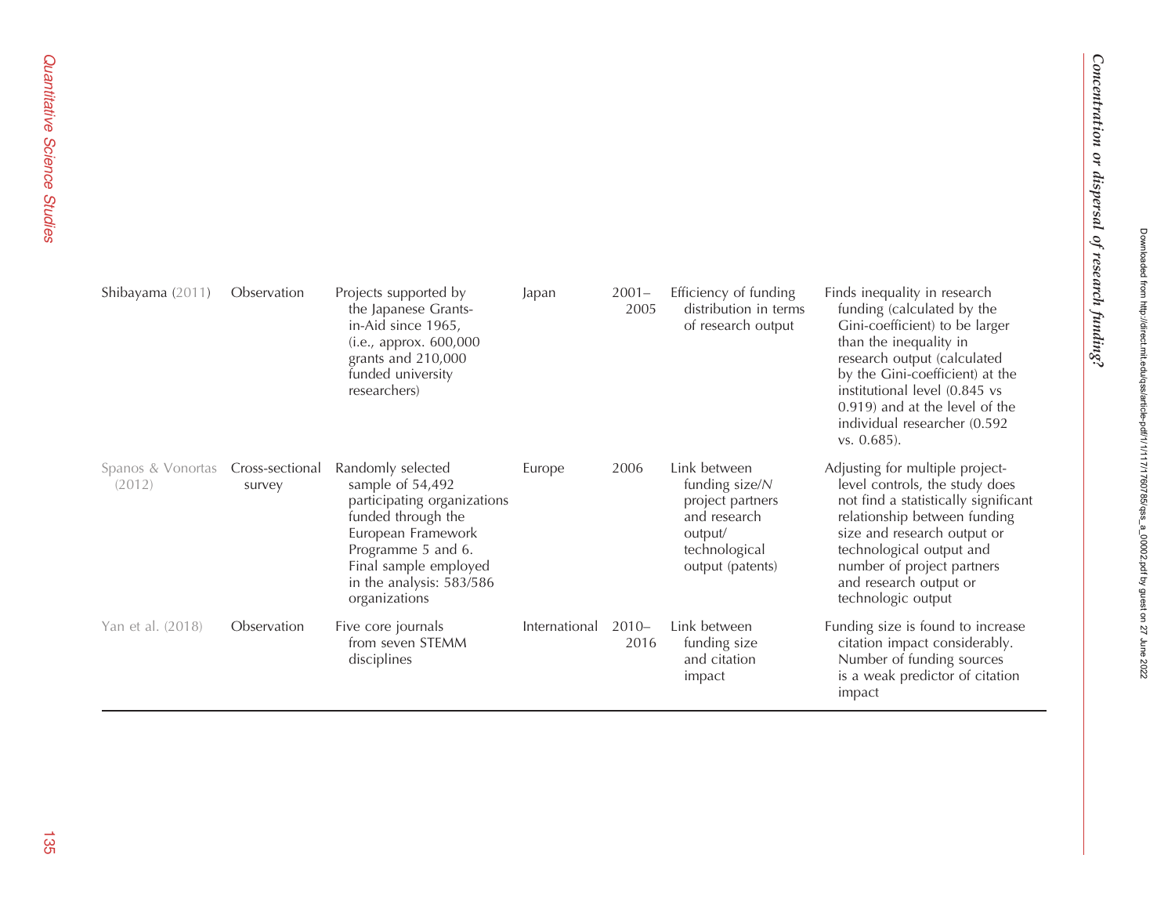| Shibayama (2011)            | Observation               | Projects supported by<br>the Japanese Grants-<br>in-Aid since 1965,<br>(i.e., approx. 600,000<br>grants and 210,000<br>funded university<br>researchers)                                                     | Japan         | $2001 -$<br>2005 | Efficiency of funding<br>distribution in terms<br>of research output                                               | Finds inequality in research<br>funding (calculated by the<br>Gini-coefficient) to be larger<br>than the inequality in<br>research output (calculated<br>by the Gini-coefficient) at the<br>institutional level (0.845 vs<br>0.919) and at the level of the<br>individual researcher (0.592<br>$vs. 0.685$ ). |
|-----------------------------|---------------------------|--------------------------------------------------------------------------------------------------------------------------------------------------------------------------------------------------------------|---------------|------------------|--------------------------------------------------------------------------------------------------------------------|---------------------------------------------------------------------------------------------------------------------------------------------------------------------------------------------------------------------------------------------------------------------------------------------------------------|
| Spanos & Vonortas<br>(2012) | Cross-sectional<br>survey | Randomly selected<br>sample of 54,492<br>participating organizations<br>funded through the<br>European Framework<br>Programme 5 and 6.<br>Final sample employed<br>in the analysis: 583/586<br>organizations | Europe        | 2006             | Link between<br>funding size/N<br>project partners<br>and research<br>output/<br>technological<br>output (patents) | Adjusting for multiple project-<br>level controls, the study does<br>not find a statistically significant<br>relationship between funding<br>size and research output or<br>technological output and<br>number of project partners<br>and research output or<br>technologic output                            |
| Yan et al. (2018)           | Observation               | Five core journals<br>from seven STEMM<br>disciplines                                                                                                                                                        | International | $2010 -$<br>2016 | Link between<br>funding size<br>and citation<br>impact                                                             | Funding size is found to increase<br>citation impact considerably.<br>Number of funding sources<br>is a weak predictor of citation<br>impact                                                                                                                                                                  |

Downloaded from http://direct.mit.edu/qss/article-pdf/1/1/117/1760785/qss\_a\_00002.pdf by guest on 27 June 2022

Downloaded from http://direct.mit.edu/qss/article-pdf11/111717760785/qss\_a\_00002.pdf by guest on 27 June 2022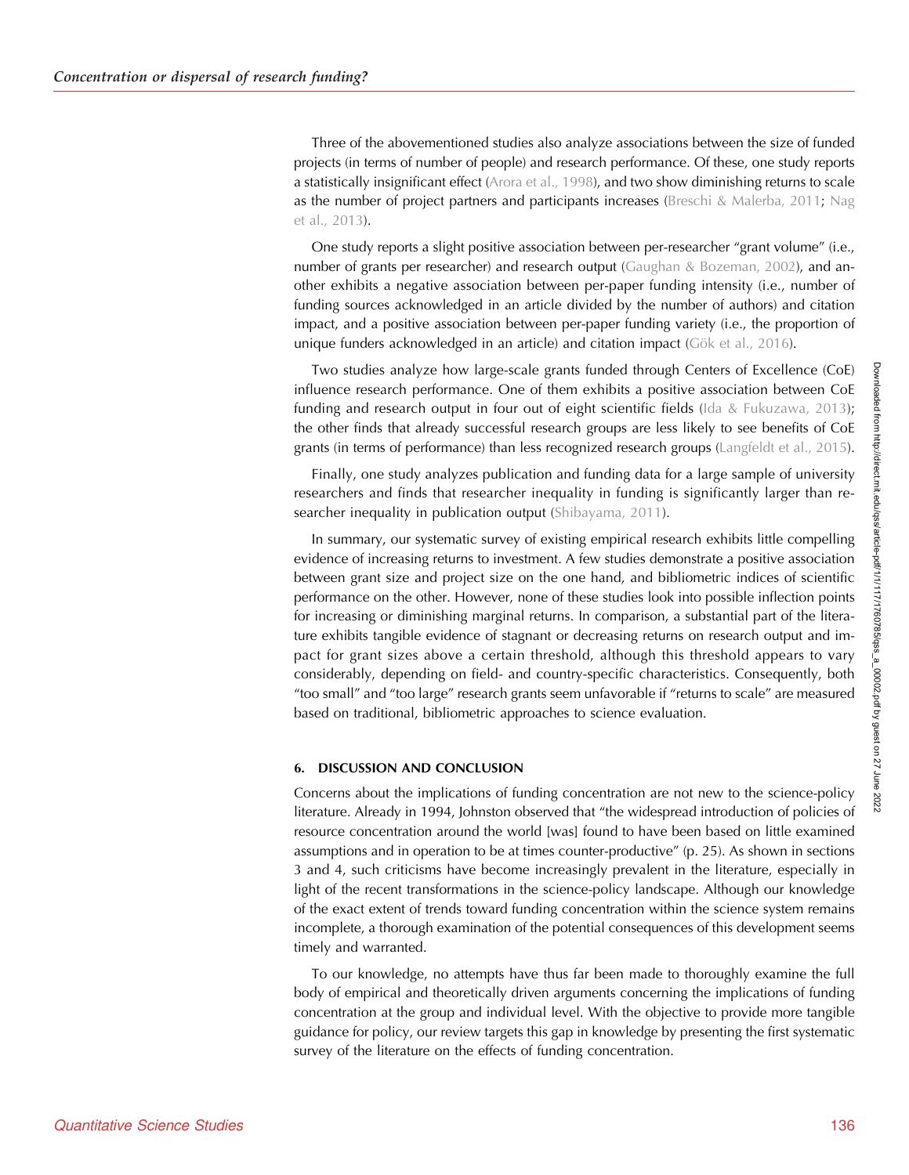Three of the abovementioned studies also analyze associations between the size of funded projects (in terms of number of people) and research performance. Of these, one study reports a statistically insignificant effect ([Arora et al., 1998\)](#page-22-0), and two show diminishing returns to scale as the number of project partners and participants increases ([Breschi & Malerba, 2011](#page-23-0); [Nag](#page-24-0) [et al., 2013\)](#page-24-0).

One study reports a slight positive association between per-researcher "grant volume" (i.e., number of grants per researcher) and research output [\(Gaughan & Bozeman, 2002](#page-23-0)), and another exhibits a negative association between per-paper funding intensity (i.e., number of funding sources acknowledged in an article divided by the number of authors) and citation impact, and a positive association between per-paper funding variety (i.e., the proportion of unique funders acknowledged in an article) and citation impact [\(Gök et al., 2016\)](#page-23-0).

Two studies analyze how large-scale grants funded through Centers of Excellence (CoE) influence research performance. One of them exhibits a positive association between CoE funding and research output in four out of eight scientific fields ([Ida & Fukuzawa, 2013\)](#page-23-0); the other finds that already successful research groups are less likely to see benefits of CoE grants (in terms of performance) than less recognized research groups ([Langfeldt et al., 2015\)](#page-23-0).

Finally, one study analyzes publication and funding data for a large sample of university researchers and finds that researcher inequality in funding is significantly larger than re-searcher inequality in publication output ([Shibayama, 2011](#page-24-0)).

In summary, our systematic survey of existing empirical research exhibits little compelling evidence of increasing returns to investment. A few studies demonstrate a positive association between grant size and project size on the one hand, and bibliometric indices of scientific performance on the other. However, none of these studies look into possible inflection points for increasing or diminishing marginal returns. In comparison, a substantial part of the literature exhibits tangible evidence of stagnant or decreasing returns on research output and impact for grant sizes above a certain threshold, although this threshold appears to vary considerably, depending on field- and country-specific characteristics. Consequently, both "too small" and "too large" research grants seem unfavorable if "returns to scale" are measured based on traditional, bibliometric approaches to science evaluation.

## 6. DISCUSSION AND CONCLUSION

Concerns about the implications of funding concentration are not new to the science-policy literature. Already in 1994, Johnston observed that "the widespread introduction of policies of resource concentration around the world [was] found to have been based on little examined assumptions and in operation to be at times counter-productive" (p. 25). As shown in sections 3 and 4, such criticisms have become increasingly prevalent in the literature, especially in light of the recent transformations in the science-policy landscape. Although our knowledge of the exact extent of trends toward funding concentration within the science system remains incomplete, a thorough examination of the potential consequences of this development seems timely and warranted.

To our knowledge, no attempts have thus far been made to thoroughly examine the full body of empirical and theoretically driven arguments concerning the implications of funding concentration at the group and individual level. With the objective to provide more tangible guidance for policy, our review targets this gap in knowledge by presenting the first systematic survey of the literature on the effects of funding concentration.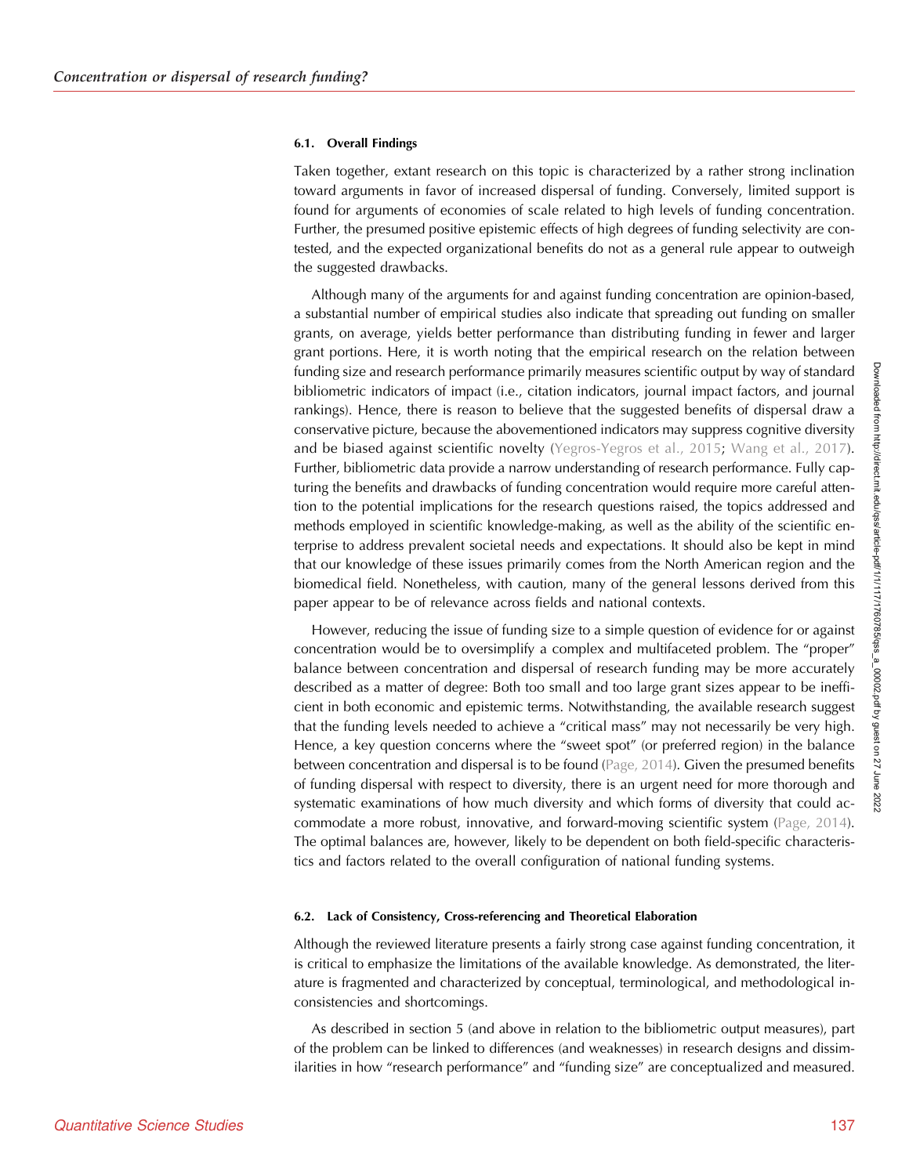Downloaded from http://direct.mit.edu/qss/article-pdf/1/1/117/1760785/qss\_a\_00002.pdf by guest on 27 June 20220ownloaded from http://direct.mit.edu/qss/article-pdf/1/1/117/1760785/qss\_a\_00002.pdf by guest on

27 June

## 6.1. Overall Findings

Taken together, extant research on this topic is characterized by a rather strong inclination toward arguments in favor of increased dispersal of funding. Conversely, limited support is found for arguments of economies of scale related to high levels of funding concentration. Further, the presumed positive epistemic effects of high degrees of funding selectivity are contested, and the expected organizational benefits do not as a general rule appear to outweigh the suggested drawbacks.

Although many of the arguments for and against funding concentration are opinion-based, a substantial number of empirical studies also indicate that spreading out funding on smaller grants, on average, yields better performance than distributing funding in fewer and larger grant portions. Here, it is worth noting that the empirical research on the relation between funding size and research performance primarily measures scientific output by way of standard bibliometric indicators of impact (i.e., citation indicators, journal impact factors, and journal rankings). Hence, there is reason to believe that the suggested benefits of dispersal draw a conservative picture, because the abovementioned indicators may suppress cognitive diversity and be biased against scientific novelty ([Yegros-Yegros et al., 2015](#page-24-0); [Wang et al., 2017\)](#page-24-0). Further, bibliometric data provide a narrow understanding of research performance. Fully capturing the benefits and drawbacks of funding concentration would require more careful attention to the potential implications for the research questions raised, the topics addressed and methods employed in scientific knowledge-making, as well as the ability of the scientific enterprise to address prevalent societal needs and expectations. It should also be kept in mind that our knowledge of these issues primarily comes from the North American region and the biomedical field. Nonetheless, with caution, many of the general lessons derived from this paper appear to be of relevance across fields and national contexts.

However, reducing the issue of funding size to a simple question of evidence for or against concentration would be to oversimplify a complex and multifaceted problem. The "proper" balance between concentration and dispersal of research funding may be more accurately described as a matter of degree: Both too small and too large grant sizes appear to be inefficient in both economic and epistemic terms. Notwithstanding, the available research suggest that the funding levels needed to achieve a "critical mass" may not necessarily be very high. Hence, a key question concerns where the "sweet spot" (or preferred region) in the balance between concentration and dispersal is to be found [\(Page, 2014](#page-24-0)). Given the presumed benefits of funding dispersal with respect to diversity, there is an urgent need for more thorough and systematic examinations of how much diversity and which forms of diversity that could accommodate a more robust, innovative, and forward-moving scientific system ([Page, 2014\)](#page-24-0). The optimal balances are, however, likely to be dependent on both field-specific characteristics and factors related to the overall configuration of national funding systems.

## 6.2. Lack of Consistency, Cross-referencing and Theoretical Elaboration

Although the reviewed literature presents a fairly strong case against funding concentration, it is critical to emphasize the limitations of the available knowledge. As demonstrated, the literature is fragmented and characterized by conceptual, terminological, and methodological inconsistencies and shortcomings.

As described in section 5 (and above in relation to the bibliometric output measures), part of the problem can be linked to differences (and weaknesses) in research designs and dissimilarities in how "research performance" and "funding size" are conceptualized and measured.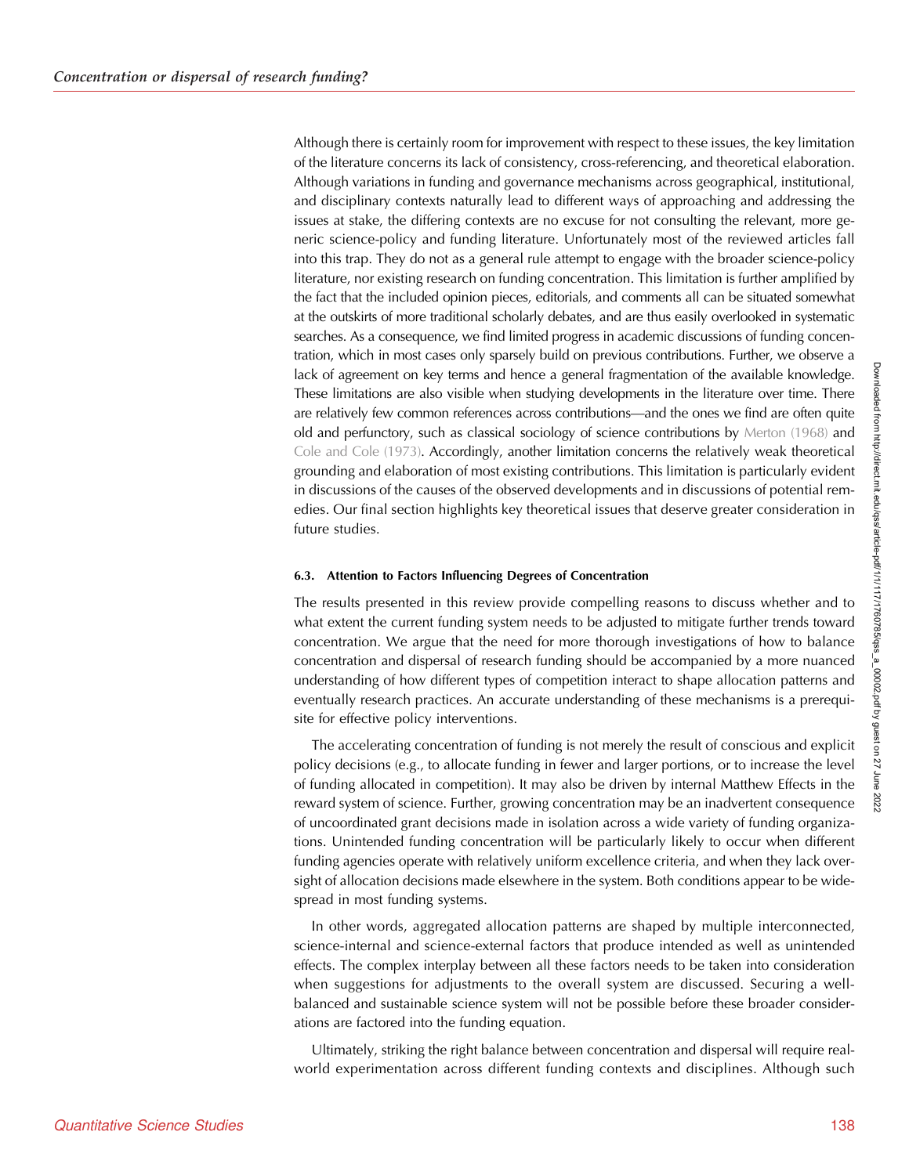Although there is certainly room for improvement with respect to these issues, the key limitation of the literature concerns its lack of consistency, cross-referencing, and theoretical elaboration. Although variations in funding and governance mechanisms across geographical, institutional, and disciplinary contexts naturally lead to different ways of approaching and addressing the issues at stake, the differing contexts are no excuse for not consulting the relevant, more generic science-policy and funding literature. Unfortunately most of the reviewed articles fall into this trap. They do not as a general rule attempt to engage with the broader science-policy literature, nor existing research on funding concentration. This limitation is further amplified by the fact that the included opinion pieces, editorials, and comments all can be situated somewhat at the outskirts of more traditional scholarly debates, and are thus easily overlooked in systematic searches. As a consequence, we find limited progress in academic discussions of funding concentration, which in most cases only sparsely build on previous contributions. Further, we observe a lack of agreement on key terms and hence a general fragmentation of the available knowledge. These limitations are also visible when studying developments in the literature over time. There are relatively few common references across contributions—and the ones we find are often quite old and perfunctory, such as classical sociology of science contributions by [Merton \(1968\)](#page-24-0) and [Cole and Cole \(1973\).](#page-23-0) Accordingly, another limitation concerns the relatively weak theoretical grounding and elaboration of most existing contributions. This limitation is particularly evident in discussions of the causes of the observed developments and in discussions of potential remedies. Our final section highlights key theoretical issues that deserve greater consideration in future studies.

## 6.3. Attention to Factors Influencing Degrees of Concentration

The results presented in this review provide compelling reasons to discuss whether and to what extent the current funding system needs to be adjusted to mitigate further trends toward concentration. We argue that the need for more thorough investigations of how to balance concentration and dispersal of research funding should be accompanied by a more nuanced understanding of how different types of competition interact to shape allocation patterns and eventually research practices. An accurate understanding of these mechanisms is a prerequisite for effective policy interventions.

The accelerating concentration of funding is not merely the result of conscious and explicit policy decisions (e.g., to allocate funding in fewer and larger portions, or to increase the level of funding allocated in competition). It may also be driven by internal Matthew Effects in the reward system of science. Further, growing concentration may be an inadvertent consequence of uncoordinated grant decisions made in isolation across a wide variety of funding organizations. Unintended funding concentration will be particularly likely to occur when different funding agencies operate with relatively uniform excellence criteria, and when they lack oversight of allocation decisions made elsewhere in the system. Both conditions appear to be widespread in most funding systems.

In other words, aggregated allocation patterns are shaped by multiple interconnected, science-internal and science-external factors that produce intended as well as unintended effects. The complex interplay between all these factors needs to be taken into consideration when suggestions for adjustments to the overall system are discussed. Securing a wellbalanced and sustainable science system will not be possible before these broader considerations are factored into the funding equation.

Ultimately, striking the right balance between concentration and dispersal will require realworld experimentation across different funding contexts and disciplines. Although such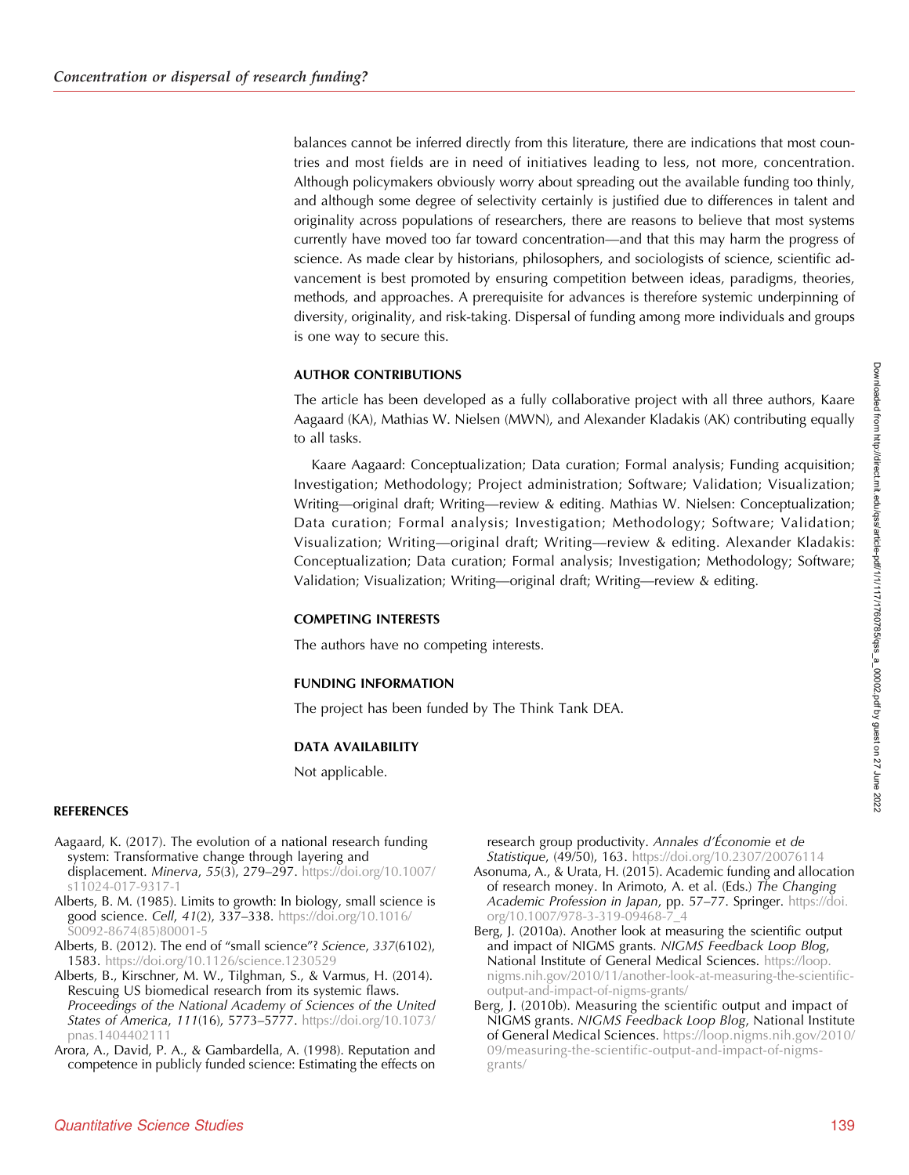<span id="page-22-0"></span>balances cannot be inferred directly from this literature, there are indications that most countries and most fields are in need of initiatives leading to less, not more, concentration. Although policymakers obviously worry about spreading out the available funding too thinly, and although some degree of selectivity certainly is justified due to differences in talent and originality across populations of researchers, there are reasons to believe that most systems currently have moved too far toward concentration—and that this may harm the progress of science. As made clear by historians, philosophers, and sociologists of science, scientific advancement is best promoted by ensuring competition between ideas, paradigms, theories, methods, and approaches. A prerequisite for advances is therefore systemic underpinning of diversity, originality, and risk-taking. Dispersal of funding among more individuals and groups is one way to secure this.

## AUTHOR CONTRIBUTIONS

The article has been developed as a fully collaborative project with all three authors, Kaare Aagaard (KA), Mathias W. Nielsen (MWN), and Alexander Kladakis (AK) contributing equally to all tasks.

Kaare Aagaard: Conceptualization; Data curation; Formal analysis; Funding acquisition; Investigation; Methodology; Project administration; Software; Validation; Visualization; Writing—original draft; Writing—review & editing. Mathias W. Nielsen: Conceptualization; Data curation; Formal analysis; Investigation; Methodology; Software; Validation; Visualization; Writing—original draft; Writing—review & editing. Alexander Kladakis: Conceptualization; Data curation; Formal analysis; Investigation; Methodology; Software; Validation; Visualization; Writing—original draft; Writing—review & editing.

## COMPETING INTERESTS

The authors have no competing interests.

#### FUNDING INFORMATION

The project has been funded by The Think Tank DEA.

#### DATA AVAILABILITY

Not applicable.

#### **REFERENCES**

- Aagaard, K. (2017). The evolution of a national research funding system: Transformative change through layering and displacement. Minerva, 55(3), 279–297. [https://doi.org/10.1007/](https://doi.org/10.1007/s11024-017-9317-1) [s11024-017-9317-1](https://doi.org/10.1007/s11024-017-9317-1)
- Alberts, B. M. (1985). Limits to growth: In biology, small science is good science. Cell, 41(2), 337–338. [https://doi.org/10.1016/](https://doi.org/10.1016/S0092-8674(85)80001-5) [S0092-8674\(85\)80001-5](https://doi.org/10.1016/S0092-8674(85)80001-5)
- Alberts, B. (2012). The end of "small science"? Science, 337(6102), 1583. <https://doi.org/10.1126/science.1230529>
- Alberts, B., Kirschner, M. W., Tilghman, S., & Varmus, H. (2014). Rescuing US biomedical research from its systemic flaws. Proceedings of the National Academy of Sciences of the United States of America, 111(16), 5773–5777. [https://doi.org/10.1073/](https://doi.org/10.1073/pnas.1404402111) [pnas.1404402111](https://doi.org/10.1073/pnas.1404402111)
- Arora, A., David, P. A., & Gambardella, A. (1998). Reputation and competence in publicly funded science: Estimating the effects on

research group productivity. Annales d'Économie et de Statistique, (49/50), 163. <https://doi.org/10.2307/20076114>

- Asonuma, A., & Urata, H. (2015). Academic funding and allocation of research money. In Arimoto, A. et al. (Eds.) The Changing Academic Profession in Japan, pp. 57-77. Springer. [https://doi.](https://doi.org/10.1007/978-3-319-09468-7_4) [org/10.1007/978-3-319-09468-7\\_4](https://doi.org/10.1007/978-3-319-09468-7_4)
- Berg, J. (2010a). Another look at measuring the scientific output and impact of NIGMS grants. NIGMS Feedback Loop Blog, National Institute of General Medical Sciences. [https://loop.](https://loop.nigms.nih.gov/2010/11/another-look-at-measuring-the-scientific-output-and-impact-of-nigms-grants/) [nigms.nih.gov/2010/11/another-look-at-measuring-the-scientific](https://loop.nigms.nih.gov/2010/11/another-look-at-measuring-the-scientific-output-and-impact-of-nigms-grants/)[output-and-impact-of-nigms-grants/](https://loop.nigms.nih.gov/2010/11/another-look-at-measuring-the-scientific-output-and-impact-of-nigms-grants/)
- Berg, J. (2010b). Measuring the scientific output and impact of NIGMS grants. NIGMS Feedback Loop Blog, National Institute of General Medical Sciences. [https://loop.nigms.nih.gov/2010/](https://loop.nigms.nih.gov/2010/09/measuring-the-scientific-output-and-impact-of-nigms-grants/) [09/measuring-the-scientific-output-and-impact-of-nigms](https://loop.nigms.nih.gov/2010/09/measuring-the-scientific-output-and-impact-of-nigms-grants/)[grants/](https://loop.nigms.nih.gov/2010/09/measuring-the-scientific-output-and-impact-of-nigms-grants/)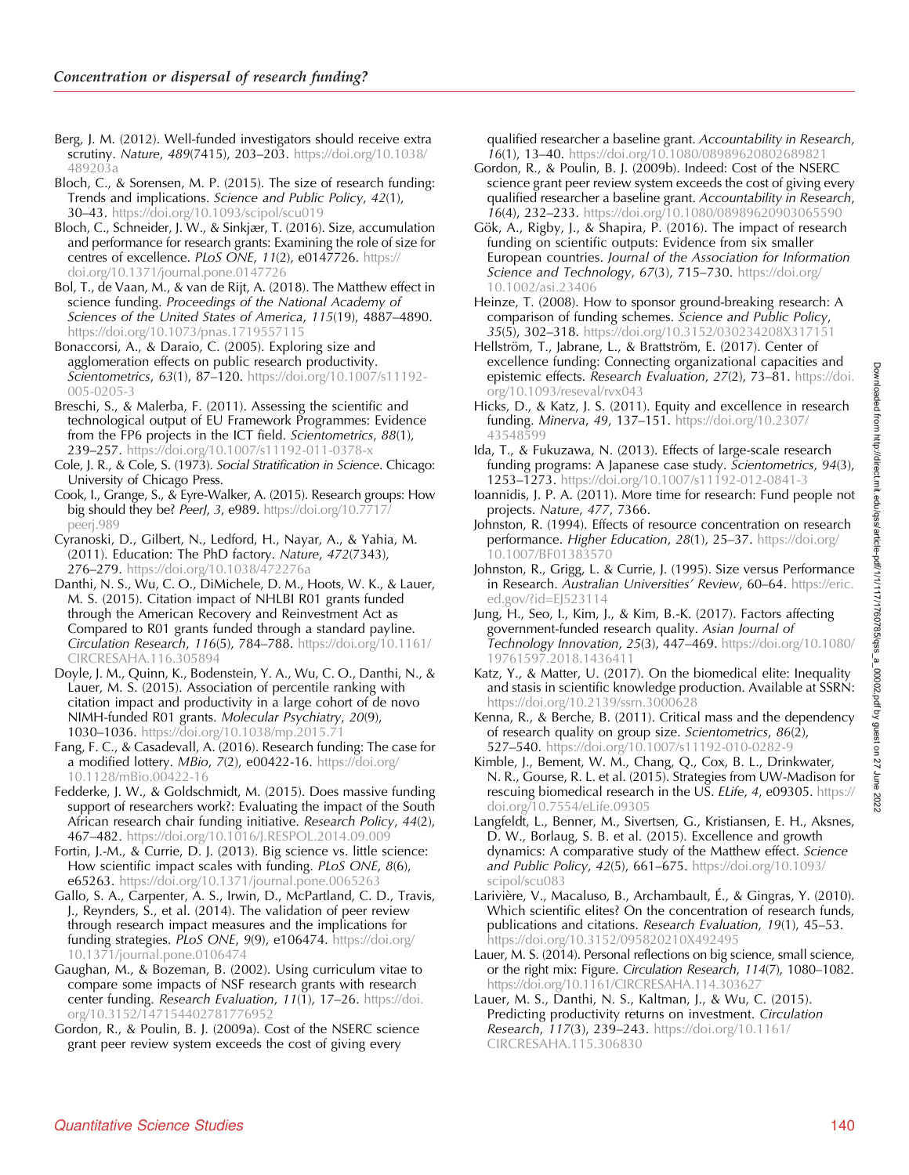<span id="page-23-0"></span>Berg, J. M. (2012). Well-funded investigators should receive extra scrutiny. Nature, 489(7415), 203–203. [https://doi.org/10.1038/](https://doi.org/10.1038/489203a) [489203a](https://doi.org/10.1038/489203a)

Bloch, C., & Sorensen, M. P. (2015). The size of research funding: Trends and implications. Science and Public Policy, 42(1), 30–43. <https://doi.org/10.1093/scipol/scu019>

Bloch, C., Schneider, J. W., & Sinkjær, T. (2016). Size, accumulation and performance for research grants: Examining the role of size for centres of excellence. PLoS ONE, 11(2), e0147726. [https://](https://doi.org/10.1371/journal.pone.0147726) [doi.org/10.1371/journal.pone.0147726](https://doi.org/10.1371/journal.pone.0147726)

Bol, T., de Vaan, M., & van de Rijt, A. (2018). The Matthew effect in science funding. Proceedings of the National Academy of Sciences of the United States of America, 115(19), 4887–4890. <https://doi.org/10.1073/pnas.1719557115>

Bonaccorsi, A., & Daraio, C. (2005). Exploring size and agglomeration effects on public research productivity. Scientometrics, 63(1), 87-120. [https://doi.org/10.1007/s11192-](https://doi.org/10.1007/s11192-005-0205-3) [005-0205-3](https://doi.org/10.1007/s11192-005-0205-3)

Breschi, S., & Malerba, F. (2011). Assessing the scientific and technological output of EU Framework Programmes: Evidence from the FP6 projects in the ICT field. Scientometrics, 88(1), 239–257. <https://doi.org/10.1007/s11192-011-0378-x>

Cole, J. R., & Cole, S. (1973). Social Stratification in Science. Chicago: University of Chicago Press.

Cook, I., Grange, S., & Eyre-Walker, A. (2015). Research groups: How big should they be? PeerJ, 3, e989. [https://doi.org/10.7717/](https://doi.org/10.7717/peerj.989) [peerj.989](https://doi.org/10.7717/peerj.989)

Cyranoski, D., Gilbert, N., Ledford, H., Nayar, A., & Yahia, M. (2011). Education: The PhD factory. Nature, 472(7343), 276–279. <https://doi.org/10.1038/472276a>

Danthi, N. S., Wu, C. O., DiMichele, D. M., Hoots, W. K., & Lauer, M. S. (2015). Citation impact of NHLBI R01 grants funded through the American Recovery and Reinvestment Act as Compared to R01 grants funded through a standard payline. Circulation Research, 116(5), 784–788. [https://doi.org/10.1161/](https://doi.org/10.1161/CIRCRESAHA.116.305894) [CIRCRESAHA.116.305894](https://doi.org/10.1161/CIRCRESAHA.116.305894)

Doyle, J. M., Quinn, K., Bodenstein, Y. A., Wu, C. O., Danthi, N., & Lauer, M. S. (2015). Association of percentile ranking with citation impact and productivity in a large cohort of de novo NIMH-funded R01 grants. Molecular Psychiatry, 20(9), 1030–1036. <https://doi.org/10.1038/mp.2015.71>

Fang, F. C., & Casadevall, A. (2016). Research funding: The case for a modified lottery. *MBio, 7(2)*, e00422-16. [https://doi.org/](https://doi.org/10.1128/mBio.00422-16) [10.1128/mBio.00422-16](https://doi.org/10.1128/mBio.00422-16)

Fedderke, J. W., & Goldschmidt, M. (2015). Does massive funding support of researchers work?: Evaluating the impact of the South African research chair funding initiative. Research Policy, 44(2), 467–482. <https://doi.org/10.1016/J.RESPOL.2014.09.009>

Fortin, J.-M., & Currie, D. J. (2013). Big science vs. little science: How scientific impact scales with funding. PLoS ONE, 8(6), e65263. <https://doi.org/10.1371/journal.pone.0065263>

Gallo, S. A., Carpenter, A. S., Irwin, D., McPartland, C. D., Travis, J., Reynders, S., et al. (2014). The validation of peer review through research impact measures and the implications for funding strategies. PLoS ONE, 9(9), e106474. [https://doi.org/](https://doi.org/10.1371/journal.pone.0106474) [10.1371/journal.pone.0106474](https://doi.org/10.1371/journal.pone.0106474)

Gaughan, M., & Bozeman, B. (2002). Using curriculum vitae to compare some impacts of NSF research grants with research center funding. Research Evaluation, 11(1), 17-26. [https://doi.](https://doi.org/10.3152/147154402781776952) [org/10.3152/147154402781776952](https://doi.org/10.3152/147154402781776952)

Gordon, R., & Poulin, B. J. (2009a). Cost of the NSERC science grant peer review system exceeds the cost of giving every

qualified researcher a baseline grant. Accountability in Research, 16(1), 13-40. <https://doi.org/10.1080/08989620802689821>

- Gordon, R., & Poulin, B. J. (2009b). Indeed: Cost of the NSERC science grant peer review system exceeds the cost of giving every qualified researcher a baseline grant. Accountability in Research, 16(4), 232–233. <https://doi.org/10.1080/08989620903065590>
- Gök, A., Rigby, J., & Shapira, P. (2016). The impact of research funding on scientific outputs: Evidence from six smaller European countries. Journal of the Association for Information Science and Technology, 67(3), 715–730. [https://doi.org/](https://doi.org/10.1002/asi.23406) [10.1002/asi.23406](https://doi.org/10.1002/asi.23406)
- Heinze, T. (2008). How to sponsor ground-breaking research: A comparison of funding schemes. Science and Public Policy, 35(5), 302–318. <https://doi.org/10.3152/030234208X317151>
- Hellström, T., Jabrane, L., & Brattström, E. (2017). Center of excellence funding: Connecting organizational capacities and epistemic effects. Research Evaluation, 27(2), 73-81. [https://doi.](https://doi.org/10.1093/reseval/rvx043) [org/10.1093/reseval/rvx043](https://doi.org/10.1093/reseval/rvx043)
- Hicks, D., & Katz, J. S. (2011). Equity and excellence in research funding. Minerva, 49, 137–151. [https://doi.org/10.2307/](https://doi.org/10.2307/43548599) 435485
- Ida, T., & Fukuzawa, N. (2013). Effects of large-scale research funding programs: A Japanese case study. Scientometrics, 94(3), 1253–1273. <https://doi.org/10.1007/s11192-012-0841-3>
- Ioannidis, J. P. A. (2011). More time for research: Fund people not projects. Nature, 477, 7366.
- Johnston, R. (1994). Effects of resource concentration on research performance. Higher Education, 28(1), 25-37. [https://doi.org/](https://doi.org/10.1007/BF01383570) [10.1007/BF01383570](https://doi.org/10.1007/BF01383570)
- Johnston, R., Grigg, L. & Currie, J. (1995). Size versus Performance in Research. Australian Universities' Review, 60-64. [https://eric.](https://eric.ed.gov/?id=EJ523114) [ed.gov/?id=EJ523114](https://eric.ed.gov/?id=EJ523114)
- Jung, H., Seo, I., Kim, J., & Kim, B.-K. (2017). Factors affecting government-funded research quality. Asian Journal of Technology Innovation, 25(3), 447–469. [https://doi.org/10.1080/](https://doi.org/10.1080/19761597.2018.1436411) [19761597.2018.1436411](https://doi.org/10.1080/19761597.2018.1436411)
- Katz, Y., & Matter, U. (2017). On the biomedical elite: Inequality and stasis in scientific knowledge production. Available at SSRN: <https://doi.org/10.2139/ssrn.3000628>
- Kenna, R., & Berche, B. (2011). Critical mass and the dependency of research quality on group size. Scientometrics, 86(2), 527–540. <https://doi.org/10.1007/s11192-010-0282-9>

Kimble, J., Bement, W. M., Chang, Q., Cox, B. L., Drinkwater, N. R., Gourse, R. L. et al. (2015). Strategies from UW-Madison for rescuing biomedical research in the US. ELife, 4, e09305. [https://](https://doi.org/10.7554/eLife.09305) [doi.org/10.7554/eLife.09305](https://doi.org/10.7554/eLife.09305)

- Langfeldt, L., Benner, M., Sivertsen, G., Kristiansen, E. H., Aksnes, D. W., Borlaug, S. B. et al. (2015). Excellence and growth dynamics: A comparative study of the Matthew effect. Science and Public Policy, 42(5), 661–675. [https://doi.org/10.1093/](https://doi.org/10.1093/scipol/scu083) [scipol/scu083](https://doi.org/10.1093/scipol/scu083)
- Larivière, V., Macaluso, B., Archambault, É., & Gingras, Y. (2010). Which scientific elites? On the concentration of research funds, publications and citations. Research Evaluation, 19(1), 45–53. <https://doi.org/10.3152/095820210X492495>
- Lauer, M. S. (2014). Personal reflections on big science, small science, or the right mix: Figure. Circulation Research, 114(7), 1080–1082. <https://doi.org/10.1161/CIRCRESAHA.114.303627>
- Lauer, M. S., Danthi, N. S., Kaltman, J., & Wu, C. (2015). Predicting productivity returns on investment. Circulation Research, 117(3), 239–243. [https://doi.org/10.1161/](https://doi.org/10.1161/CIRCRESAHA.115.306830) [CIRCRESAHA.115.306830](https://doi.org/10.1161/CIRCRESAHA.115.306830)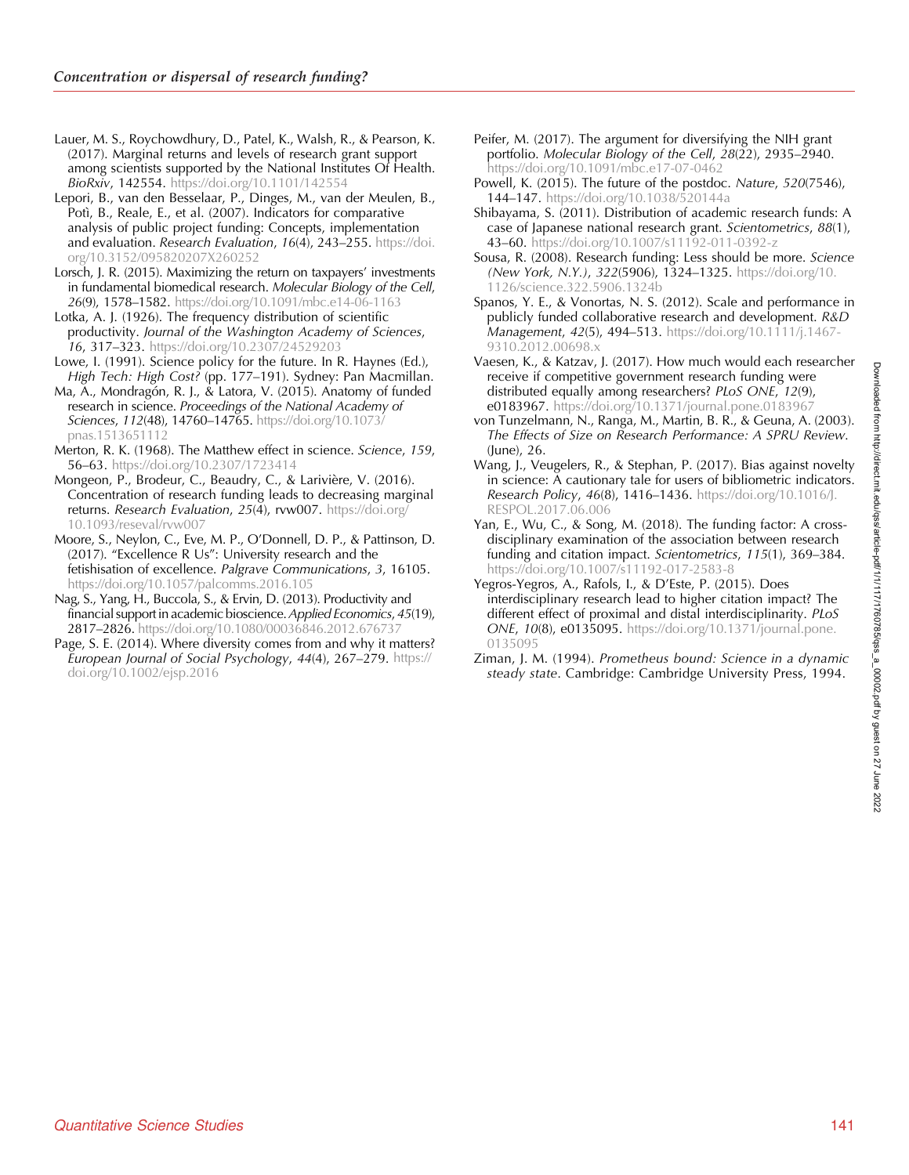<span id="page-24-0"></span>Lauer, M. S., Roychowdhury, D., Patel, K., Walsh, R., & Pearson, K. (2017). Marginal returns and levels of research grant support among scientists supported by the National Institutes Of Health. BioRxiv, 142554. <https://doi.org/10.1101/142554>

Lepori, B., van den Besselaar, P., Dinges, M., van der Meulen, B., Potì, B., Reale, E., et al. (2007). Indicators for comparative analysis of public project funding: Concepts, implementation and evaluation. Research Evaluation, 16(4), 243-255. [https://doi.](https://doi.org/10.3152/095820207X260252) [org/10.3152/095820207X260252](https://doi.org/10.3152/095820207X260252)

Lorsch, J. R. (2015). Maximizing the return on taxpayers' investments in fundamental biomedical research. Molecular Biology of the Cell, 26(9), 1578–1582. <https://doi.org/10.1091/mbc.e14-06-1163>

Lotka, A. J. (1926). The frequency distribution of scientific productivity. Journal of the Washington Academy of Sciences, 16, 317–323. <https://doi.org/10.2307/24529203>

Lowe, I. (1991). Science policy for the future. In R. Haynes (Ed.), High Tech: High Cost? (pp. 177–191). Sydney: Pan Macmillan.

Ma, A., Mondragón, R. J., & Latora, V. (2015). Anatomy of funded research in science. Proceedings of the National Academy of Sciences, 112(48), 14760–14765. [https://doi.org/10.1073/](https://doi.org/10.1073/pnas.1513651112) [pnas.1513651112](https://doi.org/10.1073/pnas.1513651112)

Merton, R. K. (1968). The Matthew effect in science. Science, 159, 56–63. <https://doi.org/10.2307/1723414>

Mongeon, P., Brodeur, C., Beaudry, C., & Larivière, V. (2016). Concentration of research funding leads to decreasing marginal returns. Research Evaluation,  $25(4)$ , rvw007. [https://doi.org/](https://doi.org/10.1093/reseval/rvw007) [10.1093/reseval/rvw007](https://doi.org/10.1093/reseval/rvw007)

Moore, S., Neylon, C., Eve, M. P., O'Donnell, D. P., & Pattinson, D. (2017). "Excellence R Us": University research and the fetishisation of excellence. Palgrave Communications, 3, 16105. <https://doi.org/10.1057/palcomms.2016.105>

Nag, S., Yang, H., Buccola, S., & Ervin, D. (2013). Productivity and financial support in academic bioscience. Applied Economics, 45(19), 2817–2826. <https://doi.org/10.1080/00036846.2012.676737>

Page, S. E. (2014). Where diversity comes from and why it matters? European Journal of Social Psychology, 44(4), 267–279. [https://](https://doi.org/10.1002/ejsp.2016) [doi.org/10.1002/ejsp.2016](https://doi.org/10.1002/ejsp.2016)

Peifer, M. (2017). The argument for diversifying the NIH grant portfolio. Molecular Biology of the Cell,  $28(22)$ , 2935–2940. <https://doi.org/10.1091/mbc.e17-07-0462>

Powell, K. (2015). The future of the postdoc. Nature, 520(7546), 144–147. <https://doi.org/10.1038/520144a>

Shibayama, S. (2011). Distribution of academic research funds: A case of Japanese national research grant. Scientometrics, 88(1), 43–60. <https://doi.org/10.1007/s11192-011-0392-z>

Sousa, R. (2008). Research funding: Less should be more. Science (New York, N.Y.), 322(5906), 1324–1325. [https://doi.org/10.](https://doi.org/10.1126/science.322.5906.1324b) [1126/science.322.5906.1324b](https://doi.org/10.1126/science.322.5906.1324b)

Spanos, Y. E., & Vonortas, N. S. (2012). Scale and performance in publicly funded collaborative research and development. R&D Management, 42(5), 494–513. [https://doi.org/10.1111/j.1467-](https://doi.org/10.1111/j.1467-9310.2012.00698.x) [9310.2012.00698.x](https://doi.org/10.1111/j.1467-9310.2012.00698.x)

Vaesen, K., & Katzav, J. (2017). How much would each researcher receive if competitive government research funding were distributed equally among researchers? PLoS ONE, 12(9), e0183967. <https://doi.org/10.1371/journal.pone.0183967>

von Tunzelmann, N., Ranga, M., Martin, B. R., & Geuna, A. (2003). The Effects of Size on Research Performance: A SPRU Review. (June), 26.

- Wang, J., Veugelers, R., & Stephan, P. (2017). Bias against novelty in science: A cautionary tale for users of bibliometric indicators. Research Policy, 46(8), 1416-1436. [https://doi.org/10.1016/J.](https://doi.org/10.1016/J.RESPOL.2017.06.006) [RESPOL.2017.06.006](https://doi.org/10.1016/J.RESPOL.2017.06.006)
- Yan, E., Wu, C., & Song, M. (2018). The funding factor: A crossdisciplinary examination of the association between research funding and citation impact. Scientometrics, 115(1), 369–384. <https://doi.org/10.1007/s11192-017-2583-8>

Yegros-Yegros, A., Rafols, I., & D'Este, P. (2015). Does interdisciplinary research lead to higher citation impact? The different effect of proximal and distal interdisciplinarity. PLoS ONE, 10(8), e0135095. [https://doi.org/10.1371/journal.pone.](https://doi.org/10.1371/journal.pone.0135095) [0135095](https://doi.org/10.1371/journal.pone.0135095)

Ziman, J. M. (1994). Prometheus bound: Science in a dynamic steady state. Cambridge: Cambridge University Press, 1994.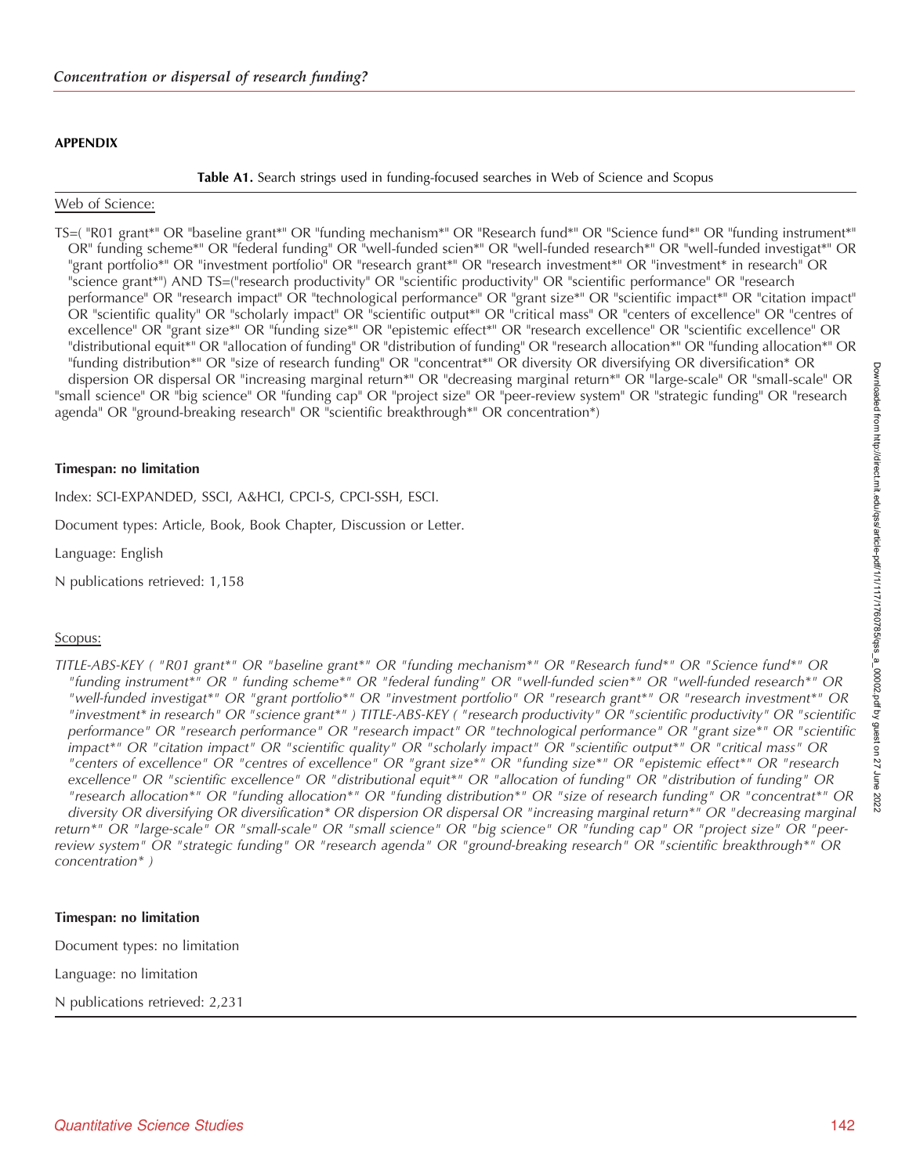## <span id="page-25-0"></span>APPENDIX

Table A1. Search strings used in funding-focused searches in Web of Science and Scopus

## Web of Science:

TS=( "R01 grant\*" OR "baseline grant\*" OR "funding mechanism\*" OR "Research fund\*" OR "Science fund\*" OR "funding instrument\*" OR" funding scheme\*" OR "federal funding" OR "well-funded scien\*" OR "well-funded research\*" OR "well-funded investigat\*" OR "grant portfolio\*" OR "investment portfolio" OR "research grant\*" OR "research investment\*" OR "investment\* in research" OR "science grant\*") AND TS=("research productivity" OR "scientific productivity" OR "scientific performance" OR "research performance" OR "research impact" OR "technological performance" OR "grant size\*" OR "scientific impact\*" OR "citation impact" OR "scientific quality" OR "scholarly impact" OR "scientific output\*" OR "critical mass" OR "centers of excellence" OR "centres of excellence" OR "grant size\*" OR "funding size\*" OR "epistemic effect\*" OR "research excellence" OR "scientific excellence" OR "distributional equit\*" OR "allocation of funding" OR "distribution of funding" OR "research allocation\*" OR "funding allocation\*" OR "funding distribution\*" OR "size of research funding" OR "concentrat\*" OR diversity OR diversifying OR diversification\* OR dispersion OR dispersal OR "increasing marginal return\*" OR "decreasing marginal return\*" OR "large-scale" OR "small-scale" OR "small science" OR "big science" OR "funding cap" OR "project size" OR "peer-review system" OR "strategic funding" OR "research agenda" OR "ground-breaking research" OR "scientific breakthrough\*" OR concentration\*)

## Timespan: no limitation

Index: SCI-EXPANDED, SSCI, A&HCI, CPCI-S, CPCI-SSH, ESCI.

Document types: Article, Book, Book Chapter, Discussion or Letter.

Language: English

N publications retrieved: 1,158

# Scopus:

TITLE-ABS-KEY ( "R01 grant\*" OR "baseline grant\*" OR "funding mechanism\*" OR "Research fund\*" OR "Science fund\*" OR "funding instrument\*" OR " funding scheme\*" OR "federal funding" OR "well-funded scien\*" OR "well-funded research\*" OR "well-funded investigat\*" OR "grant portfolio\*" OR "investment portfolio" OR "research grant\*" OR "research investment\*" OR "investment\* in research" OR "science grant\*" ) TITLE-ABS-KEY ( "research productivity" OR "scientific productivity" OR "scientific performance" OR "research performance" OR "research impact" OR "technological performance" OR "grant size\*" OR "scientific impact\*" OR "citation impact" OR "scientific quality" OR "scholarly impact" OR "scientific output\*" OR "critical mass" OR "centers of excellence" OR "centres of excellence" OR "grant size\*" OR "funding size\*" OR "epistemic effect\*" OR "research excellence" OR "scientific excellence" OR "distributional equit\*" OR "allocation of funding" OR "distribution of funding" OR "research allocation\*" OR "funding allocation\*" OR "funding distribution\*" OR "size of research funding" OR "concentrat\*" OR diversity OR diversifying OR diversification\* OR dispersion OR dispersal OR "increasing marginal return\*" OR "decreasing marginal return\*" OR "large-scale" OR "small-scale" OR "small science" OR "big science" OR "funding cap" OR "project size" OR "peerreview system" OR "strategic funding" OR "research agenda" OR "ground-breaking research" OR "scientific breakthrough\*" OR concentration\* )

# Timespan: no limitation

Document types: no limitation

Language: no limitation

N publications retrieved: 2,231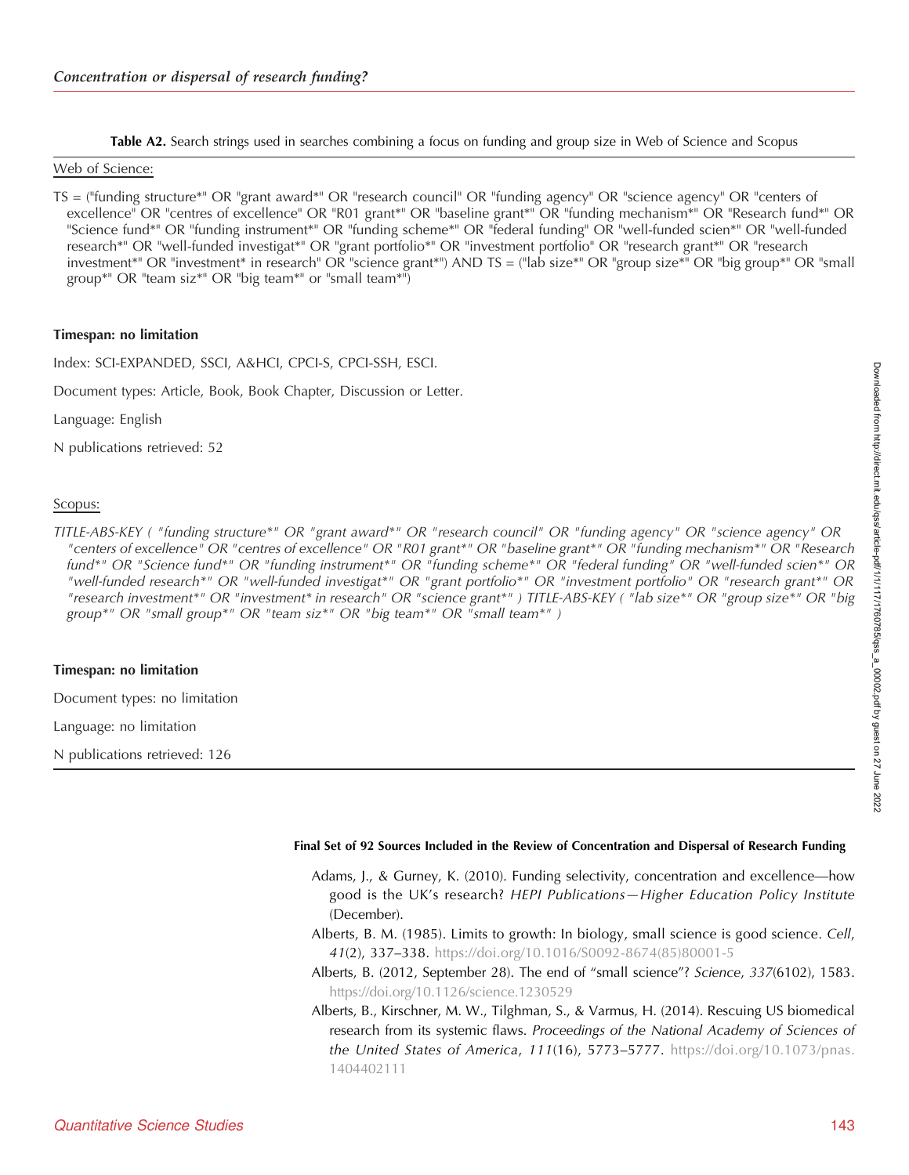Table A2. Search strings used in searches combining a focus on funding and group size in Web of Science and Scopus

## <span id="page-26-0"></span>Web of Science:

TS = ("funding structure\*" OR "grant award\*" OR "research council" OR "funding agency" OR "science agency" OR "centers of excellence" OR "centres of excellence" OR "R01 grant\*" OR "baseline grant\*" OR "funding mechanism\*" OR "Research fund\*" OR "Science fund\*" OR "funding instrument\*" OR "funding scheme\*" OR "federal funding" OR "well-funded scien\*" OR "well-funded research\*" OR "well-funded investigat\*" OR "grant portfolio\*" OR "investment portfolio" OR "research grant\*" OR "research investment\*" OR "investment\* in research" OR "science grant\*") AND TS = ("lab size\*" OR "group size\*" OR "big group\*" OR "small group\*" OR "team siz\*" OR "big team\*" or "small team\*")

#### Timespan: no limitation

Index: SCI-EXPANDED, SSCI, A&HCI, CPCI-S, CPCI-SSH, ESCI.

Document types: Article, Book, Book Chapter, Discussion or Letter.

Language: English

N publications retrieved: 52

#### Scopus:

TITLE-ABS-KEY ( "funding structure\*" OR "grant award\*" OR "research council" OR "funding agency" OR "science agency" OR "centers of excellence" OR "centres of excellence" OR "R01 grant\*" OR "baseline grant\*" OR "funding mechanism\*" OR "Research fund\*" OR "Science fund\*" OR "funding instrument\*" OR "funding scheme\*" OR "federal funding" OR "well-funded scien\*" OR "well-funded research\*" OR "well-funded investigat\*" OR "grant portfolio\*" OR "investment portfolio" OR "research grant\*" OR "research investment\*" OR "investment\* in research" OR "science grant\*" ) TITLE-ABS-KEY ( "lab size\*" OR "group size\*" OR "big group\*" OR "small group\*" OR "team siz\*" OR "big team\*" OR "small team\*" )

#### Timespan: no limitation

Document types: no limitation

Language: no limitation

N publications retrieved: 126

#### Final Set of 92 Sources Included in the Review of Concentration and Dispersal of Research Funding

- Adams, J., & Gurney, K. (2010). Funding selectivity, concentration and excellence—how good is the UK's research? HEPI Publications—Higher Education Policy Institute (December).
- Alberts, B. M. (1985). Limits to growth: In biology, small science is good science. Cell, 41(2), 337–338. [https://doi.org/10.1016/S0092-8674\(85\)80001-5](https://doi.org/10.1162/qss_a_00002)
- Alberts, B. (2012, September 28). The end of "small science"? Science, 337(6102), 1583. <https://doi.org/10.1126/science.1230529>
- Alberts, B., Kirschner, M. W., Tilghman, S., & Varmus, H. (2014). Rescuing US biomedical research from its systemic flaws. Proceedings of the National Academy of Sciences of the United States of America, 111(16), 5773-5777. [https://doi.org/10.1073/pnas.](https://doi.org/10.1073/pnas.1404402111) [1404402111](https://doi.org/10.1073/pnas.1404402111)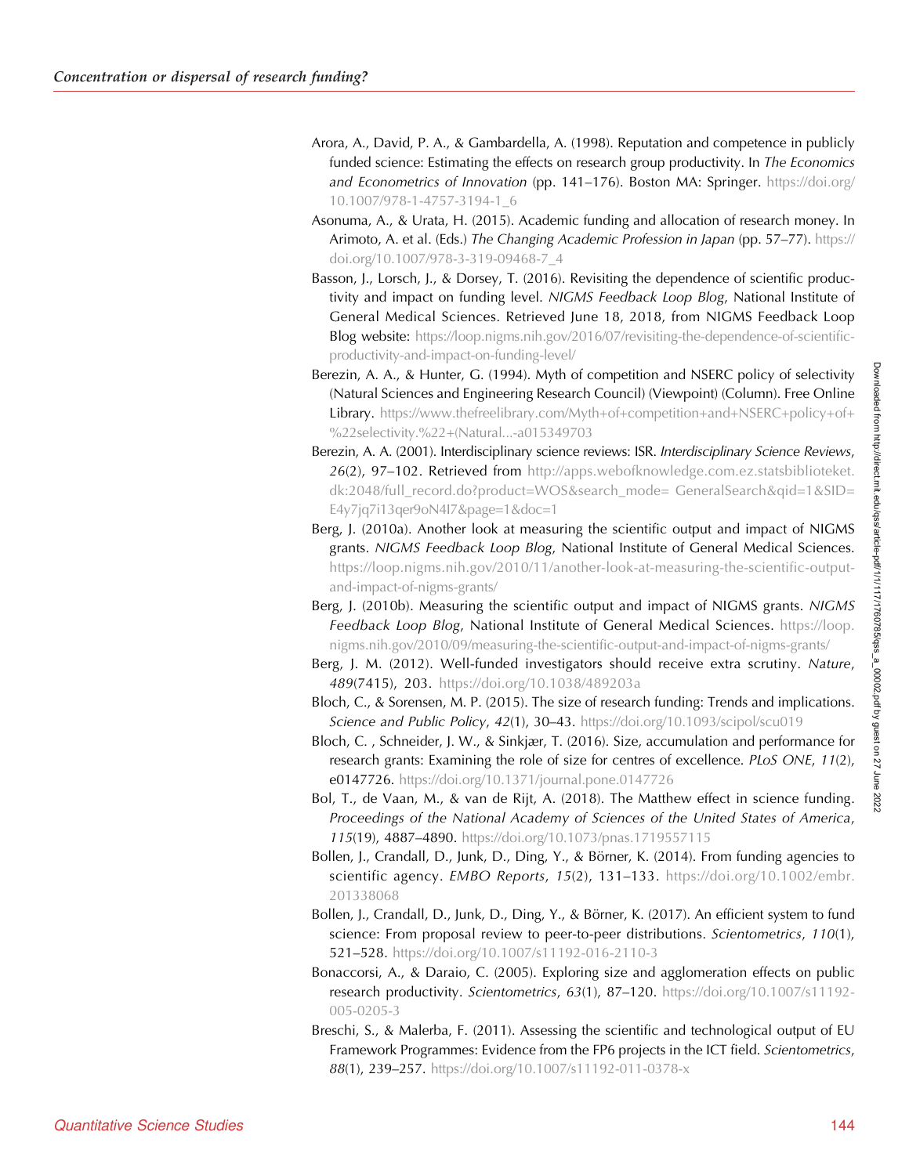- Arora, A., David, P. A., & Gambardella, A. (1998). Reputation and competence in publicly funded science: Estimating the effects on research group productivity. In The Economics and Econometrics of Innovation (pp. 141–176). Boston MA: Springer. [https://doi.org/](https://doi.org/10.1007/978-1-4757-3194-1_6) [10.1007/978-1-4757-3194-1\\_6](https://doi.org/10.1007/978-1-4757-3194-1_6)
- Asonuma, A., & Urata, H. (2015). Academic funding and allocation of research money. In Arimoto, A. et al. (Eds.) The Changing Academic Profession in Japan (pp. 57–77). [https://](https://doi.org/10.1007/978-3-319-09468-7_4) [doi.org/10.1007/978-3-319-09468-7\\_4](https://doi.org/10.1007/978-3-319-09468-7_4)
- Basson, J., Lorsch, J., & Dorsey, T. (2016). Revisiting the dependence of scientific productivity and impact on funding level. NIGMS Feedback Loop Blog, National Institute of General Medical Sciences. Retrieved June 18, 2018, from NIGMS Feedback Loop Blog website: [https://loop.nigms.nih.gov/2016/07/revisiting-the-dependence-of-scientific](https://loop.nigms.nih.gov/2016/07/revisiting-the-dependence-of-scientific-productivity-and-impact-on-funding-level/)[productivity-and-impact-on-funding-level/](https://loop.nigms.nih.gov/2016/07/revisiting-the-dependence-of-scientific-productivity-and-impact-on-funding-level/)
- Berezin, A. A., & Hunter, G. (1994). Myth of competition and NSERC policy of selectivity (Natural Sciences and Engineering Research Council) (Viewpoint) (Column). Free Online Library. [https://www.thefreelibrary.com/Myth+of+competition+and+NSERC+policy+of+](https://www.thefreelibrary.com/Myth+of+competition+and+NSERC+policy+of+%22selectivity.%22+(Natural...-a015349703) [%22selectivity.%22+\(Natural...-a015349703](https://www.thefreelibrary.com/Myth+of+competition+and+NSERC+policy+of+%22selectivity.%22+(Natural...-a015349703)
- Berezin, A. A. (2001). Interdisciplinary science reviews: ISR. Interdisciplinary Science Reviews, 26(2), 97–102. Retrieved from [http://apps.webofknowledge.com.ez.statsbiblioteket.](http://apps.webofknowledge.com.ez.statsbiblioteket.dk:2048/full_record.do?product=WOS&search_mode=GeneralSearch&qid=1&SID=E4y7jq7i13qer9oN4I7&page=1&doc=1) [dk:2048/full\\_record.do?product=WOS&search\\_mode= GeneralSearch&qid=1&SID=](http://apps.webofknowledge.com.ez.statsbiblioteket.dk:2048/full_record.do?product=WOS&search_mode=GeneralSearch&qid=1&SID=E4y7jq7i13qer9oN4I7&page=1&doc=1) [E4y7jq7i13qer9oN4I7&page=1&doc=1](http://apps.webofknowledge.com.ez.statsbiblioteket.dk:2048/full_record.do?product=WOS&search_mode=GeneralSearch&qid=1&SID=E4y7jq7i13qer9oN4I7&page=1&doc=1)
- Berg, J. (2010a). Another look at measuring the scientific output and impact of NIGMS grants. NIGMS Feedback Loop Blog, National Institute of General Medical Sciences. [https://loop.nigms.nih.gov/2010/11/another-look-at-measuring-the-scientific-output](https://loop.nigms.nih.gov/2010/11/another-look-at-measuring-the-scientific-output-and-impact-of-nigms-grants/)[and-impact-of-nigms-grants/](https://loop.nigms.nih.gov/2010/11/another-look-at-measuring-the-scientific-output-and-impact-of-nigms-grants/)
- Berg, J. (2010b). Measuring the scientific output and impact of NIGMS grants. NIGMS Feedback Loop Blog, National Institute of General Medical Sciences. [https://loop.](https://loop.nigms.nih.gov/2010/09/measuring-the-scientific-output-and-impact-of-nigms-grants/) [nigms.nih.gov/2010/09/measuring-the-scientific-output-and-impact-of-nigms-grants/](https://loop.nigms.nih.gov/2010/09/measuring-the-scientific-output-and-impact-of-nigms-grants/)
- Berg, J. M. (2012). Well-funded investigators should receive extra scrutiny. Nature, 489(7415), 203. <https://doi.org/10.1038/489203a>
- Bloch, C., & Sorensen, M. P. (2015). The size of research funding: Trends and implications. Science and Public Policy, 42(1), 30-43. <https://doi.org/10.1093/scipol/scu019>
- Bloch, C. , Schneider, J. W., & Sinkjær, T. (2016). Size, accumulation and performance for research grants: Examining the role of size for centres of excellence. *PLoS ONE*, 11(2), e0147726. <https://doi.org/10.1371/journal.pone.0147726>
- Bol, T., de Vaan, M., & van de Rijt, A. (2018). The Matthew effect in science funding. Proceedings of the National Academy of Sciences of the United States of America, 115(19), 4887–4890. <https://doi.org/10.1073/pnas.1719557115>
- Bollen, J., Crandall, D., Junk, D., Ding, Y., & Börner, K. (2014). From funding agencies to scientific agency. EMBO Reports, 15(2), 131–133. [https://doi.org/10.1002/embr.](https://doi.org/10.1002/embr.201338068) [201338068](https://doi.org/10.1002/embr.201338068)
- Bollen, J., Crandall, D., Junk, D., Ding, Y., & Börner, K. (2017). An efficient system to fund science: From proposal review to peer-to-peer distributions. Scientometrics, 110(1), 521–528. <https://doi.org/10.1007/s11192-016-2110-3>
- Bonaccorsi, A., & Daraio, C. (2005). Exploring size and agglomeration effects on public research productivity. Scientometrics, 63(1), 87–120. [https://doi.org/10.1007/s11192-](https://doi.org/10.1007/s11192-005-0205-3) [005-0205-3](https://doi.org/10.1007/s11192-005-0205-3)
- Breschi, S., & Malerba, F. (2011). Assessing the scientific and technological output of EU Framework Programmes: Evidence from the FP6 projects in the ICT field. Scientometrics, 88(1), 239–257. <https://doi.org/10.1007/s11192-011-0378-x>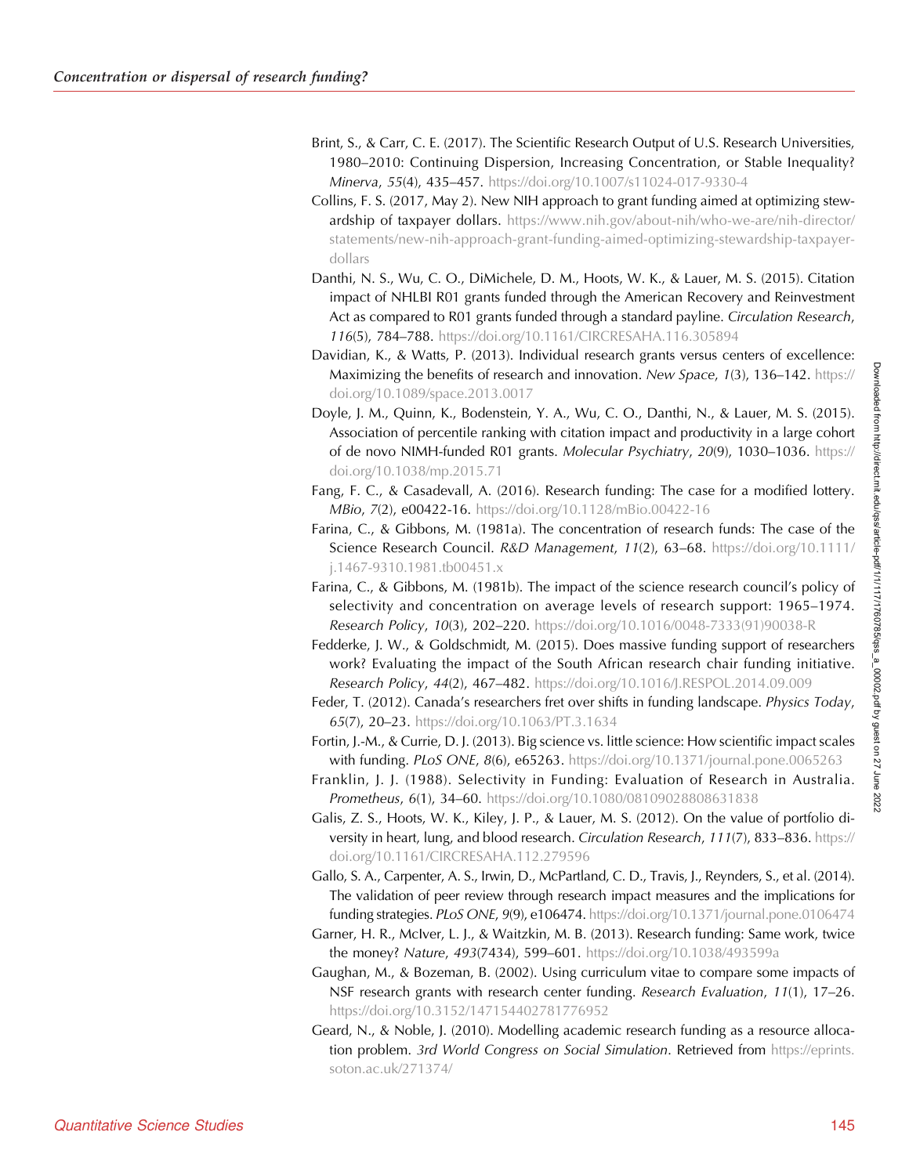- Brint, S., & Carr, C. E. (2017). The Scientific Research Output of U.S. Research Universities, 1980–2010: Continuing Dispersion, Increasing Concentration, or Stable Inequality? Minerva, 55(4), 435–457. <https://doi.org/10.1007/s11024-017-9330-4>
- Collins, F. S. (2017, May 2). New NIH approach to grant funding aimed at optimizing stewardship of taxpayer dollars. [https://www.nih.gov/about-nih/who-we-are/nih-director/](https://www.nih.gov/about-nih/who-we-are/nih-director/statements/new-nih-approach-grant-funding-aimed-optimizing-stewardship-taxpayer-dollars) [statements/new-nih-approach-grant-funding-aimed-optimizing-stewardship-taxpayer](https://www.nih.gov/about-nih/who-we-are/nih-director/statements/new-nih-approach-grant-funding-aimed-optimizing-stewardship-taxpayer-dollars)[dollars](https://www.nih.gov/about-nih/who-we-are/nih-director/statements/new-nih-approach-grant-funding-aimed-optimizing-stewardship-taxpayer-dollars)
- Danthi, N. S., Wu, C. O., DiMichele, D. M., Hoots, W. K., & Lauer, M. S. (2015). Citation impact of NHLBI R01 grants funded through the American Recovery and Reinvestment Act as compared to R01 grants funded through a standard payline. Circulation Research, 116(5), 784–788. <https://doi.org/10.1161/CIRCRESAHA.116.305894>
- Davidian, K., & Watts, P. (2013). Individual research grants versus centers of excellence: Maximizing the benefits of research and innovation. New Space, 1(3), 136–142. [https://](https://doi.org/10.1089/space.2013.0017) [doi.org/10.1089/space.2013.0017](https://doi.org/10.1089/space.2013.0017)
- Doyle, J. M., Quinn, K., Bodenstein, Y. A., Wu, C. O., Danthi, N., & Lauer, M. S. (2015). Association of percentile ranking with citation impact and productivity in a large cohort of de novo NIMH-funded R01 grants. Molecular Psychiatry, 20(9), 1030–1036. [https://](https://doi.org/10.1038/mp.2015.71) [doi.org/10.1038/mp.2015.71](https://doi.org/10.1038/mp.2015.71)
- Fang, F. C., & Casadevall, A. (2016). Research funding: The case for a modified lottery. MBio, 7(2), e00422-16. <https://doi.org/10.1128/mBio.00422-16>
- Farina, C., & Gibbons, M. (1981a). The concentration of research funds: The case of the Science Research Council. R&D Management, 11(2), 63–68. [https://doi.org/10.1111/](https://doi.org/10.1111/j.1467-9310.1981.tb00451.x) [j.1467-9310.1981.tb00451.x](https://doi.org/10.1111/j.1467-9310.1981.tb00451.x)
- Farina, C., & Gibbons, M. (1981b). The impact of the science research council's policy of selectivity and concentration on average levels of research support: 1965–1974. Research Policy, 10(3), 202–220. [https://doi.org/10.1016/0048-7333\(91\)90038-R](https://doi.org/10.1016/0048-7333(91)90038-R)
- Fedderke, J. W., & Goldschmidt, M. (2015). Does massive funding support of researchers work? Evaluating the impact of the South African research chair funding initiative. Research Policy, 44(2), 467–482. <https://doi.org/10.1016/J.RESPOL.2014.09.009>
- Feder, T. (2012). Canada's researchers fret over shifts in funding landscape. Physics Today, 65(7), 20–23. <https://doi.org/10.1063/PT.3.1634>

Fortin, J.-M., & Currie, D. J. (2013). Big science vs. little science: How scientific impact scales with funding. PLoS ONE, 8(6), e65263. <https://doi.org/10.1371/journal.pone.0065263>

- Franklin, J. J. (1988). Selectivity in Funding: Evaluation of Research in Australia. Prometheus, 6(1), 34-60. <https://doi.org/10.1080/08109028808631838>
- Galis, Z. S., Hoots, W. K., Kiley, J. P., & Lauer, M. S. (2012). On the value of portfolio diversity in heart, lung, and blood research. Circulation Research, 111(7), 833–836. [https://](https://doi.org/10.1161/CIRCRESAHA.112.279596) [doi.org/10.1161/CIRCRESAHA.112.279596](https://doi.org/10.1161/CIRCRESAHA.112.279596)

Gallo, S. A., Carpenter, A. S., Irwin, D., McPartland, C. D., Travis, J., Reynders, S., et al. (2014). The validation of peer review through research impact measures and the implications for funding strategies. PLoS ONE, 9(9), e106474. <https://doi.org/10.1371/journal.pone.0106474>

- Garner, H. R., McIver, L. J., & Waitzkin, M. B. (2013). Research funding: Same work, twice the money? Nature, 493(7434), 599-601. <https://doi.org/10.1038/493599a>
- Gaughan, M., & Bozeman, B. (2002). Using curriculum vitae to compare some impacts of NSF research grants with research center funding. Research Evaluation, 11(1), 17–26. <https://doi.org/10.3152/147154402781776952>
- Geard, N., & Noble, J. (2010). Modelling academic research funding as a resource allocation problem. 3rd World Congress on Social Simulation. Retrieved from [https://eprints.](https://eprints.soton.ac.uk/271374/) [soton.ac.uk/271374/](https://eprints.soton.ac.uk/271374/)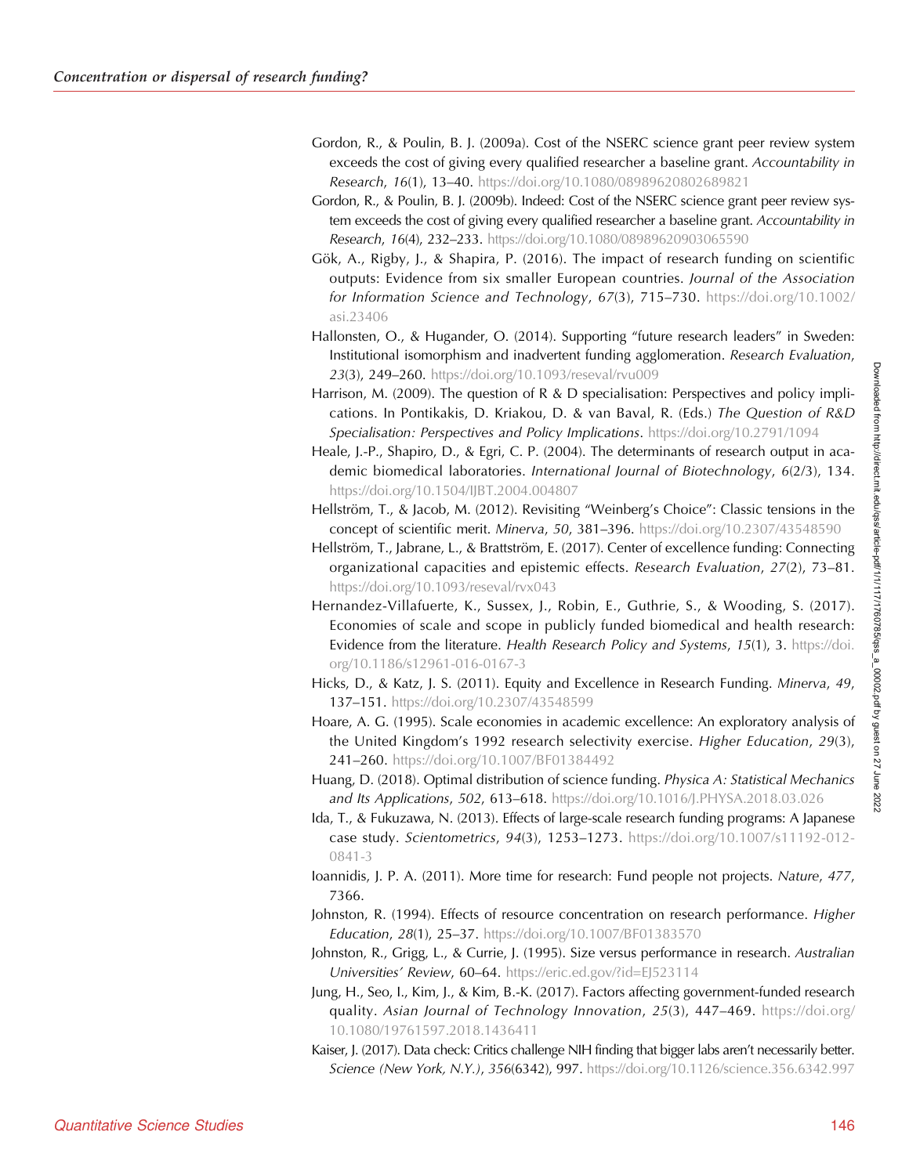- Gordon, R., & Poulin, B. J. (2009a). Cost of the NSERC science grant peer review system exceeds the cost of giving every qualified researcher a baseline grant. Accountability in Research, 16(1), 13–40. <https://doi.org/10.1080/08989620802689821>
- Gordon, R., & Poulin, B. J. (2009b). Indeed: Cost of the NSERC science grant peer review system exceeds the cost of giving every qualified researcher a baseline grant. Accountability in Research, 16(4), 232–233. <https://doi.org/10.1080/08989620903065590>
- Gök, A., Rigby, J., & Shapira, P. (2016). The impact of research funding on scientific outputs: Evidence from six smaller European countries. Journal of the Association for Information Science and Technology, 67(3), 715–730. [https://doi.org/10.1002/](https://doi.org/10.1002/asi.23406) [asi.23406](https://doi.org/10.1002/asi.23406)
- Hallonsten, O., & Hugander, O. (2014). Supporting "future research leaders" in Sweden: Institutional isomorphism and inadvertent funding agglomeration. Research Evaluation, 23(3), 249–260. <https://doi.org/10.1093/reseval/rvu009>
- Harrison, M. (2009). The question of R & D specialisation: Perspectives and policy implications. In Pontikakis, D. Kriakou, D. & van Baval, R. (Eds.) The Question of R&D Specialisation: Perspectives and Policy Implications. <https://doi.org/10.2791/1094>
- Heale, J.-P., Shapiro, D., & Egri, C. P. (2004). The determinants of research output in academic biomedical laboratories. International Journal of Biotechnology, 6(2/3), 134. <https://doi.org/10.1504/IJBT.2004.004807>
- Hellström, T., & Jacob, M. (2012). Revisiting "Weinberg's Choice": Classic tensions in the concept of scientific merit. Minerva, 50, 381-396. <https://doi.org/10.2307/43548590>
- Hellström, T., Jabrane, L., & Brattström, E. (2017). Center of excellence funding: Connecting organizational capacities and epistemic effects. Research Evaluation, 27(2), 73–81. <https://doi.org/10.1093/reseval/rvx043>
- Hernandez-Villafuerte, K., Sussex, J., Robin, E., Guthrie, S., & Wooding, S. (2017). Economies of scale and scope in publicly funded biomedical and health research: Evidence from the literature. Health Research Policy and Systems, 15(1), 3. [https://doi.](https://doi.org/10.1186/s12961-016-0167-3) [org/10.1186/s12961-016-0167-3](https://doi.org/10.1186/s12961-016-0167-3)
- Hicks, D., & Katz, J. S. (2011). Equity and Excellence in Research Funding. Minerva, 49, 137–151. <https://doi.org/10.2307/43548599>
- Hoare, A. G. (1995). Scale economies in academic excellence: An exploratory analysis of the United Kingdom's 1992 research selectivity exercise. Higher Education, 29(3), 241–260. <https://doi.org/10.1007/BF01384492>
- Huang, D. (2018). Optimal distribution of science funding. Physica A: Statistical Mechanics and Its Applications, 502, 613-618. <https://doi.org/10.1016/J.PHYSA.2018.03.026>
- Ida, T., & Fukuzawa, N. (2013). Effects of large-scale research funding programs: A Japanese case study. Scientometrics, 94(3), 1253–1273. [https://doi.org/10.1007/s11192-012-](https://doi.org/10.1007/s11192-012-0841-3) [0841-3](https://doi.org/10.1007/s11192-012-0841-3)
- Ioannidis, J. P. A. (2011). More time for research: Fund people not projects. Nature, 477, 7366.
- Johnston, R. (1994). Effects of resource concentration on research performance. Higher Education, 28(1), 25–37. <https://doi.org/10.1007/BF01383570>
- Johnston, R., Grigg, L., & Currie, J. (1995). Size versus performance in research. Australian Universities' Review, 60–64. <https://eric.ed.gov/?id=EJ523114>
- Jung, H., Seo, I., Kim, J., & Kim, B.-K. (2017). Factors affecting government-funded research quality. Asian Journal of Technology Innovation, 25(3), 447–469. [https://doi.org/](https://doi.org/10.1080/19761597.2018.1436411) [10.1080/19761597.2018.1436411](https://doi.org/10.1080/19761597.2018.1436411)
- Kaiser, J. (2017). Data check: Critics challenge NIH finding that bigger labs aren't necessarily better. Science (New York, N.Y.), 356(6342), 997. <https://doi.org/10.1126/science.356.6342.997>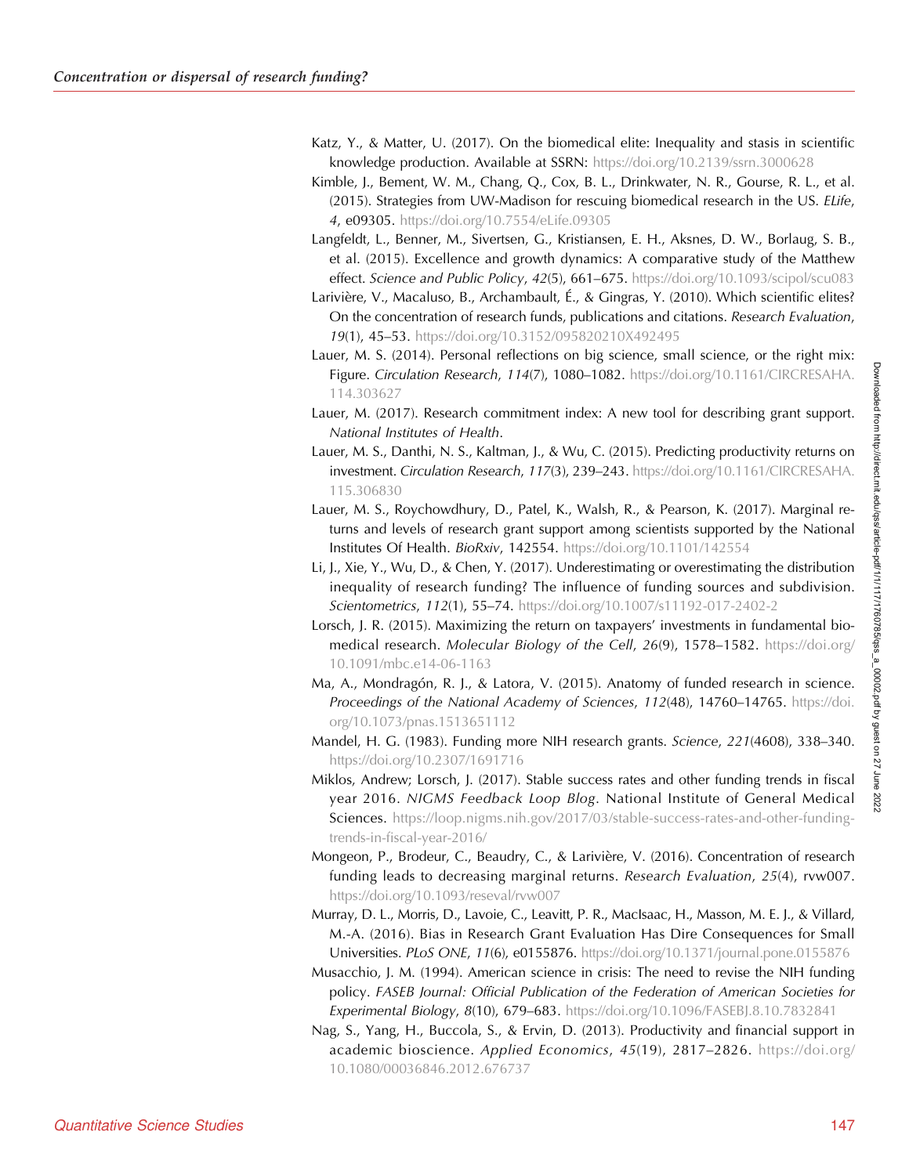- Katz, Y., & Matter, U. (2017). On the biomedical elite: Inequality and stasis in scientific knowledge production. Available at SSRN: <https://doi.org/10.2139/ssrn.3000628>
- Kimble, J., Bement, W. M., Chang, Q., Cox, B. L., Drinkwater, N. R., Gourse, R. L., et al. (2015). Strategies from UW-Madison for rescuing biomedical research in the US. ELife, 4, e09305. <https://doi.org/10.7554/eLife.09305>
- Langfeldt, L., Benner, M., Sivertsen, G., Kristiansen, E. H., Aksnes, D. W., Borlaug, S. B., et al. (2015). Excellence and growth dynamics: A comparative study of the Matthew effect. Science and Public Policy, 42(5), 661-675. <https://doi.org/10.1093/scipol/scu083>
- Larivière, V., Macaluso, B., Archambault, É., & Gingras, Y. (2010). Which scientific elites? On the concentration of research funds, publications and citations. Research Evaluation, 19(1), 45–53. <https://doi.org/10.3152/095820210X492495>
- Lauer, M. S. (2014). Personal reflections on big science, small science, or the right mix: Figure. Circulation Research, 114(7), 1080-1082. [https://doi.org/10.1161/CIRCRESAHA.](https://doi.org/10.1161/CIRCRESAHA.114.303627) [114.303627](https://doi.org/10.1161/CIRCRESAHA.114.303627)
- Lauer, M. (2017). Research commitment index: A new tool for describing grant support. National Institutes of Health.
- Lauer, M. S., Danthi, N. S., Kaltman, J., & Wu, C. (2015). Predicting productivity returns on investment. Circulation Research, 117(3), 239–243. [https://doi.org/10.1161/CIRCRESAHA.](https://doi.org/10.1161/CIRCRESAHA.115.306830) [115.306830](https://doi.org/10.1161/CIRCRESAHA.115.306830)
- Lauer, M. S., Roychowdhury, D., Patel, K., Walsh, R., & Pearson, K. (2017). Marginal returns and levels of research grant support among scientists supported by the National Institutes Of Health. BioRxiv, 142554. <https://doi.org/10.1101/142554>
- Li, J., Xie, Y., Wu, D., & Chen, Y. (2017). Underestimating or overestimating the distribution inequality of research funding? The influence of funding sources and subdivision. Scientometrics, 112(1), 55-74. <https://doi.org/10.1007/s11192-017-2402-2>
- Lorsch, J. R. (2015). Maximizing the return on taxpayers' investments in fundamental biomedical research. Molecular Biology of the Cell, 26(9), 1578-1582. [https://doi.org/](https://doi.org/10.1091/mbc.e14-06-1163) [10.1091/mbc.e14-06-1163](https://doi.org/10.1091/mbc.e14-06-1163)
- Ma, A., Mondragón, R. J., & Latora, V. (2015). Anatomy of funded research in science. Proceedings of the National Academy of Sciences, 112(48), 14760-14765. [https://doi.](https://doi.org/10.1073/pnas.1513651112) [org/10.1073/pnas.1513651112](https://doi.org/10.1073/pnas.1513651112)
- Mandel, H. G. (1983). Funding more NIH research grants. Science, 221(4608), 338–340. <https://doi.org/10.2307/1691716>
- Miklos, Andrew; Lorsch, J. (2017). Stable success rates and other funding trends in fiscal year 2016. NIGMS Feedback Loop Blog. National Institute of General Medical Sciences. [https://loop.nigms.nih.gov/2017/03/stable-success-rates-and-other-funding](https://loop.nigms.nih.gov/2017/03/stable-success-rates-and-other-funding-trends-in-fiscal-year-2016/)[trends-in-fiscal-year-2016/](https://loop.nigms.nih.gov/2017/03/stable-success-rates-and-other-funding-trends-in-fiscal-year-2016/)
- Mongeon, P., Brodeur, C., Beaudry, C., & Larivière, V. (2016). Concentration of research funding leads to decreasing marginal returns. Research Evaluation, 25(4), rvw007. <https://doi.org/10.1093/reseval/rvw007>
- Murray, D. L., Morris, D., Lavoie, C., Leavitt, P. R., MacIsaac, H., Masson, M. E. J., & Villard, M.-A. (2016). Bias in Research Grant Evaluation Has Dire Consequences for Small Universities. PLoS ONE, 11(6), e0155876. <https://doi.org/10.1371/journal.pone.0155876>
- Musacchio, J. M. (1994). American science in crisis: The need to revise the NIH funding policy. FASEB Journal: Official Publication of the Federation of American Societies for Experimental Biology, 8(10), 679–683. <https://doi.org/10.1096/FASEBJ.8.10.7832841>
- Nag, S., Yang, H., Buccola, S., & Ervin, D. (2013). Productivity and financial support in academic bioscience. Applied Economics, 45(19), 2817-2826. [https://doi.org/](https://doi.org/10.1080/00036846.2012.676737) [10.1080/00036846.2012.676737](https://doi.org/10.1080/00036846.2012.676737)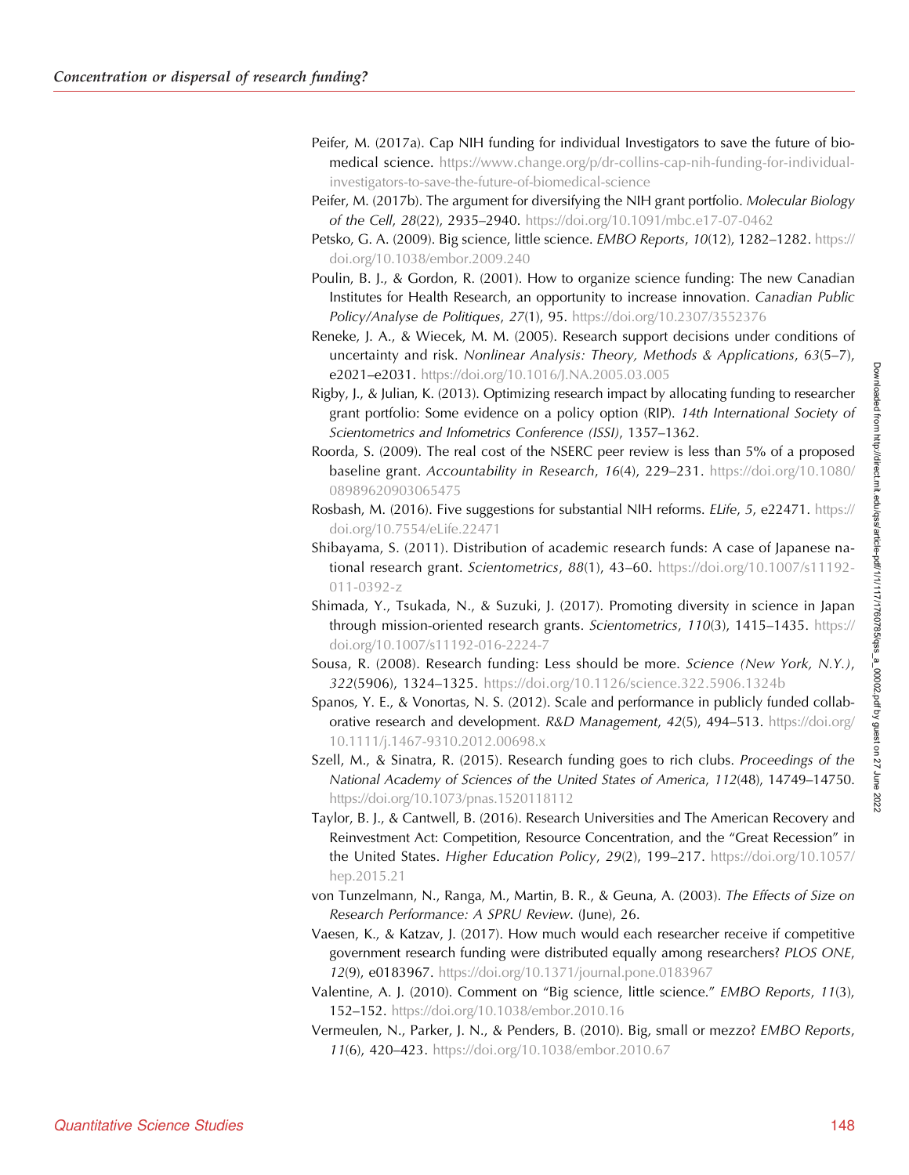- Peifer, M. (2017a). Cap NIH funding for individual Investigators to save the future of biomedical science. [https://www.change.org/p/dr-collins-cap-nih-funding-for-individual](https://www.change.org/p/dr-collins-cap-nih-funding-for-individual-investigators-to-save-the-future-of-biomedical-science)[investigators-to-save-the-future-of-biomedical-science](https://www.change.org/p/dr-collins-cap-nih-funding-for-individual-investigators-to-save-the-future-of-biomedical-science)
- Peifer, M. (2017b). The argument for diversifying the NIH grant portfolio. Molecular Biology of the Cell, 28(22), 2935–2940. <https://doi.org/10.1091/mbc.e17-07-0462>
- Petsko, G. A. (2009). Big science, little science. EMBO Reports, 10(12), 1282–1282. [https://](https://doi.org/10.1038/embor.2009.240) [doi.org/10.1038/embor.2009.240](https://doi.org/10.1038/embor.2009.240)
- Poulin, B. J., & Gordon, R. (2001). How to organize science funding: The new Canadian Institutes for Health Research, an opportunity to increase innovation. Canadian Public Policy/Analyse de Politiques, 27(1), 95. <https://doi.org/10.2307/3552376>
- Reneke, J. A., & Wiecek, M. M. (2005). Research support decisions under conditions of uncertainty and risk. Nonlinear Analysis: Theory, Methods & Applications, 63(5–7), e2021–e2031. <https://doi.org/10.1016/J.NA.2005.03.005>
- Rigby, J., & Julian, K. (2013). Optimizing research impact by allocating funding to researcher grant portfolio: Some evidence on a policy option (RIP). 14th International Society of Scientometrics and Infometrics Conference (ISSI), 1357–1362.
- Roorda, S. (2009). The real cost of the NSERC peer review is less than 5% of a proposed baseline grant. Accountability in Research, 16(4), 229–231. [https://doi.org/10.1080/](https://doi.org/10.1080/08989620903065475) [08989620903065475](https://doi.org/10.1080/08989620903065475)
- Rosbash, M. (2016). Five suggestions for substantial NIH reforms. ELife, 5, e22471. [https://](https://doi.org/10.7554/eLife.22471) [doi.org/10.7554/eLife.22471](https://doi.org/10.7554/eLife.22471)
- Shibayama, S. (2011). Distribution of academic research funds: A case of Japanese national research grant. Scientometrics, 88(1), 43–60. [https://doi.org/10.1007/s11192-](https://doi.org/10.1007/s11192-011-0392-z) [011-0392-z](https://doi.org/10.1007/s11192-011-0392-z)
- Shimada, Y., Tsukada, N., & Suzuki, J. (2017). Promoting diversity in science in Japan through mission-oriented research grants. Scientometrics, 110(3), 1415–1435. [https://](https://doi.org/10.1007/s11192-016-2224-7) [doi.org/10.1007/s11192-016-2224-7](https://doi.org/10.1007/s11192-016-2224-7)
- Sousa, R. (2008). Research funding: Less should be more. Science (New York, N.Y.), 322(5906), 1324–1325. <https://doi.org/10.1126/science.322.5906.1324b>
- Spanos, Y. E., & Vonortas, N. S. (2012). Scale and performance in publicly funded collaborative research and development. R&D Management, 42(5), 494-513. [https://doi.org/](https://doi.org/10.1111/j.1467-9310.2012.00698.x) [10.1111/j.1467-9310.2012.00698.x](https://doi.org/10.1111/j.1467-9310.2012.00698.x)
- Szell, M., & Sinatra, R. (2015). Research funding goes to rich clubs. Proceedings of the National Academy of Sciences of the United States of America, 112(48), 14749–14750. <https://doi.org/10.1073/pnas.1520118112>
- Taylor, B. J., & Cantwell, B. (2016). Research Universities and The American Recovery and Reinvestment Act: Competition, Resource Concentration, and the "Great Recession" in the United States. Higher Education Policy, 29(2), 199-217. [https://doi.org/10.1057/](https://doi.org/10.1057/hep.2015.21) [hep.2015.21](https://doi.org/10.1057/hep.2015.21)
- von Tunzelmann, N., Ranga, M., Martin, B. R., & Geuna, A. (2003). The Effects of Size on Research Performance: A SPRU Review. (June), 26.
- Vaesen, K., & Katzav, J. (2017). How much would each researcher receive if competitive government research funding were distributed equally among researchers? PLOS ONE, 12(9), e0183967. <https://doi.org/10.1371/journal.pone.0183967>
- Valentine, A. J. (2010). Comment on "Big science, little science." EMBO Reports, 11(3), 152–152. <https://doi.org/10.1038/embor.2010.16>
- Vermeulen, N., Parker, J. N., & Penders, B. (2010). Big, small or mezzo? EMBO Reports, 11(6), 420–423. <https://doi.org/10.1038/embor.2010.67>